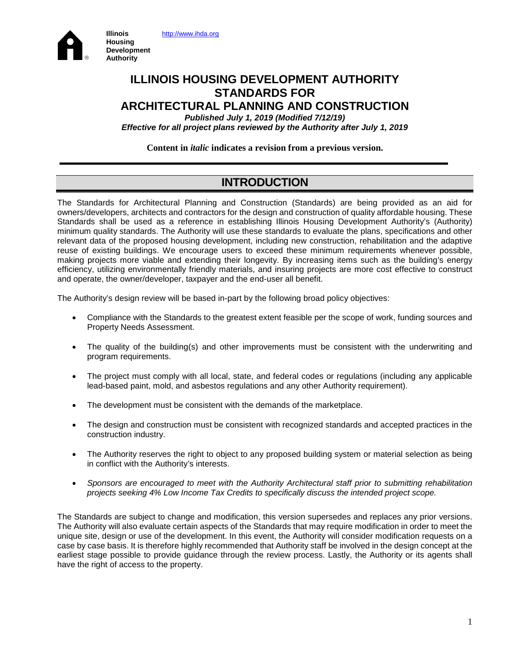



## **ILLINOIS HOUSING DEVELOPMENT AUTHORITY STANDARDS FOR ARCHITECTURAL PLANNING AND CONSTRUCTION**

*Published July 1, 2019 (Modified 7/12/19) Effective for all project plans reviewed by the Authority after July 1, 2019*

**Content in** *italic* **indicates a revision from a previous version.**

# **INTRODUCTION**

The Standards for Architectural Planning and Construction (Standards) are being provided as an aid for owners/developers, architects and contractors for the design and construction of quality affordable housing. These Standards shall be used as a reference in establishing Illinois Housing Development Authority's (Authority) minimum quality standards. The Authority will use these standards to evaluate the plans, specifications and other relevant data of the proposed housing development, including new construction, rehabilitation and the adaptive reuse of existing buildings. We encourage users to exceed these minimum requirements whenever possible, making projects more viable and extending their longevity. By increasing items such as the building's energy efficiency, utilizing environmentally friendly materials, and insuring projects are more cost effective to construct and operate, the owner/developer, taxpayer and the end-user all benefit.

The Authority's design review will be based in-part by the following broad policy objectives:

- Compliance with the Standards to the greatest extent feasible per the scope of work, funding sources and Property Needs Assessment.
- The quality of the building(s) and other improvements must be consistent with the underwriting and program requirements.
- The project must comply with all local, state, and federal codes or regulations (including any applicable lead-based paint, mold, and asbestos regulations and any other Authority requirement).
- The development must be consistent with the demands of the marketplace.
- The design and construction must be consistent with recognized standards and accepted practices in the construction industry.
- The Authority reserves the right to object to any proposed building system or material selection as being in conflict with the Authority's interests.
- *Sponsors are encouraged to meet with the Authority Architectural staff prior to submitting rehabilitation projects seeking 4% Low Income Tax Credits to specifically discuss the intended project scope.*

The Standards are subject to change and modification, this version supersedes and replaces any prior versions. The Authority will also evaluate certain aspects of the Standards that may require modification in order to meet the unique site, design or use of the development. In this event, the Authority will consider modification requests on a case by case basis. It is therefore highly recommended that Authority staff be involved in the design concept at the earliest stage possible to provide guidance through the review process. Lastly, the Authority or its agents shall have the right of access to the property.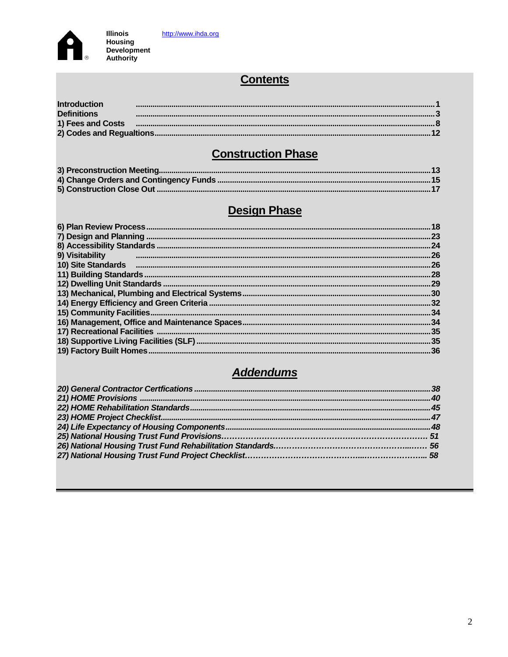

# **Contents**

| <b>Introduction</b> |                                                                                                                                                                                                                                |
|---------------------|--------------------------------------------------------------------------------------------------------------------------------------------------------------------------------------------------------------------------------|
| <b>Definitions</b>  |                                                                                                                                                                                                                                |
|                     | 1) Fees and Costs manufactured and cost of the control of the control of the control of the control of the control of the control of the control of the control of the control of the control of the control of the control of |
|                     |                                                                                                                                                                                                                                |
|                     |                                                                                                                                                                                                                                |

# **Construction Phase**

# **Design Phase**

|                                  | .24 |
|----------------------------------|-----|
| 9) Visitability<br>and the state |     |
|                                  |     |
|                                  |     |
|                                  |     |
|                                  |     |
|                                  |     |
|                                  |     |
|                                  |     |
|                                  |     |
|                                  |     |
|                                  |     |
|                                  |     |

# **Addendums**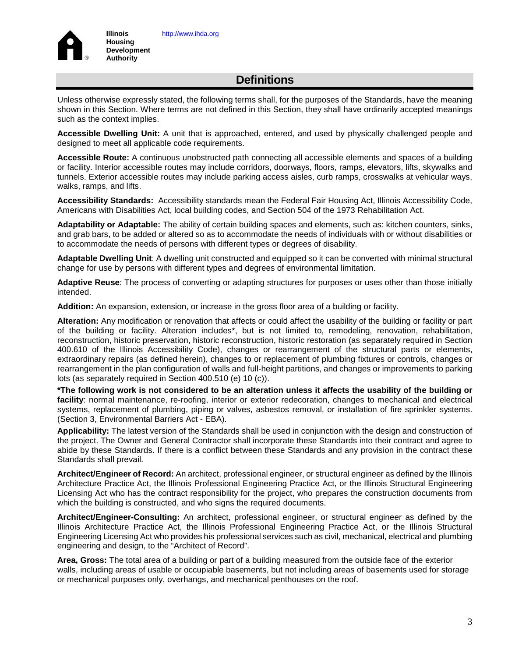

**Illinois Housing Development Authority**

Unless otherwise expressly stated, the following terms shall, for the purposes of the Standards, have the meaning shown in this Section. Where terms are not defined in this Section, they shall have ordinarily accepted meanings such as the context implies.

**Accessible Dwelling Unit:** A unit that is approached, entered, and used by physically challenged people and designed to meet all applicable code requirements.

**Accessible Route:** A continuous unobstructed path connecting all accessible elements and spaces of a building or facility. Interior accessible routes may include corridors, doorways, floors, ramps, elevators, lifts, skywalks and tunnels. Exterior accessible routes may include parking access aisles, curb ramps, crosswalks at vehicular ways, walks, ramps, and lifts.

**Accessibility Standards:** Accessibility standards mean the Federal Fair Housing Act, Illinois Accessibility Code, Americans with Disabilities Act, local building codes, and Section 504 of the 1973 Rehabilitation Act.

**Adaptability or Adaptable:** The ability of certain building spaces and elements, such as: kitchen counters, sinks, and grab bars, to be added or altered so as to accommodate the needs of individuals with or without disabilities or to accommodate the needs of persons with different types or degrees of disability.

**Adaptable Dwelling Unit**: A dwelling unit constructed and equipped so it can be converted with minimal structural change for use by persons with different types and degrees of environmental limitation.

**Adaptive Reuse**: The process of converting or adapting structures for purposes or uses other than those initially intended.

**Addition:** An expansion, extension, or increase in the gross floor area of a building or facility.

**Alteration:** Any modification or renovation that affects or could affect the usability of the building or facility or part of the building or facility. Alteration includes\*, but is not limited to, remodeling, renovation, rehabilitation, reconstruction, historic preservation, historic reconstruction, historic restoration (as separately required in Section 400.610 of the Illinois Accessibility Code), changes or rearrangement of the structural parts or elements, extraordinary repairs (as defined herein), changes to or replacement of plumbing fixtures or controls, changes or rearrangement in the plan configuration of walls and full-height partitions, and changes or improvements to parking lots (as separately required in Section 400.510 (e) 10 (c)).

**\*The following work is not considered to be an alteration unless it affects the usability of the building or facility**: normal maintenance, re-roofing, interior or exterior redecoration, changes to mechanical and electrical systems, replacement of plumbing, piping or valves, asbestos removal, or installation of fire sprinkler systems. (Section 3, Environmental Barriers Act - EBA).

**Applicability:** The latest version of the Standards shall be used in conjunction with the design and construction of the project. The Owner and General Contractor shall incorporate these Standards into their contract and agree to abide by these Standards. If there is a conflict between these Standards and any provision in the contract these Standards shall prevail.

**Architect/Engineer of Record:** An architect, professional engineer, or structural engineer as defined by the Illinois Architecture Practice Act, the Illinois Professional Engineering Practice Act, or the Illinois Structural Engineering Licensing Act who has the contract responsibility for the project, who prepares the construction documents from which the building is constructed, and who signs the required documents.

**Architect/Engineer-Consulting:** An architect, professional engineer, or structural engineer as defined by the Illinois Architecture Practice Act, the Illinois Professional Engineering Practice Act, or the Illinois Structural Engineering Licensing Act who provides his professional services such as civil, mechanical, electrical and plumbing engineering and design, to the "Architect of Record".

**Area, Gross:** The total area of a building or part of a building measured from the outside face of the exterior walls, including areas of usable or occupiable basements, but not including areas of basements used for storage or mechanical purposes only, overhangs, and mechanical penthouses on the roof.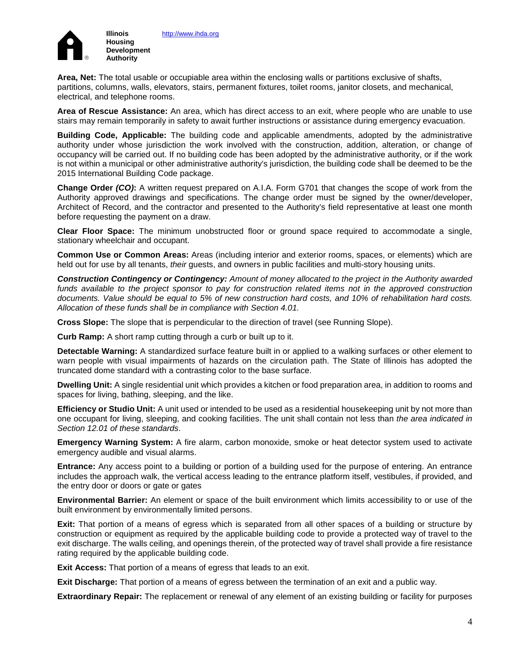

[http://www.ihda.org](http://www.ihda.org/)

**Area, Net:** The total usable or occupiable area within the enclosing walls or partitions exclusive of shafts, partitions, columns, walls, elevators, stairs, permanent fixtures, toilet rooms, janitor closets, and mechanical, electrical, and telephone rooms.

**Area of Rescue Assistance:** An area, which has direct access to an exit, where people who are unable to use stairs may remain temporarily in safety to await further instructions or assistance during emergency evacuation.

**Building Code, Applicable:** The building code and applicable amendments, adopted by the administrative authority under whose jurisdiction the work involved with the construction, addition, alteration, or change of occupancy will be carried out. If no building code has been adopted by the administrative authority, or if the work is not within a municipal or other administrative authority's jurisdiction, the building code shall be deemed to be the 2015 International Building Code package.

**Change Order** *(CO)***:** A written request prepared on A.I.A. Form G701 that changes the scope of work from the Authority approved drawings and specifications. The change order must be signed by the owner/developer, Architect of Record, and the contractor and presented to the Authority's field representative at least one month before requesting the payment on a draw.

**Clear Floor Space:** The minimum unobstructed floor or ground space required to accommodate a single, stationary wheelchair and occupant.

**Common Use or Common Areas:** Areas (including interior and exterior rooms, spaces, or elements) which are held out for use by all tenants, *their* guests, and owners in public facilities and multi-story housing units.

*Construction Contingency or Contingency: Amount of money allocated to the project in the Authority awarded*  funds available to the project sponsor to pay for construction related items not in the approved construction *documents. Value should be equal to 5% of new construction hard costs, and 10% of rehabilitation hard costs. Allocation of these funds shall be in compliance with Section 4.01.*

**Cross Slope:** The slope that is perpendicular to the direction of travel (see Running Slope).

**Curb Ramp:** A short ramp cutting through a curb or built up to it.

**Detectable Warning:** A standardized surface feature built in or applied to a walking surfaces or other element to warn people with visual impairments of hazards on the circulation path. The State of Illinois has adopted the truncated dome standard with a contrasting color to the base surface.

**Dwelling Unit:** A single residential unit which provides a kitchen or food preparation area, in addition to rooms and spaces for living, bathing, sleeping, and the like.

**Efficiency or Studio Unit:** A unit used or intended to be used as a residential housekeeping unit by not more than one occupant for living, sleeping, and cooking facilities. The unit shall contain not less than *the area indicated in Section 12.01 of these standards*.

**Emergency Warning System:** A fire alarm, carbon monoxide, smoke or heat detector system used to activate emergency audible and visual alarms.

**Entrance:** Any access point to a building or portion of a building used for the purpose of entering. An entrance includes the approach walk, the vertical access leading to the entrance platform itself, vestibules, if provided, and the entry door or doors or gate or gates

**Environmental Barrier:** An element or space of the built environment which limits accessibility to or use of the built environment by environmentally limited persons.

**Exit:** That portion of a means of egress which is separated from all other spaces of a building or structure by construction or equipment as required by the applicable building code to provide a protected way of travel to the exit discharge. The walls ceiling, and openings therein, of the protected way of travel shall provide a fire resistance rating required by the applicable building code.

**Exit Access:** That portion of a means of egress that leads to an exit.

**Exit Discharge:** That portion of a means of egress between the termination of an exit and a public way.

**Extraordinary Repair:** The replacement or renewal of any element of an existing building or facility for purposes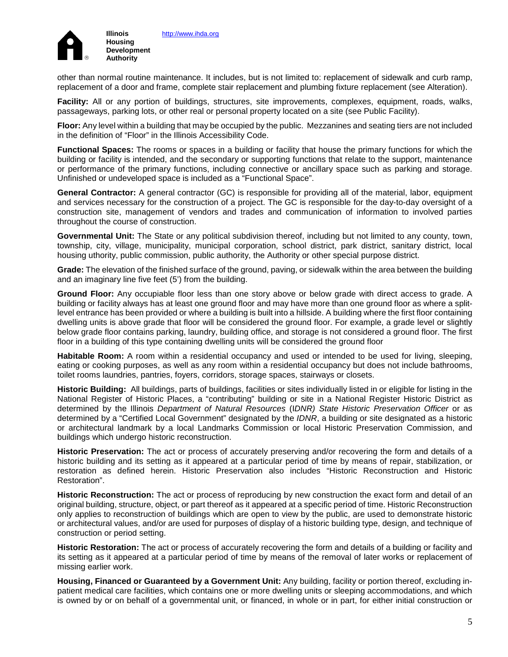

other than normal routine maintenance. It includes, but is not limited to: replacement of sidewalk and curb ramp, replacement of a door and frame, complete stair replacement and plumbing fixture replacement (see Alteration).

**Facility:** All or any portion of buildings, structures, site improvements, complexes, equipment, roads, walks, passageways, parking lots, or other real or personal property located on a site (see Public Facility).

**Floor:** Any level within a building that may be occupied by the public. Mezzanines and seating tiers are not included in the definition of "Floor" in the Illinois Accessibility Code.

**Functional Spaces:** The rooms or spaces in a building or facility that house the primary functions for which the building or facility is intended, and the secondary or supporting functions that relate to the support, maintenance or performance of the primary functions, including connective or ancillary space such as parking and storage. Unfinished or undeveloped space is included as a "Functional Space".

**General Contractor:** A general contractor (GC) is responsible for providing all of the material, labor, equipment and services necessary for the construction of a project. The GC is responsible for the day-to-day oversight of a construction site, management of vendors and trades and communication of information to involved parties throughout the course of construction.

**Governmental Unit:** The State or any political subdivision thereof, including but not limited to any county, town, township, city, village, municipality, municipal corporation, school district, park district, sanitary district, local housing uthority, public commission, public authority, the Authority or other special purpose district.

**Grade:** The elevation of the finished surface of the ground, paving, or sidewalk within the area between the building and an imaginary line five feet (5') from the building.

**Ground Floor:** Any occupiable floor less than one story above or below grade with direct access to grade. A building or facility always has at least one ground floor and may have more than one ground floor as where a splitlevel entrance has been provided or where a building is built into a hillside. A building where the first floor containing dwelling units is above grade that floor will be considered the ground floor. For example, a grade level or slightly below grade floor contains parking, laundry, building office, and storage is not considered a ground floor. The first floor in a building of this type containing dwelling units will be considered the ground floor

**Habitable Room:** A room within a residential occupancy and used or intended to be used for living, sleeping, eating or cooking purposes, as well as any room within a residential occupancy but does not include bathrooms, toilet rooms laundries, pantries, foyers, corridors, storage spaces, stairways or closets.

**Historic Building:** All buildings, parts of buildings, facilities or sites individually listed in or eligible for listing in the National Register of Historic Places, a "contributing" building or site in a National Register Historic District as determined by the Illinois *Department of Natural Resources* (I*DNR) State Historic Preservation Officer* or as determined by a "Certified Local Government" designated by the *IDNR*, a building or site designated as a historic or architectural landmark by a local Landmarks Commission or local Historic Preservation Commission, and buildings which undergo historic reconstruction.

**Historic Preservation:** The act or process of accurately preserving and/or recovering the form and details of a historic building and its setting as it appeared at a particular period of time by means of repair, stabilization, or restoration as defined herein. Historic Preservation also includes "Historic Reconstruction and Historic Restoration".

**Historic Reconstruction:** The act or process of reproducing by new construction the exact form and detail of an original building, structure, object, or part thereof as it appeared at a specific period of time. Historic Reconstruction only applies to reconstruction of buildings which are open to view by the public, are used to demonstrate historic or architectural values, and/or are used for purposes of display of a historic building type, design, and technique of construction or period setting.

**Historic Restoration:** The act or process of accurately recovering the form and details of a building or facility and its setting as it appeared at a particular period of time by means of the removal of later works or replacement of missing earlier work.

**Housing, Financed or Guaranteed by a Government Unit:** Any building, facility or portion thereof, excluding inpatient medical care facilities, which contains one or more dwelling units or sleeping accommodations, and which is owned by or on behalf of a governmental unit, or financed, in whole or in part, for either initial construction or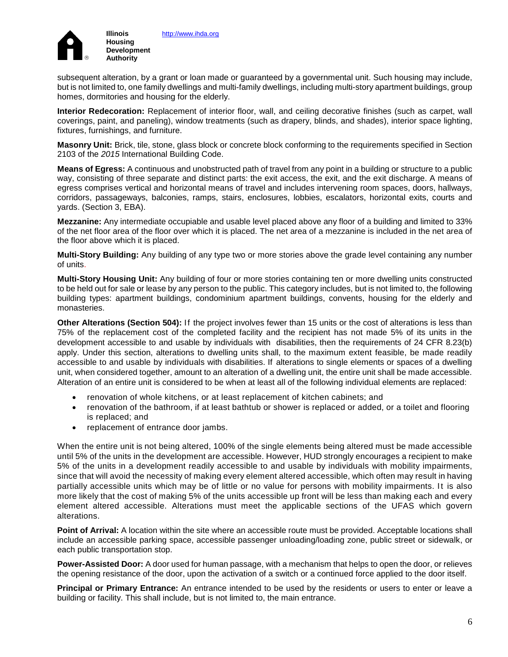

subsequent alteration, by a grant or loan made or guaranteed by a governmental unit. Such housing may include, but is not limited to, one family dwellings and multi-family dwellings, including multi-story apartment buildings, group homes, dormitories and housing for the elderly.

**Interior Redecoration:** Replacement of interior floor, wall, and ceiling decorative finishes (such as carpet, wall coverings, paint, and paneling), window treatments (such as drapery, blinds, and shades), interior space lighting, fixtures, furnishings, and furniture.

**Masonry Unit:** Brick, tile, stone, glass block or concrete block conforming to the requirements specified in Section 2103 of the *2015* International Building Code.

**Means of Egress:** A continuous and unobstructed path of travel from any point in a building or structure to a public way, consisting of three separate and distinct parts: the exit access, the exit, and the exit discharge. A means of egress comprises vertical and horizontal means of travel and includes intervening room spaces, doors, hallways, corridors, passageways, balconies, ramps, stairs, enclosures, lobbies, escalators, horizontal exits, courts and yards. (Section 3, EBA).

**Mezzanine:** Any intermediate occupiable and usable level placed above any floor of a building and limited to 33% of the net floor area of the floor over which it is placed. The net area of a mezzanine is included in the net area of the floor above which it is placed.

**Multi-Story Building:** Any building of any type two or more stories above the grade level containing any number of units.

**Multi-Story Housing Unit:** Any building of four or more stories containing ten or more dwelling units constructed to be held out for sale or lease by any person to the public. This category includes, but is not limited to, the following building types: apartment buildings, condominium apartment buildings, convents, housing for the elderly and monasteries.

**Other Alterations (Section 504):** If the project involves fewer than 15 units or the cost of alterations is less than 75% of the replacement cost of the completed facility and the recipient has not made 5% of its units in the development accessible to and usable by individuals with disabilities, then the requirements of 24 CFR 8.23(b) apply. Under this section, alterations to dwelling units shall, to the maximum extent feasible, be made readily accessible to and usable by individuals with disabilities. If alterations to single elements or spaces of a dwelling unit, when considered together, amount to an alteration of a dwelling unit, the entire unit shall be made accessible. Alteration of an entire unit is considered to be when at least all of the following individual elements are replaced:

- renovation of whole kitchens, or at least replacement of kitchen cabinets; and
- renovation of the bathroom, if at least bathtub or shower is replaced or added, or a toilet and flooring is replaced; and
- replacement of entrance door jambs.

When the entire unit is not being altered, 100% of the single elements being altered must be made accessible until 5% of the units in the development are accessible. However, HUD strongly encourages a recipient to make 5% of the units in a development readily accessible to and usable by individuals with mobility impairments, since that will avoid the necessity of making every element altered accessible, which often may result in having partially accessible units which may be of little or no value for persons with mobility impairments. It is also more likely that the cost of making 5% of the units accessible up front will be less than making each and every element altered accessible. Alterations must meet the applicable sections of the UFAS which govern alterations.

**Point of Arrival:** A location within the site where an accessible route must be provided. Acceptable locations shall include an accessible parking space, accessible passenger unloading/loading zone, public street or sidewalk, or each public transportation stop.

**Power-Assisted Door:** A door used for human passage, with a mechanism that helps to open the door, or relieves the opening resistance of the door, upon the activation of a switch or a continued force applied to the door itself.

**Principal or Primary Entrance:** An entrance intended to be used by the residents or users to enter or leave a building or facility. This shall include, but is not limited to, the main entrance.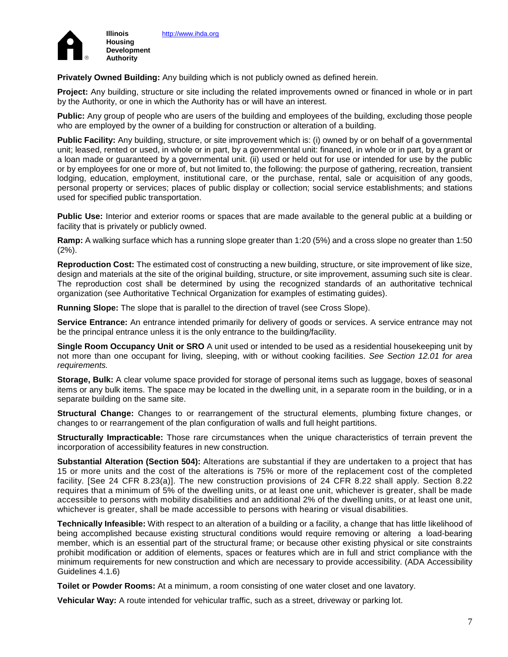

**Privately Owned Building:** Any building which is not publicly owned as defined herein.

**Project:** Any building, structure or site including the related improvements owned or financed in whole or in part by the Authority, or one in which the Authority has or will have an interest.

**Public:** Any group of people who are users of the building and employees of the building, excluding those people who are employed by the owner of a building for construction or alteration of a building.

**Public Facility:** Any building, structure, or site improvement which is: (i) owned by or on behalf of a governmental unit; leased, rented or used, in whole or in part, by a governmental unit: financed, in whole or in part, by a grant or a loan made or guaranteed by a governmental unit. (ii) used or held out for use or intended for use by the public or by employees for one or more of, but not limited to, the following: the purpose of gathering, recreation, transient lodging, education, employment, institutional care, or the purchase, rental, sale or acquisition of any goods, personal property or services; places of public display or collection; social service establishments; and stations used for specified public transportation.

**Public Use:** Interior and exterior rooms or spaces that are made available to the general public at a building or facility that is privately or publicly owned.

**Ramp:** A walking surface which has a running slope greater than 1:20 (5%) and a cross slope no greater than 1:50 (2%).

**Reproduction Cost:** The estimated cost of constructing a new building, structure, or site improvement of like size, design and materials at the site of the original building, structure, or site improvement, assuming such site is clear. The reproduction cost shall be determined by using the recognized standards of an authoritative technical organization (see Authoritative Technical Organization for examples of estimating guides).

**Running Slope:** The slope that is parallel to the direction of travel (see Cross Slope).

Service Entrance: An entrance intended primarily for delivery of goods or services. A service entrance may not be the principal entrance unless it is the only entrance to the building/facility.

**Single Room Occupancy Unit or SRO** A unit used or intended to be used as a residential housekeeping unit by not more than one occupant for living, sleeping, with or without cooking facilities. *See Section 12.01 for area requirements.*

**Storage, Bulk:** A clear volume space provided for storage of personal items such as luggage, boxes of seasonal items or any bulk items. The space may be located in the dwelling unit, in a separate room in the building, or in a separate building on the same site.

**Structural Change:** Changes to or rearrangement of the structural elements, plumbing fixture changes, or changes to or rearrangement of the plan configuration of walls and full height partitions.

**Structurally Impracticable:** Those rare circumstances when the unique characteristics of terrain prevent the incorporation of accessibility features in new construction.

**Substantial Alteration (Section 504):** Alterations are substantial if they are undertaken to a project that has 15 or more units and the cost of the alterations is 75% or more of the replacement cost of the completed facility. [See 24 CFR 8.23(a)]. The new construction provisions of 24 CFR 8.22 shall apply. Section 8.22 requires that a minimum of 5% of the dwelling units, or at least one unit, whichever is greater, shall be made accessible to persons with mobility disabilities and an additional 2% of the dwelling units, or at least one unit, whichever is greater, shall be made accessible to persons with hearing or visual disabilities.

**Technically Infeasible:** With respect to an alteration of a building or a facility, a change that has little likelihood of being accomplished because existing structural conditions would require removing or altering a load-bearing member, which is an essential part of the structural frame; or because other existing physical or site constraints prohibit modification or addition of elements, spaces or features which are in full and strict compliance with the minimum requirements for new construction and which are necessary to provide accessibility. (ADA Accessibility Guidelines 4.1.6)

**Toilet or Powder Rooms:** At a minimum, a room consisting of one water closet and one lavatory.

**Vehicular Way:** A route intended for vehicular traffic, such as a street, driveway or parking lot.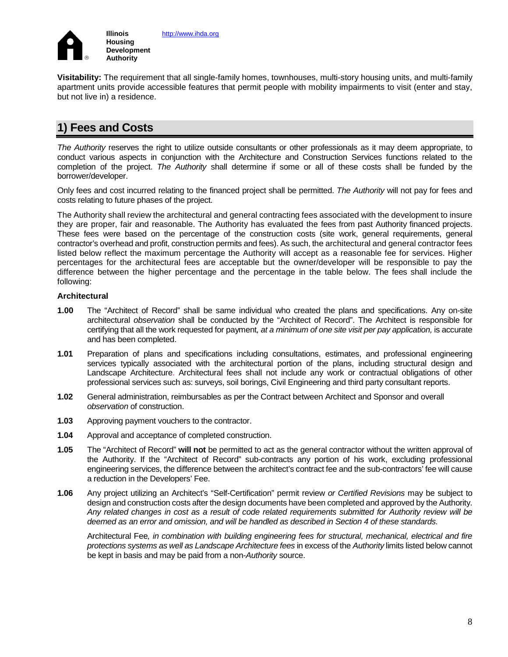

**Visitability:** The requirement that all single-family homes, townhouses, multi-story housing units, and multi-family apartment units provide accessible features that permit people with mobility impairments to visit (enter and stay, but not live in) a residence.

# **1) Fees and Costs**

*The Authority* reserves the right to utilize outside consultants or other professionals as it may deem appropriate, to conduct various aspects in conjunction with the Architecture and Construction Services functions related to the completion of the project. *The Authority* shall determine if some or all of these costs shall be funded by the borrower/developer.

Only fees and cost incurred relating to the financed project shall be permitted. *The Authority* will not pay for fees and costs relating to future phases of the project.

The Authority shall review the architectural and general contracting fees associated with the development to insure they are proper, fair and reasonable. The Authority has evaluated the fees from past Authority financed projects. These fees were based on the percentage of the construction costs (site work, general requirements, general contractor's overhead and profit, construction permits and fees). As such, the architectural and general contractor fees listed below reflect the maximum percentage the Authority will accept as a reasonable fee for services. Higher percentages for the architectural fees are acceptable but the owner/developer will be responsible to pay the difference between the higher percentage and the percentage in the table below. The fees shall include the following:

### **Architectural**

- **1.00** The "Architect of Record" shall be same individual who created the plans and specifications. Any on-site architectural *observation* shall be conducted by the "Architect of Record". The Architect is responsible for certifying that all the work requested for payment*, at a minimum of one site visit per pay application,* is accurate and has been completed.
- **1.01** Preparation of plans and specifications including consultations, estimates, and professional engineering services typically associated with the architectural portion of the plans, including structural design and Landscape Architecture. Architectural fees shall not include any work or contractual obligations of other professional services such as: surveys, soil borings, Civil Engineering and third party consultant reports.
- **1.02** General administration, reimbursables as per the Contract between Architect and Sponsor and overall *observation* of construction.
- **1.03** Approving payment vouchers to the contractor.
- **1.04** Approval and acceptance of completed construction.
- **1.05** The "Architect of Record" **will not** be permitted to act as the general contractor without the written approval of the Authority. If the "Architect of Record" sub-contracts any portion of his work, excluding professional engineering services, the difference between the architect's contract fee and the sub-contractors' fee will cause a reduction in the Developers' Fee.
- **1.06** Any project utilizing an Architect's "Self-Certification" permit review *or Certified Revisions* may be subject to design and construction costs after the design documents have been completed and approved by the Authority. *Any related changes in cost as a result of code related requirements submitted for Authority review will be deemed as an error and omission, and will be handled as described in Section 4 of these standards.*

Architectural Fee*, in combination with building engineering fees for structural, mechanical, electrical and fire protections systems as well as Landscape Architecture fees* in excess of the *Authority* limits listed below cannot be kept in basis and may be paid from a non-*Authority* source.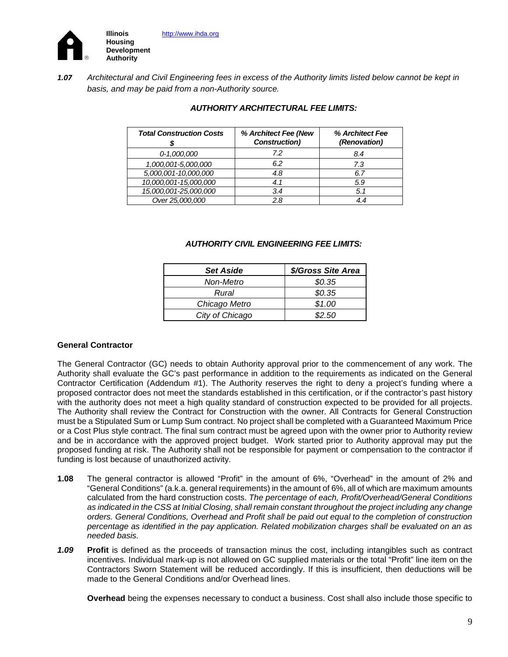

*1.07 Architectural and Civil Engineering fees in excess of the Authority limits listed below cannot be kept in basis, and may be paid from a non-Authority source.*

| <b>Total Construction Costs</b> | % Architect Fee (New<br><b>Construction</b> ) | % Architect Fee<br>(Renovation) |
|---------------------------------|-----------------------------------------------|---------------------------------|
| 0-1,000,000                     | 72                                            | 8.4                             |
| 1,000,001-5,000,000             | 6.2                                           | 7.3                             |
| 5,000,001-10,000,000            | 4.8                                           | 6.7                             |
| 10,000,001-15,000,000           | 4.1                                           | 5.9                             |
| 15,000,001-25,000,000           | 3.4                                           | 5.1                             |
| Over 25,000,000                 | 2.8                                           |                                 |

### *AUTHORITY ARCHITECTURAL FEE LIMITS:*

### *AUTHORITY CIVIL ENGINEERING FEE LIMITS:*

| <b>Set Aside</b> | \$/Gross Site Area |
|------------------|--------------------|
| Non-Metro        | \$0.35             |
| Rural            | \$0.35             |
| Chicago Metro    | \$1.00             |
| City of Chicago  | \$2.50             |

### **General Contractor**

The General Contractor (GC) needs to obtain Authority approval prior to the commencement of any work. The Authority shall evaluate the GC's past performance in addition to the requirements as indicated on the General Contractor Certification (Addendum #1). The Authority reserves the right to deny a project's funding where a proposed contractor does not meet the standards established in this certification, or if the contractor's past history with the authority does not meet a high quality standard of construction expected to be provided for all projects. The Authority shall review the Contract for Construction with the owner. All Contracts for General Construction must be a Stipulated Sum or Lump Sum contract. No project shall be completed with a Guaranteed Maximum Price or a Cost Plus style contract. The final sum contract must be agreed upon with the owner prior to Authority review and be in accordance with the approved project budget. Work started prior to Authority approval may put the proposed funding at risk. The Authority shall not be responsible for payment or compensation to the contractor if funding is lost because of unauthorized activity.

- **1.08** The general contractor is allowed "Profit" in the amount of 6%, "Overhead" in the amount of 2% and "General Conditions" (a.k.a. general requirements) in the amount of 6%, all of which are maximum amounts calculated from the hard construction costs. *The percentage of each, Profit/Overhead/General Conditions as indicated in the CSS at Initial Closing, shall remain constant throughout the project including any change orders. General Conditions, Overhead and Profit shall be paid out equal to the completion of construction percentage as identified in the pay application. Related mobilization charges shall be evaluated on an as needed basis.*
- *1.09* **Profit** is defined as the proceeds of transaction minus the cost, including intangibles such as contract incentives*.* Individual mark-up is not allowed on GC supplied materials or the total "Profit" line item on the Contractors Sworn Statement will be reduced accordingly. If this is insufficient, then deductions will be made to the General Conditions and/or Overhead lines.

**Overhead** being the expenses necessary to conduct a business. Cost shall also include those specific to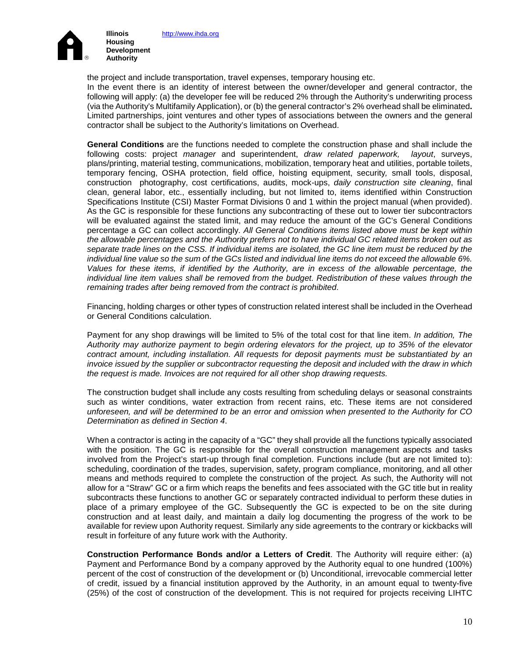

the project and include transportation, travel expenses, temporary housing etc. In the event there is an identity of interest between the owner/developer and general contractor, the following will apply: (a) the developer fee will be reduced 2% through the Authority's underwriting process (via the Authority's Multifamily Application), or (b) the general contractor's 2% overhead shall be eliminated**.** Limited partnerships, joint ventures and other types of associations between the owners and the general contractor shall be subject to the Authority's limitations on Overhead.

**General Conditions** are the functions needed to complete the construction phase and shall include the following costs: project *manager* and superintendent, *draw related paperwork, layout*, surveys, plans/printing, material testing, communications, mobilization, temporary heat and utilities, portable toilets, temporary fencing, OSHA protection, field office, hoisting equipment, security*,* small tools, disposal, construction photography, cost certifications, audits, mock-ups, *daily construction site cleaning*, final clean, general labor, etc., essentially including, but not limited to, items identified within Construction Specifications Institute (CSI) Master Format Divisions 0 and 1 within the project manual (when provided). As the GC is responsible for these functions any subcontracting of these out to lower tier subcontractors will be evaluated against the stated limit, and may reduce the amount of the GC's General Conditions percentage a GC can collect accordingly. *All General Conditions items listed above must be kept within the allowable percentages and the Authority prefers not to have individual GC related items broken out as separate trade lines on the CSS. If individual items are isolated, the GC line item must be reduced by the individual line value so the sum of the GCs listed and individual line items do not exceed the allowable 6%. Values for these items, if identified by the Authority, are in excess of the allowable percentage, the individual line item values shall be removed from the budget. Redistribution of these values through the remaining trades after being removed from the contract is prohibited*.

Financing, holding charges or other types of construction related interest shall be included in the Overhead or General Conditions calculation.

Payment for any shop drawings will be limited to 5% of the total cost for that line item. *In addition, The Authority may authorize payment to begin ordering elevators for the project, up to 35% of the elevator contract amount, including installation. All requests for deposit payments must be substantiated by an invoice issued by the supplier or subcontractor requesting the deposit and included with the draw in which the request is made. Invoices are not required for all other shop drawing requests.*

The construction budget shall include any costs resulting from scheduling delays or seasonal constraints such as winter conditions, water extraction from recent rains, etc. These items are not considered *unforeseen, and will be determined to be an error and omission when presented to the Authority for CO Determination as defined in Section 4*.

When a contractor is acting in the capacity of a "GC" they shall provide all the functions typically associated with the position. The GC is responsible for the overall construction management aspects and tasks involved from the Project's start-up through final completion. Functions include (but are not limited to): scheduling, coordination of the trades, supervision, safety, program compliance, monitoring, and all other means and methods required to complete the construction of the project*.* As such, the Authority will not allow for a "Straw" GC or a firm which reaps the benefits and fees associated with the GC title but in reality subcontracts these functions to another GC or separately contracted individual to perform these duties in place of a primary employee of the GC. Subsequently the GC is expected to be on the site during construction and at least daily, and maintain a daily log documenting the progress of the work to be available for review upon Authority request. Similarly any side agreements to the contrary or kickbacks will result in forfeiture of any future work with the Authority.

**Construction Performance Bonds and/or a Letters of Credit**. The Authority will require either: (a) Payment and Performance Bond by a company approved by the Authority equal to one hundred (100%) percent of the cost of construction of the development or (b) Unconditional, irrevocable commercial letter of credit, issued by a financial institution approved by the Authority, in an amount equal to twenty-five (25%) of the cost of construction of the development. This is not required for projects receiving LIHTC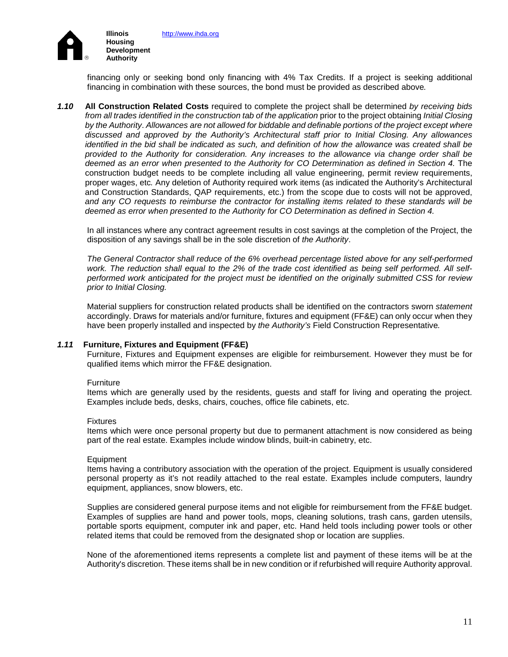

financing only or seeking bond only financing with 4% Tax Credits. If a project is seeking additional financing in combination with these sources, the bond must be provided as described above*.* 

*1.10* **All Construction Related Costs** required to complete the project shall be determined *by receiving bids from all trades identified in the construction tab of the application* prior to the project obtaining *Initial Closing by the Authority*. *Allowances are not allowed for biddable and definable portions of the project except where discussed and approved by the Authority's Architectural staff prior to Initial Closing. Any allowances identified in the bid shall be indicated as such, and definition of how the allowance was created shall be provided to the Authority for consideration. Any increases to the allowance via change order shall be deemed as an error when presented to the Authority for CO Determination as defined in Section 4.* The construction budget needs to be complete including all value engineering, permit review requirements, proper wages, etc*.* Any deletion of Authority required work items (as indicated the Authority's Architectural and Construction Standards, QAP requirements, etc.) from the scope due to costs will not be approved, *and any CO requests to reimburse the contractor for installing items related to these standards will be deemed as error when presented to the Authority for CO Determination as defined in Section 4.* 

In all instances where any contract agreement results in cost savings at the completion of the Project, the disposition of any savings shall be in the sole discretion of *the Authority*.

*The General Contractor shall reduce of the 6% overhead percentage listed above for any self-performed*  work. The reduction shall equal to the 2% of the trade cost identified as being self performed. All self*performed work anticipated for the project must be identified on the originally submitted CSS for review prior to Initial Closing.* 

Material suppliers for construction related products shall be identified on the contractors sworn *statement*  accordingly. Draws for materials and/or furniture, fixtures and equipment (FF&E) can only occur when they have been properly installed and inspected by *the Authority's* Field Construction Representative*.*

### *1.11* **Furniture, Fixtures and Equipment (FF&E)**

Furniture, Fixtures and Equipment expenses are eligible for reimbursement. However they must be for qualified items which mirror the FF&E designation.

#### **Furniture**

Items which are generally used by the residents, guests and staff for living and operating the project. Examples include beds, desks, chairs, couches, office file cabinets, etc.

#### Fixtures

Items which were once personal property but due to permanent attachment is now considered as being part of the real estate. Examples include window blinds, built-in cabinetry, etc.

#### Equipment

Items having a contributory association with the operation of the project. Equipment is usually considered personal property as it's not readily attached to the real estate. Examples include computers, laundry equipment, appliances, snow blowers, etc.

Supplies are considered general purpose items and not eligible for reimbursement from the FF&E budget. Examples of supplies are hand and power tools, mops, cleaning solutions, trash cans, garden utensils, portable sports equipment, computer ink and paper, etc. Hand held tools including power tools or other related items that could be removed from the designated shop or location are supplies.

None of the aforementioned items represents a complete list and payment of these items will be at the Authority's discretion. These items shall be in new condition or if refurbished will require Authority approval.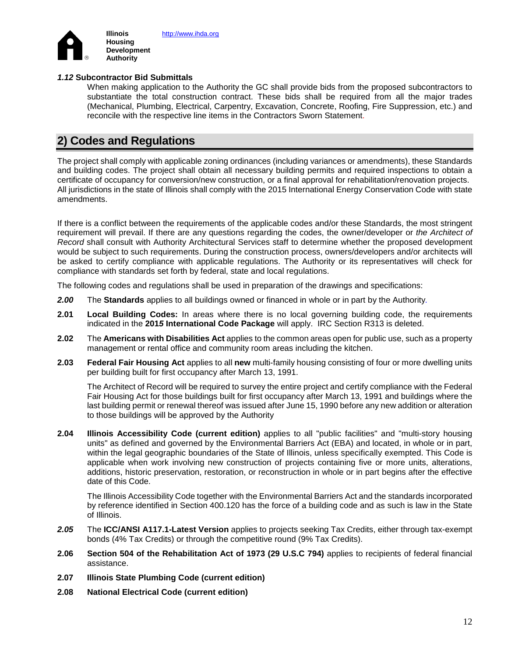

### *1.12* **Subcontractor Bid Submittals**

When making application to the Authority the GC shall provide bids from the proposed subcontractors to substantiate the total construction contract. These bids shall be required from all the major trades (Mechanical, Plumbing, Electrical, Carpentry, Excavation, Concrete, Roofing, Fire Suppression, etc.) and reconcile with the respective line items in the Contractors Sworn Statement.

# **2) Codes and Regulations**

The project shall comply with applicable zoning ordinances (including variances or amendments), these Standards and building codes. The project shall obtain all necessary building permits and required inspections to obtain a certificate of occupancy for conversion/new construction, or a final approval for rehabilitation/renovation projects. All jurisdictions in the state of Illinois shall comply with the 2015 International Energy Conservation Code with state amendments.

If there is a conflict between the requirements of the applicable codes and/or these Standards, the most stringent requirement will prevail. If there are any questions regarding the codes, the owner/developer or *the Architect of Record* shall consult with Authority Architectural Services staff to determine whether the proposed development would be subject to such requirements. During the construction process, owners/developers and/or architects will be asked to certify compliance with applicable regulations. The Authority or its representatives will check for compliance with standards set forth by federal, state and local regulations.

The following codes and regulations shall be used in preparation of the drawings and specifications:

- *2.00* The **Standards** applies to all buildings owned or financed in whole or in part by the Authority*.*
- **2.01 Local Building Codes:** In areas where there is no local governing building code, the requirements indicated in the **201***5* **International Code Package** will apply. IRC Section R313 is deleted.
- **2.02** The **Americans with Disabilities Act** applies to the common areas open for public use, such as a property management or rental office and community room areas including the kitchen.
- **2.03 Federal Fair Housing Act** applies to all **new** multi-family housing consisting of four or more dwelling units per building built for first occupancy after March 13, 1991.

The Architect of Record will be required to survey the entire project and certify compliance with the Federal Fair Housing Act for those buildings built for first occupancy after March 13, 1991 and buildings where the last building permit or renewal thereof was issued after June 15, 1990 before any new addition or alteration to those buildings will be approved by the Authority

**2.04 Illinois Accessibility Code (current edition)** applies to all "public facilities" and "multi-story housing units" as defined and governed by the Environmental Barriers Act (EBA) and located, in whole or in part, within the legal geographic boundaries of the State of Illinois, unless specifically exempted. This Code is applicable when work involving new construction of projects containing five or more units, alterations, additions, historic preservation, restoration, or reconstruction in whole or in part begins after the effective date of this Code.

The Illinois Accessibility Code together with the Environmental Barriers Act and the standards incorporated by reference identified in Section 400.120 has the force of a building code and as such is law in the State of Illinois.

- *2.05* The **ICC/ANSI A117.1-Latest Version** applies to projects seeking Tax Credits, either through tax-exempt bonds (4% Tax Credits) or through the competitive round (9% Tax Credits).
- **2.06 Section 504 of the Rehabilitation Act of 1973 (29 U.S.C 794)** applies to recipients of federal financial assistance.
- **2.07 Illinois State Plumbing Code (current edition)**
- **2.08 National Electrical Code (current edition)**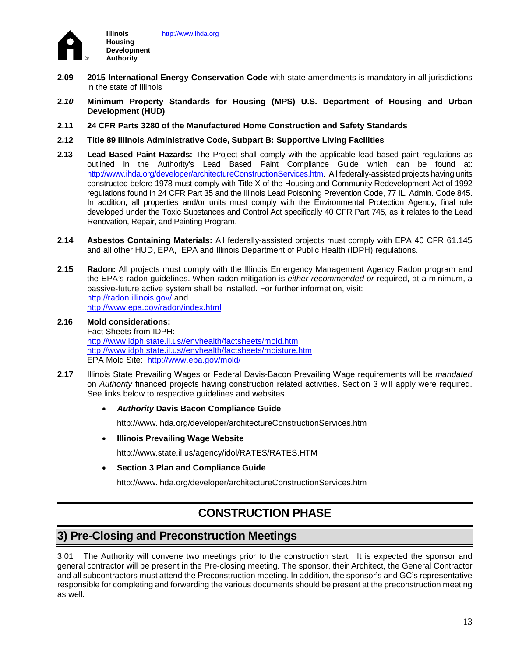

- **2.09 2015 International Energy Conservation Code** with state amendments is mandatory in all jurisdictions in the state of Illinois
- **2.***10* **Minimum Property Standards for Housing (MPS) U.S. Department of Housing and Urban Development (HUD)**
- **2.11 24 CFR Parts 3280 of the Manufactured Home Construction and Safety Standards**
- **2.12 Title 89 Illinois Administrative Code, Subpart B: Supportive Living Facilities**
- **2.13 Lead Based Paint Hazards:** The Project shall comply with the applicable lead based paint regulations as outlined in the Authority's Lead Based Paint Compliance Guide which can be found at: [http://www.ihda.org/developer/architectureConstructionServices.htm.](http://www.ihda.org/developer/architectureConstructionServices.htm) All federally-assisted projects having units constructed before 1978 must comply with Title X of the Housing and Community Redevelopment Act of 1992 regulations found in 24 CFR Part 35 and the Illinois Lead Poisoning Prevention Code, 77 IL. Admin. Code 845. In addition, all properties and/or units must comply with the Environmental Protection Agency, final rule developed under the Toxic Substances and Control Act specifically 40 CFR Part 745, as it relates to the Lead Renovation, Repair, and Painting Program.
- **2.14 Asbestos Containing Materials:** All federally-assisted projects must comply with EPA 40 CFR 61.145 and all other HUD, EPA, IEPA and Illinois Department of Public Health (IDPH) regulations.
- **2.15 Radon:** All projects must comply with the Illinois Emergency Management Agency Radon program and the EPA's radon guidelines. When radon mitigation is *either recommended or* required, at a minimum, a passive-future active system shall be installed. For further information, visit: <http://radon.illinois.gov/> and <http://www.epa.gov/radon/index.html>
- **2.16 Mold considerations:** Fact Sheets from IDPH: http://www.idph.state.il.us//envhealth/factsheets/mold.htm http://www.idph.state.il.us//envhealth/factsheets/moisture.htm EPA Mold Site: http://www.epa.gov/mold/
- **2.17** Illinois State Prevailing Wages or Federal Davis-Bacon Prevailing Wage requirements will be *mandated* on *Authority* financed projects having construction related activities. Section 3 will apply were required. See links below to respective guidelines and websites.
	- *Authority* **Davis Bacon Compliance Guide**

http://www.ihda.org/developer/architectureConstructionServices.htm

• **Illinois Prevailing Wage Website**

http://www.state.il.us/agency/idol/RATES/RATES.HTM

• **Section 3 Plan and Compliance Guide**

<http://www.ihda.org/developer/architectureConstructionServices.htm>

## **CONSTRUCTION PHASE**

# **3) Pre-Closing and Preconstruction Meetings**

3.01 The Authority will convene two meetings prior to the construction start*.* It is expected the sponsor and general contractor will be present in the Pre-closing meeting*.* The sponsor, their Architect, the General Contractor and all subcontractors must attend the Preconstruction meeting. In addition, the sponsor's and GC's representative responsible for completing and forwarding the various documents should be present at the preconstruction meeting as well*.*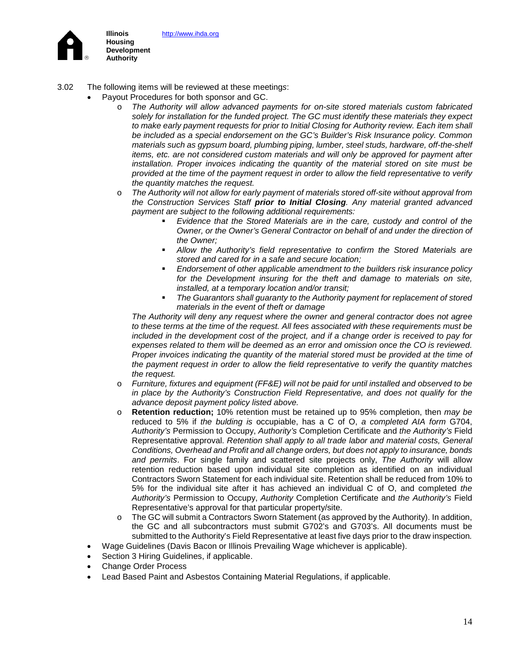[http://www.ihda.org](http://www.ihda.org/)



**Illinois Housing Development Authority**

- 3.02 The following items will be reviewed at these meeting*s*:
	- Payout Procedures for both sponsor and GC.
		- o *The Authority will allow advanced payments for on-site stored materials custom fabricated solely for installation for the funded project. The GC must identify these materials they expect to make early payment requests for prior to Initial Closing for Authority review. Each item shall be included as a special endorsement on the GC's Builder's Risk Insurance policy. Common materials such as gypsum board, plumbing piping, lumber, steel studs, hardware, off-the-shelf items, etc. are not considered custom materials and will only be approved for payment after installation. Proper invoices indicating the quantity of the material stored on site must be provided at the time of the payment request in order to allow the field representative to verify the quantity matches the request.*
		- o *The Authority will not allow for early payment of materials stored off-site without approval from the Construction Services Staff prior to Initial Closing. Any material granted advanced payment are subject to the following additional requirements:* 
			- *Evidence that the Stored Materials are in the care, custody and control of the Owner, or the Owner's General Contractor on behalf of and under the direction of the Owner;*
			- *Allow the Authority's field representative to confirm the Stored Materials are stored and cared for in a safe and secure location;*
			- *Endorsement of other applicable amendment to the builders risk insurance policy for the Development insuring for the theft and damage to materials on site, installed, at a temporary location and/or transit;*
			- *The Guarantors shall guaranty to the Authority payment for replacement of stored materials in the event of theft or damage*

*The Authority will deny any request where the owner and general contractor does not agree to these terms at the time of the request. All fees associated with these requirements must be included in the development cost of the project, and if a change order is received to pay for expenses related to them will be deemed as an error and omission once the CO is reviewed. Proper invoices indicating the quantity of the material stored must be provided at the time of the payment request in order to allow the field representative to verify the quantity matches the request.*

- o *Furniture, fixtures and equipment (FF&E) will not be paid for until installed and observed to be in place by the Authority's Construction Field Representative, and does not qualify for the advance deposit payment policy listed above.*
- o **Retention reduction;** 10% retention must be retained up to 95% completion, then *may be*  reduced to 5% if *the bulding is* occupiable, has a C of O, *a completed AIA form* G704, *Authority's* Permission to Occupy, *Authority's* Completion Certificate and *the Authority's* Field Representative approval. *Retention shall apply to all trade labor and material costs, General Conditions, Overhead and Profit and all change orders, but does not apply to insurance, bonds and permits*. For single family and scattered site projects only, *The Authority* will allow retention reduction based upon individual site completion as identified on an individual Contractors Sworn Statement for each individual site. Retention shall be reduced from 10% to 5% for the individual site after it has achieved an individual C of O, and completed *the Authority's* Permission to Occupy, *Authority* Completion Certificate and *the Authority's* Field Representative's approval for that particular property/site.
- $\circ$  The GC will submit a Contractors Sworn Statement (as approved by the Authority). In addition, the GC and all subcontractors must submit G702's and G703's. All documents must be submitted to the Authority's Field Representative at least five days prior to the draw inspection*.*
- Wage Guidelines (Davis Bacon or Illinois Prevailing Wage whichever is applicable).
- Section 3 Hiring Guidelines, if applicable.
- Change Order Process
- Lead Based Paint and Asbestos Containing Material Regulations, if applicable.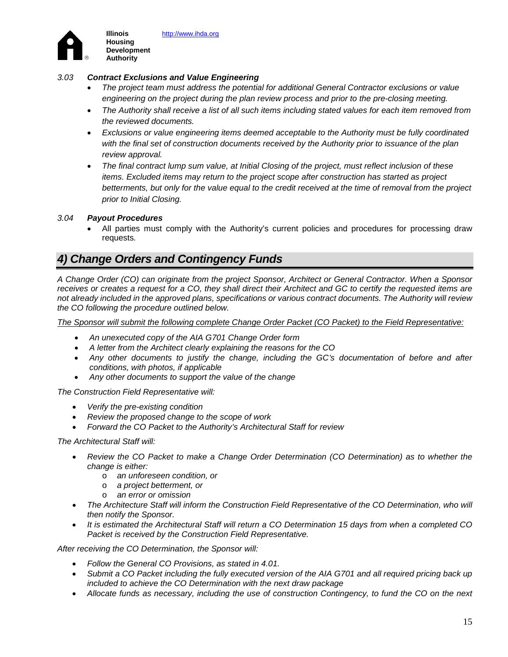

**Illinois Housing Development Authority**

### *3.03 Contract Exclusions and Value Engineering*

- *The project team must address the potential for additional General Contractor exclusions or value engineering on the project during the plan review process and prior to the pre-closing meeting.*
- *The Authority shall receive a list of all such items including stated values for each item removed from the reviewed documents.*
- *Exclusions or value engineering items deemed acceptable to the Authority must be fully coordinated with the final set of construction documents received by the Authority prior to issuance of the plan review approval.*
- *The final contract lump sum value, at Initial Closing of the project, must reflect inclusion of these items. Excluded items may return to the project scope after construction has started as project betterments, but only for the value equal to the credit received at the time of removal from the project prior to Initial Closing.*

### *3.04 Payout Procedures*

• All parties must comply with the Authority's current policies and procedures for processing draw requests*.* 

## *4) Change Orders and Contingency Funds*

*A Change Order (CO) can originate from the project Sponsor, Architect or General Contractor. When a Sponsor receives or creates a request for a CO, they shall direct their Architect and GC to certify the requested items are not already included in the approved plans, specifications or various contract documents. The Authority will review the CO following the procedure outlined below.*

*The Sponsor will submit the following complete Change Order Packet (CO Packet) to the Field Representative:*

- *An unexecuted copy of the AIA G701 Change Order form*
- *A letter from the Architect clearly explaining the reasons for the CO*
- *Any other documents to justify the change, including the GC's documentation of before and after conditions, with photos, if applicable*
- *Any other documents to support the value of the change*

*The Construction Field Representative will:*

- *Verify the pre-existing condition*
- *Review the proposed change to the scope of work*
- *Forward the CO Packet to the Authority's Architectural Staff for review*

*The Architectural Staff will:*

- *Review the CO Packet to make a Change Order Determination (CO Determination) as to whether the change is either:*
	- o *an unforeseen condition, or*
	- o *a project betterment, or*
	- o *an error or omission*
- *The Architecture Staff will inform the Construction Field Representative of the CO Determination, who will then notify the Sponsor.*
- *It is estimated the Architectural Staff will return a CO Determination 15 days from when a completed CO Packet is received by the Construction Field Representative.*

*After receiving the CO Determination, the Sponsor will:*

- *Follow the General CO Provisions, as stated in 4.01.*
- *Submit a CO Packet including the fully executed version of the AIA G701 and all required pricing back up included to achieve the CO Determination with the next draw package*
- *Allocate funds as necessary, including the use of construction Contingency, to fund the CO on the next*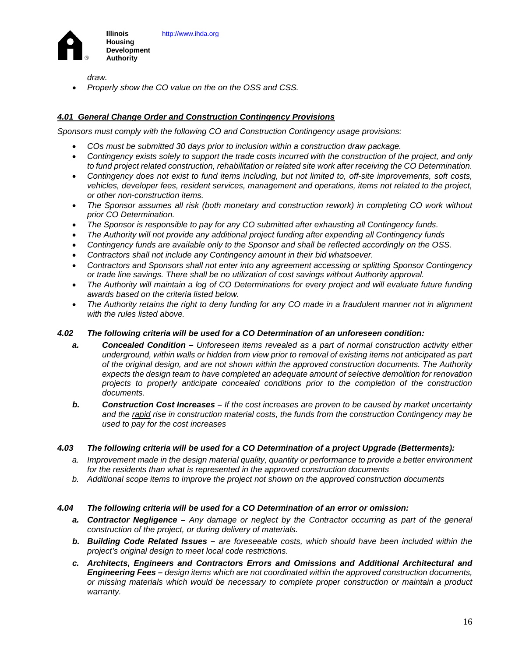

*draw.*

• *Properly show the CO value on the on the OSS and CSS.*

### *4.01 General Change Order and Construction Contingency Provisions*

*Sponsors must comply with the following CO and Construction Contingency usage provisions:*

- *COs must be submitted 30 days prior to inclusion within a construction draw package.*
- *Contingency exists solely to support the trade costs incurred with the construction of the project, and only to fund project related construction, rehabilitation or related site work after receiving the CO Determination.*
- *Contingency does not exist to fund items including, but not limited to, off-site improvements, soft costs, vehicles, developer fees, resident services, management and operations, items not related to the project, or other non-construction items.*
- *The Sponsor assumes all risk (both monetary and construction rework) in completing CO work without prior CO Determination.*
- *The Sponsor is responsible to pay for any CO submitted after exhausting all Contingency funds.*
- *The Authority will not provide any additional project funding after expending all Contingency funds*
- *Contingency funds are available only to the Sponsor and shall be reflected accordingly on the OSS.*
- *Contractors shall not include any Contingency amount in their bid whatsoever.*
- *Contractors and Sponsors shall not enter into any agreement accessing or splitting Sponsor Contingency or trade line savings. There shall be no utilization of cost savings without Authority approval.*
- *The Authority will maintain a log of CO Determinations for every project and will evaluate future funding awards based on the criteria listed below.*
- *The Authority retains the right to deny funding for any CO made in a fraudulent manner not in alignment with the rules listed above.*

### *4.02 The following criteria will be used for a CO Determination of an unforeseen condition:*

- *a. Concealed Condition – Unforeseen items revealed as a part of normal construction activity either underground, within walls or hidden from view prior to removal of existing items not anticipated as part of the original design, and are not shown within the approved construction documents. The Authority expects the design team to have completed an adequate amount of selective demolition for renovation projects to properly anticipate concealed conditions prior to the completion of the construction documents.*
- *b. Construction Cost Increases – If the cost increases are proven to be caused by market uncertainty and the rapid rise in construction material costs, the funds from the construction Contingency may be used to pay for the cost increases*

### *4.03 The following criteria will be used for a CO Determination of a project Upgrade (Betterments):*

- *a. Improvement made in the design material quality, quantity or performance to provide a better environment for the residents than what is represented in the approved construction documents*
- *b. Additional scope items to improve the project not shown on the approved construction documents*

### *4.04 The following criteria will be used for a CO Determination of an error or omission:*

- *a. Contractor Negligence – Any damage or neglect by the Contractor occurring as part of the general construction of the project, or during delivery of materials.*
- *b. Building Code Related Issues – are foreseeable costs, which should have been included within the project's original design to meet local code restrictions.*
- *c. Architects, Engineers and Contractors Errors and Omissions and Additional Architectural and Engineering Fees – design items which are not coordinated within the approved construction documents, or missing materials which would be necessary to complete proper construction or maintain a product warranty.*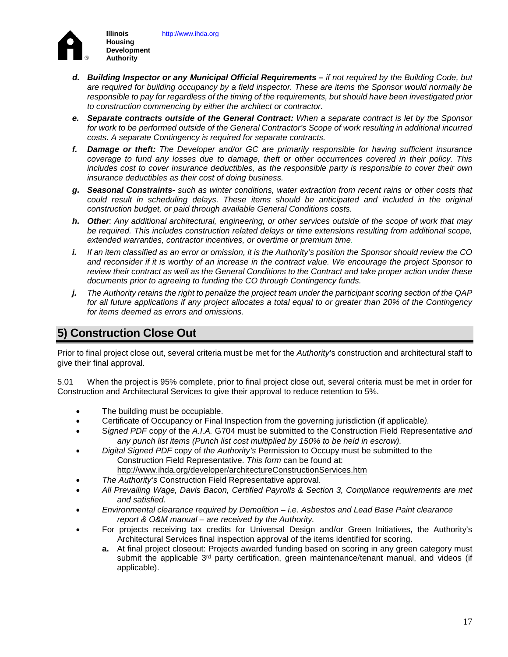[http://www.ihda.org](http://www.ihda.org/)



- *d. Building Inspector or any Municipal Official Requirements – if not required by the Building Code, but are required for building occupancy by a field inspector. These are items the Sponsor would normally be*  responsible to pay for regardless of the timing of the requirements, but should have been investigated prior *to construction commencing by either the architect or contractor.*
- *e. Separate contracts outside of the General Contract: When a separate contract is let by the Sponsor*  for work to be performed outside of the General Contractor's Scope of work resulting in additional incurred *costs. A separate Contingency is required for separate contracts.*
- *f. Damage or theft: The Developer and/or GC are primarily responsible for having sufficient insurance coverage to fund any losses due to damage, theft or other occurrences covered in their policy. This includes cost to cover insurance deductibles, as the responsible party is responsible to cover their own insurance deductibles as their cost of doing business.*
- *g. Seasonal Constraints- such as winter conditions, water extraction from recent rains or other costs that could result in scheduling delays. These items should be anticipated and included in the original construction budget, or paid through available General Conditions costs.*
- *h. Other: Any additional architectural, engineering, or other services outside of the scope of work that may be required. This includes construction related delays or time extensions resulting from additional scope, extended warranties, contractor incentives, or overtime or premium time.*
- *i. If an item classified as an error or omission, it is the Authority's position the Sponsor should review the CO and reconsider if it is worthy of an increase in the contract value. We encourage the project Sponsor to review their contract as well as the General Conditions to the Contract and take proper action under these documents prior to agreeing to funding the CO through Contingency funds.*
- *j. The Authority retains the right to penalize the project team under the participant scoring section of the QAP for all future applications if any project allocates a total equal to or greater than 20% of the Contingency for items deemed as errors and omissions.*

# **5) Construction Close Out**

Prior to final project close out, several criteria must be met for the *Authority*'s construction and architectural staff to give their final approval.

5.01 When the project is 95% complete, prior to final project close out, several criteria must be met in order for Construction and Architectural Services to give their approval to reduce retention to 5%.

- The building must be occupiable.
- Certificate of Occupancy or Final Inspection from the governing jurisdiction (if applicable*).*
- S*igned PDF* cop*y* of the *A.I.A.* G704 must be submitted to the Construction Field Representative *and any punch list items (Punch list cost multiplied by 150% to be held in escrow).*
- *Digital Signed PDF* cop*y* of *the Authority's* Permission to Occupy must be submitted to the Construction Field Representative. *This form* can be found at: <http://www.ihda.org/developer/architectureConstructionServices.htm>
- *The Authority's* Construction Field Representative approval.
- *All Prevailing Wage, Davis Bacon, Certified Payrolls & Section 3, Compliance requirements are met and satisfied.*
- *Environmental clearance required by Demolition i.e. Asbestos and Lead Base Paint clearance report & O&M manual – are received by the Authority.*
- For projects receiving tax credits for Universal Design and/or Green Initiatives, the Authority's Architectural Services final inspection approval of the items identified for scoring.
	- **a.** At final project closeout: Projects awarded funding based on scoring in any green category must submit the applicable  $3<sup>rd</sup>$  party certification, green maintenance/tenant manual, and videos (if applicable).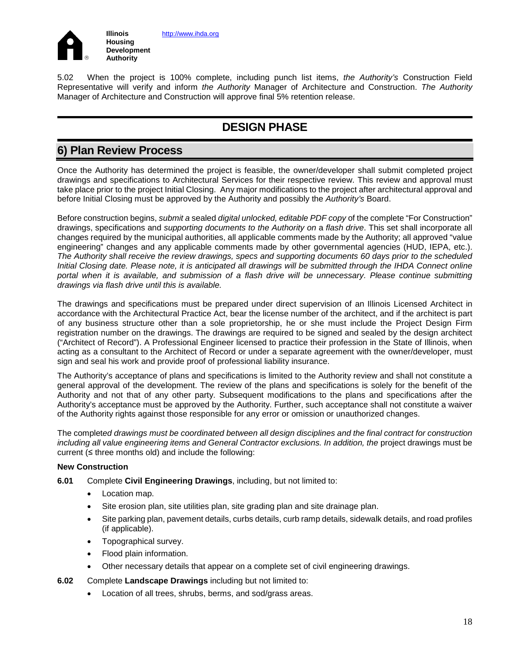

5.02 When the project is 100% complete, including punch list items, *the Authority's* Construction Field Representative will verify and inform *the Authority* Manager of Architecture and Construction. *The Authority* Manager of Architecture and Construction will approve final 5% retention release.

# **DESIGN PHASE**

# **6) Plan Review Process**

Once the Authority has determined the project is feasible, the owner/developer shall submit completed project drawings and specifications to Architectural Services for their respective review. This review and approval must take place prior to the project Initial Closing. Any major modifications to the project after architectural approval and before Initial Closing must be approved by the Authority and possibly the *Authority's* Board.

Before construction begins, *submit a* sealed *digital unlocked, editable PDF copy* of the complete "For Construction" drawings, specifications and *supporting documents to the Authority on* a *flash drive*. This set shall incorporate all changes required by the municipal authorities, all applicable comments made by the Authority; all approved "value engineering" changes and any applicable comments made by other governmental agencies (HUD, IEPA, etc.). *The Authority shall receive the review drawings, specs and supporting documents 60 days prior to the scheduled Initial Closing date. Please note, it is anticipated all drawings will be submitted through the IHDA Connect online portal when it is available, and submission of a flash drive will be unnecessary. Please continue submitting drawings via flash drive until this is available.*

The drawings and specifications must be prepared under direct supervision of an Illinois Licensed Architect in accordance with the Architectural Practice Act, bear the license number of the architect, and if the architect is part of any business structure other than a sole proprietorship, he or she must include the Project Design Firm registration number on the drawings. The drawings are required to be signed and sealed by the design architect ("Architect of Record"). A Professional Engineer licensed to practice their profession in the State of Illinois, when acting as a consultant to the Architect of Record or under a separate agreement with the owner/developer, must sign and seal his work and provide proof of professional liability insurance.

The Authority's acceptance of plans and specifications is limited to the Authority review and shall not constitute a general approval of the development. The review of the plans and specifications is solely for the benefit of the Authority and not that of any other party. Subsequent modifications to the plans and specifications after the Authority's acceptance must be approved by the Authority. Further, such acceptance shall not constitute a waiver of the Authority rights against those responsible for any error or omission or unauthorized changes.

The complet*ed drawings must be coordinated between all design disciplines and the final contract for construction including all value engineering items and General Contractor exclusions. In addition, the* project drawings must be current ( $\leq$  three months old) and include the following:

### **New Construction**

- **6.01** Complete **Civil Engineering Drawings**, including, but not limited to:
	- Location map.
	- Site erosion plan, site utilities plan, site grading plan and site drainage plan.
	- Site parking plan, pavement details, curbs details, curb ramp details, sidewalk details, and road profiles (if applicable).
	- Topographical survey.
	- Flood plain information.
	- Other necessary details that appear on a complete set of civil engineering drawings.
- **6.02** Complete **Landscape Drawings** including but not limited to:
	- Location of all trees, shrubs, berms, and sod/grass areas.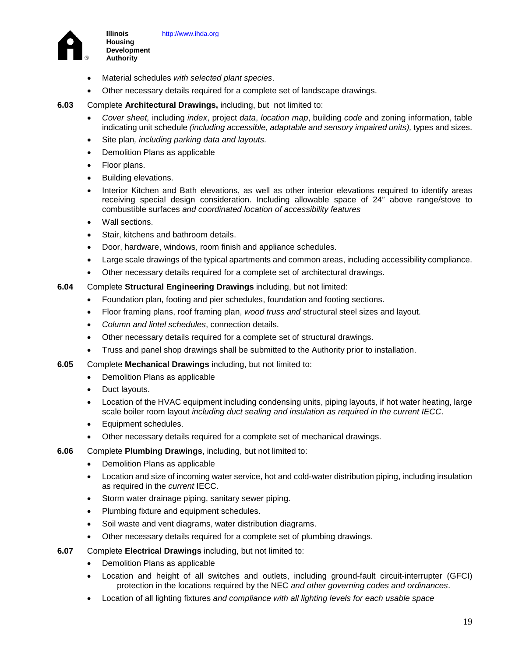



- Material schedules *with selected plant species*.
- Other necessary details required for a complete set of landscape drawings.
- **6.03** Complete **Architectural Drawings,** including, but not limited to:
	- *Cover sheet,* including *index*, project *data*, *location map*, building *code* and zoning information, table indicating unit schedule *(including accessible, adaptable and sensory impaired units),* types and sizes.
	- Site plan*, including parking data and layouts.*
	- Demolition Plans as applicable
	- Floor plans.

**Illinois Housing Development Authority**

- Building elevations.
- Interior Kitchen and Bath elevations, as well as other interior elevations required to identify areas receiving special design consideration. Including allowable space of 24" above range/stove to combustible surfaces *and coordinated location of accessibility features*
- Wall sections
- Stair, kitchens and bathroom details.
- Door, hardware, windows, room finish and appliance schedules.
- Large scale drawings of the typical apartments and common areas, including accessibility compliance.
- Other necessary details required for a complete set of architectural drawings.
- **6.04** Complete **Structural Engineering Drawings** including, but not limited:
	- Foundation plan, footing and pier schedules, foundation and footing sections.
	- Floor framing plans, roof framing plan, *wood truss and* structural steel sizes and layout.
	- *Column and lintel schedules*, connection details.
	- Other necessary details required for a complete set of structural drawings.
	- Truss and panel shop drawings shall be submitted to the Authority prior to installation.
- **6.05** Complete **Mechanical Drawings** including, but not limited to:
	- Demolition Plans as applicable
	- Duct layouts.
	- Location of the HVAC equipment including condensing units, piping layouts, if hot water heating, large scale boiler room layout *including duct sealing and insulation as required in the current IECC*.
	- Equipment schedules.
	- Other necessary details required for a complete set of mechanical drawings.
- **6.06** Complete **Plumbing Drawings**, including, but not limited to:
	- Demolition Plans as applicable
	- Location and size of incoming water service, hot and cold-water distribution piping, including insulation as required in the *current* IECC.
	- Storm water drainage piping, sanitary sewer piping.
	- Plumbing fixture and equipment schedules.
	- Soil waste and vent diagrams, water distribution diagrams.
	- Other necessary details required for a complete set of plumbing drawings.
- **6.07** Complete **Electrical Drawings** including, but not limited to:
	- Demolition Plans as applicable
	- Location and height of all switches and outlets, including ground-fault circuit-interrupter (GFCI) protection in the locations required by the NEC *and other governing codes and ordinances*.
	- Location of all lighting fixtures *and compliance with all lighting levels for each usable space*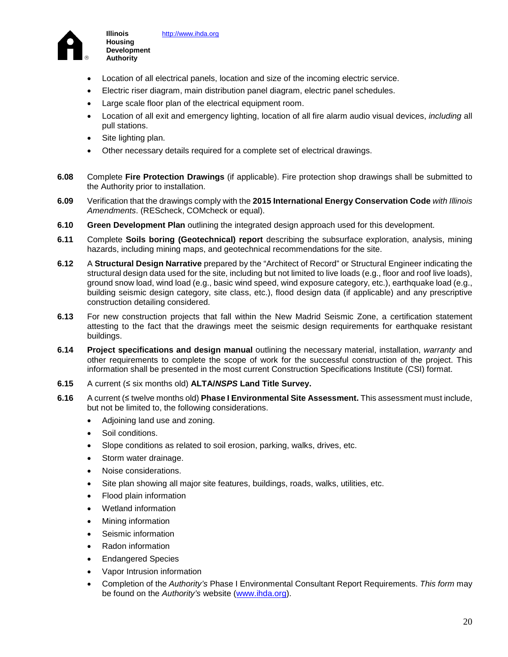

- Location of all electrical panels, location and size of the incoming electric service.
- Electric riser diagram, main distribution panel diagram, electric panel schedules.
- Large scale floor plan of the electrical equipment room.
- Location of all exit and emergency lighting, location of all fire alarm audio visual devices, *including* all pull stations.
- Site lighting plan.

**Illinois Housing Development Authority**

- Other necessary details required for a complete set of electrical drawings.
- **6.08** Complete **Fire Protection Drawings** (if applicable). Fire protection shop drawings shall be submitted to the Authority prior to installation.
- **6.09** Verification that the drawings comply with the **2015 International Energy Conservation Code** *with Illinois Amendments*. (REScheck, COMcheck or equal).
- **6.10 Green Development Plan** outlining the integrated design approach used for this development.
- **6.11** Complete **Soils boring (Geotechnical) report** describing the subsurface exploration, analysis, mining hazards, including mining maps, and geotechnical recommendations for the site.
- **6.12** A **Structural Design Narrative** prepared by the "Architect of Record" or Structural Engineer indicating the structural design data used for the site, including but not limited to live loads (e.g., floor and roof live loads), ground snow load, wind load (e.g., basic wind speed, wind exposure category, etc.), earthquake load (e.g., building seismic design category, site class, etc.), flood design data (if applicable) and any prescriptive construction detailing considered.
- **6.13** For new construction projects that fall within the New Madrid Seismic Zone, a certification statement attesting to the fact that the drawings meet the seismic design requirements for earthquake resistant buildings.
- **6.14 Project specifications and design manual** outlining the necessary material, installation, *warranty* and other requirements to complete the scope of work for the successful construction of the project. This information shall be presented in the most current Construction Specifications Institute (CSI) format.
- **6.15** A current (≤ six months old) **ALTA/***NSPS* **Land Title Survey.**
- **6.16** A current (≤ twelve months old) **Phase I Environmental Site Assessment.** This assessment must include, but not be limited to, the following considerations.
	- Adjoining land use and zoning.
	- Soil conditions.
	- Slope conditions as related to soil erosion, parking, walks, drives, etc.
	- Storm water drainage.
	- Noise considerations.
	- Site plan showing all major site features, buildings, roads, walks, utilities, etc.
	- Flood plain information
	- Wetland information
	- Mining information
	- Seismic information
	- Radon information
	- Endangered Species
	- Vapor Intrusion information
	- Completion of the *Authority's* Phase I Environmental Consultant Report Requirements. *This form* may be found on the *Authority's* website [\(www.ihda.org\)](http://www.ihda.org/).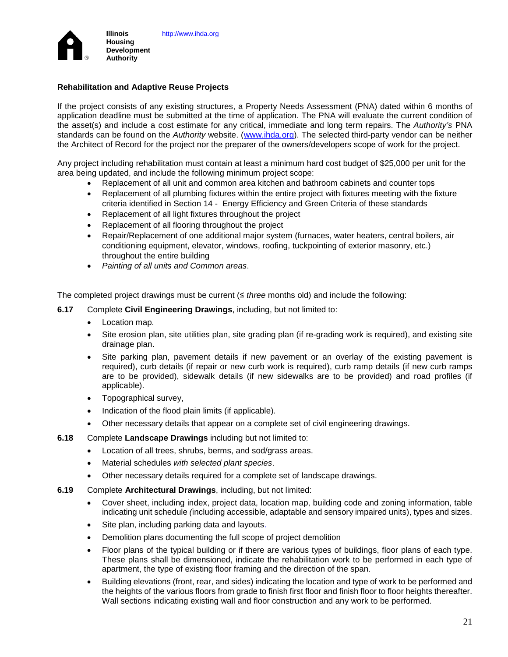

### **Rehabilitation and Adaptive Reuse Projects**

If the project consists of any existing structures, a Property Needs Assessment (PNA) dated within 6 months of application deadline must be submitted at the time of application. The PNA will evaluate the current condition of the asset(s) and include a cost estimate for any critical, immediate and long term repairs. The *Authority's* PNA standards can be found on the *Authority* website. [\(www.ihda.org\)](http://www.ihda.org/). The selected third-party vendor can be neither the Architect of Record for the project nor the preparer of the owners/developers scope of work for the project.

Any project including rehabilitation must contain at least a minimum hard cost budget of \$25,000 per unit for the area being updated, and include the following minimum project scope:

- Replacement of all unit and common area kitchen and bathroom cabinets and counter tops
- Replacement of all plumbing fixtures within the entire project with fixtures meeting with the fixture criteria identified in Section 14 - Energy Efficiency and Green Criteria of these standards
- Replacement of all light fixtures throughout the project
- Replacement of all flooring throughout the project
- Repair/Replacement of one additional major system (furnaces, water heaters, central boilers, air conditioning equipment, elevator, windows, roofing, tuckpointing of exterior masonry, etc.) throughout the entire building
- *Painting of all units and Common areas*.

The completed project drawings must be current (≤ *three* months old) and include the following:

- **6.17** Complete **Civil Engineering Drawings**, including, but not limited to:
	- Location map.
	- Site erosion plan, site utilities plan, site grading plan (if re-grading work is required), and existing site drainage plan.
	- Site parking plan, pavement details if new pavement or an overlay of the existing pavement is required), curb details (if repair or new curb work is required), curb ramp details (if new curb ramps are to be provided), sidewalk details (if new sidewalks are to be provided) and road profiles (if applicable).
	- Topographical survey,
	- Indication of the flood plain limits (if applicable).
	- Other necessary details that appear on a complete set of civil engineering drawings.
- **6.18** Complete **Landscape Drawings** including but not limited to:
	- Location of all trees, shrubs, berms, and sod/grass areas.
	- Material schedules *with selected plant species*.
	- Other necessary details required for a complete set of landscape drawings.
- **6.19** Complete **Architectural Drawings**, including, but not limited:
	- Cover sheet, including index, project data, location map, building code and zoning information, table indicating unit schedule *(*including accessible, adaptable and sensory impaired units), types and sizes.
	- Site plan, including parking data and layouts.
	- Demolition plans documenting the full scope of project demolition
	- Floor plans of the typical building or if there are various types of buildings, floor plans of each type. These plans shall be dimensioned, indicate the rehabilitation work to be performed in each type of apartment, the type of existing floor framing and the direction of the span.
	- Building elevations (front, rear, and sides) indicating the location and type of work to be performed and the heights of the various floors from grade to finish first floor and finish floor to floor heights thereafter. Wall sections indicating existing wall and floor construction and any work to be performed.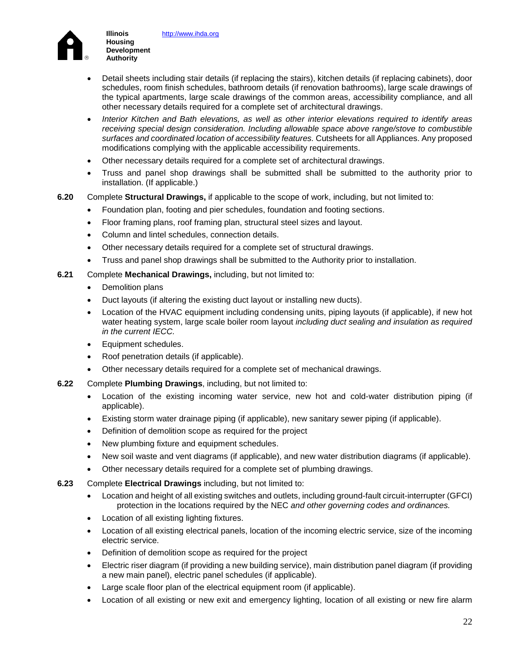

**Illinois Housing Development Authority**

- Detail sheets including stair details (if replacing the stairs), kitchen details (if replacing cabinets), door schedules, room finish schedules, bathroom details (if renovation bathrooms), large scale drawings of the typical apartments, large scale drawings of the common areas, accessibility compliance, and all other necessary details required for a complete set of architectural drawings.
- *Interior Kitchen and Bath elevations, as well as other interior elevations required to identify areas receiving special design consideration. Including allowable space above range/stove to combustible surfaces and coordinated location of accessibility features.* Cutsheets for all Appliances. Any proposed modifications complying with the applicable accessibility requirements.
- Other necessary details required for a complete set of architectural drawings.
- Truss and panel shop drawings shall be submitted shall be submitted to the authority prior to installation. (If applicable.)
- **6.20** Complete **Structural Drawings,** if applicable to the scope of work, including, but not limited to:
	- Foundation plan, footing and pier schedules, foundation and footing sections.
	- Floor framing plans, roof framing plan, structural steel sizes and layout.
	- Column and lintel schedules, connection details.
	- Other necessary details required for a complete set of structural drawings.
	- Truss and panel shop drawings shall be submitted to the Authority prior to installation.
- **6.21** Complete **Mechanical Drawings,** including, but not limited to:
	- Demolition plans
	- Duct layouts (if altering the existing duct layout or installing new ducts).
	- Location of the HVAC equipment including condensing units, piping layouts (if applicable), if new hot water heating system, large scale boiler room layout *including duct sealing and insulation as required in the current IECC.*
	- Equipment schedules.
	- Roof penetration details (if applicable).
	- Other necessary details required for a complete set of mechanical drawings.
- **6.22** Complete **Plumbing Drawings**, including, but not limited to:
	- Location of the existing incoming water service, new hot and cold-water distribution piping (if applicable).
	- Existing storm water drainage piping (if applicable), new sanitary sewer piping (if applicable).
	- Definition of demolition scope as required for the project
	- New plumbing fixture and equipment schedules.
	- New soil waste and vent diagrams (if applicable), and new water distribution diagrams (if applicable).
	- Other necessary details required for a complete set of plumbing drawings.
- **6.23** Complete **Electrical Drawings** including, but not limited to:
	- Location and height of all existing switches and outlets, including ground-fault circuit-interrupter (GFCI) protection in the locations required by the NEC *and other governing codes and ordinances.*
	- Location of all existing lighting fixtures.
	- Location of all existing electrical panels, location of the incoming electric service, size of the incoming electric service.
	- Definition of demolition scope as required for the project
	- Electric riser diagram (if providing a new building service), main distribution panel diagram (if providing a new main panel), electric panel schedules (if applicable).
	- Large scale floor plan of the electrical equipment room (if applicable).
	- Location of all existing or new exit and emergency lighting, location of all existing or new fire alarm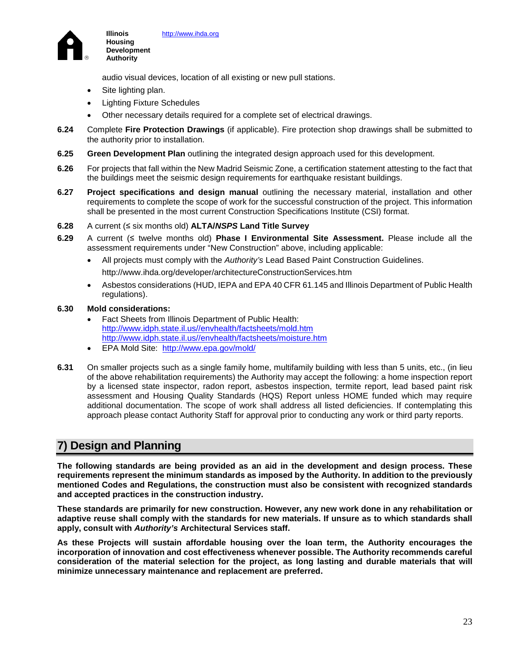

audio visual devices, location of all existing or new pull stations.

Site lighting plan.

**Illinois Housing Development Authority**

- Lighting Fixture Schedules
- Other necessary details required for a complete set of electrical drawings.
- **6.24** Complete **Fire Protection Drawings** (if applicable). Fire protection shop drawings shall be submitted to the authority prior to installation.
- **6.25 Green Development Plan** outlining the integrated design approach used for this development.
- **6.26** For projects that fall within the New Madrid Seismic Zone, a certification statement attesting to the fact that the buildings meet the seismic design requirements for earthquake resistant buildings.
- **6.27 Project specifications and design manual** outlining the necessary material, installation and other requirements to complete the scope of work for the successful construction of the project. This information shall be presented in the most current Construction Specifications Institute (CSI) format.
- **6.28** A current (≤ six months old) **ALTA/***NSPS* **Land Title Survey**
- **6.29** A current (≤ twelve months old) **Phase I Environmental Site Assessment.** Please include all the assessment requirements under "New Construction" above, including applicable:
	- All projects must comply with the *Authority's* Lead Based Paint Construction Guidelines. http://www.ihda.org/developer/architectureConstructionServices.htm
	- Asbestos considerations (HUD, IEPA and EPA 40 CFR 61.145 and Illinois Department of Public Health regulations).

#### **6.30 Mold considerations:**

- Fact Sheets from Illinois Department of Public Health: http://www.idph.state.il.us//envhealth/factsheets/mold.htm http://www.idph.state.il.us//envhealth/factsheets/moisture.htm
- EPA Mold Site: <http://www.epa.gov/mold/>
- **6.31** On smaller projects such as a single family home, multifamily building with less than 5 units, etc., (in lieu of the above rehabilitation requirements) the Authority may accept the following: a home inspection report by a licensed state inspector, radon report, asbestos inspection, termite report, lead based paint risk assessment and Housing Quality Standards (HQS) Report unless HOME funded which may require additional documentation. The scope of work shall address all listed deficiencies. If contemplating this approach please contact Authority Staff for approval prior to conducting any work or third party reports.

## **7) Design and Planning**

**The following standards are being provided as an aid in the development and design process. These requirements represent the minimum standards as imposed by the Authority. In addition to the previously mentioned Codes and Regulations, the construction must also be consistent with recognized standards and accepted practices in the construction industry.** 

**These standards are primarily for new construction. However, any new work done in any rehabilitation or adaptive reuse shall comply with the standards for new materials. If unsure as to which standards shall apply, consult with** *Authority's* **Architectural Services staff.** 

**As these Projects will sustain affordable housing over the loan term, the Authority encourages the incorporation of innovation and cost effectiveness whenever possible. The Authority recommends careful consideration of the material selection for the project, as long lasting and durable materials that will minimize unnecessary maintenance and replacement are preferred.**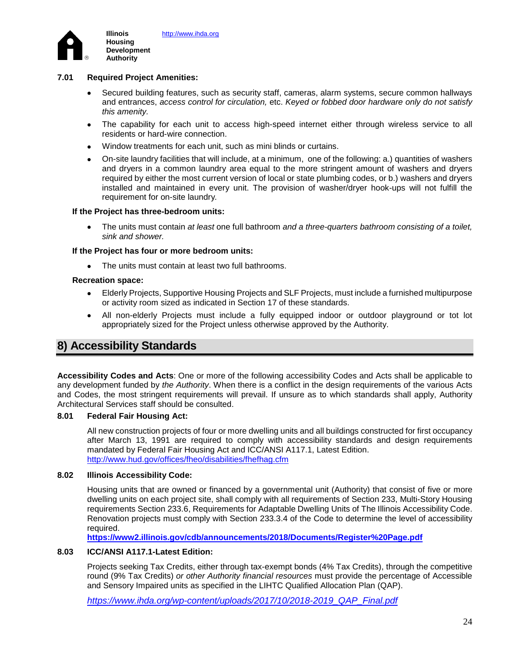

### **7.01 Required Project Amenities:**

- Secured building features, such as security staff, cameras, alarm systems, secure common hallways and entrances, *access control for circulation,* etc. *Keyed or fobbed door hardware only do not satisfy this amenity.*
- The capability for each unit to access high-speed internet either through wireless service to all residents or hard-wire connection.
- Window treatments for each unit, such as mini blinds or curtains.
- On-site laundry facilities that will include, at a minimum, one of the following: a.) quantities of washers and dryers in a common laundry area equal to the more stringent amount of washers and dryers required by either the most current version of local or state plumbing codes, or b.) washers and dryers installed and maintained in every unit. The provision of washer/dryer hook-ups will not fulfill the requirement for on-site laundry*.*

#### **If the Project has three-bedroom units:**

• The units must contain *at least* one full bathroom *and a three-quarters bathroom consisting of a toilet, sink and shower.*

#### **If the Project has four or more bedroom units:**

• The units must contain at least two full bathrooms.

#### **Recreation space:**

- Elderly Projects, Supportive Housing Projects and SLF Projects, must include a furnished multipurpose or activity room sized as indicated in Section 17 of these standards.
- All non-elderly Projects must include a fully equipped indoor or outdoor playground or tot lot appropriately sized for the Project unless otherwise approved by the Authority.

## **8) Accessibility Standards**

**Accessibility Codes and Acts**: One or more of the following accessibility Codes and Acts shall be applicable to any development funded by *the Authority*. When there is a conflict in the design requirements of the various Acts and Codes, the most stringent requirements will prevail. If unsure as to which standards shall apply, Authority Architectural Services staff should be consulted.

### **8.01 Federal Fair Housing Act:**

All new construction projects of four or more dwelling units and all buildings constructed for first occupancy after March 13, 1991 are required to comply with accessibility standards and design requirements mandated by Federal Fair Housing Act and ICC/ANSI A117.1, Latest Edition. <http://www.hud.gov/offices/fheo/disabilities/fhefhag.cfm>

### **8.02 Illinois Accessibility Code:**

Housing units that are owned or financed by a governmental unit (Authority) that consist of five or more dwelling units on each project site, shall comply with all requirements of Section 233, Multi-Story Housing requirements Section 233.6, Requirements for Adaptable Dwelling Units of The Illinois Accessibility Code. Renovation projects must comply with Section 233.3.4 of the Code to determine the level of accessibility required.

**<https://www2.illinois.gov/cdb/announcements/2018/Documents/Register%20Page.pdf>**

### **8.03 ICC/ANSI A117.1-Latest Edition:**

Projects seeking Tax Credits, either through tax-exempt bonds (4% Tax Credits), through the competitive round (9% Tax Credits) *or other Authority financial resources* must provide the percentage of Accessible and Sensory Impaired units as specified in the LIHTC Qualified Allocation Plan (QAP).

*[https://www.ihda.org/wp-content/uploads/2017/10/2018-2019\\_QAP\\_Final.pdf](https://www.ihda.org/wp-content/uploads/2017/10/2018-2019_QAP_Final.pdf)*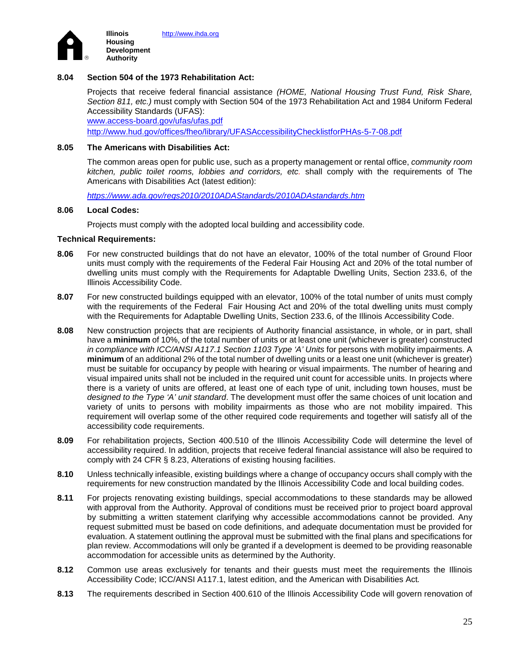

### **8.04 Section 504 of the 1973 Rehabilitation Act:**

Projects that receive federal financial assistance *(HOME, National Housing Trust Fund, Risk Share, Section 811, etc.)* must comply with Section 504 of the 1973 Rehabilitation Act and 1984 Uniform Federal Accessibility Standards (UFAS): [www.access-board.gov/ufas/ufas.pdf](http://www.access-board.gov/ufas/ufas.pdf)

<http://www.hud.gov/offices/fheo/library/UFASAccessibilityChecklistforPHAs-5-7-08.pdf>

#### **8.05 The Americans with Disabilities Act:**

 The common areas open for public use, such as a property management or rental office, *community room kitchen, public toilet rooms, lobbies and corridors, etc.* shall comply with the requirements of The Americans with Disabilities Act (latest edition):

*<https://www.ada.gov/regs2010/2010ADAStandards/2010ADAstandards.htm>*

#### **8.06 Local Codes:**

Projects must comply with the adopted local building and accessibility code.

#### **Technical Requirements:**

- **8.06** For new constructed buildings that do not have an elevator, 100% of the total number of Ground Floor units must comply with the requirements of the Federal Fair Housing Act and 20% of the total number of dwelling units must comply with the Requirements for Adaptable Dwelling Units, Section 233.6, of the Illinois Accessibility Code.
- **8.07** For new constructed buildings equipped with an elevator, 100% of the total number of units must comply with the requirements of the Federal Fair Housing Act and 20% of the total dwelling units must comply with the Requirements for Adaptable Dwelling Units, Section 233.6, of the Illinois Accessibility Code.
- **8.08** New construction projects that are recipients of Authority financial assistance, in whole, or in part, shall have a **minimum** of 10%, of the total number of units or at least one unit (whichever is greater) constructed *in compliance with ICC/ANSI A117.1 Section 1103 Type 'A' Units* for persons with mobility impairments. A **minimum** of an additional 2% of the total number of dwelling units or a least one unit (whichever is greater) must be suitable for occupancy by people with hearing or visual impairments. The number of hearing and visual impaired units shall not be included in the required unit count for accessible units. In projects where there is a variety of units are offered, at least one of each type of unit, including town houses, must be *designed to the Type 'A' unit standard*. The development must offer the same choices of unit location and variety of units to persons with mobility impairments as those who are not mobility impaired. This requirement will overlap some of the other required code requirements and together will satisfy all of the accessibility code requirements.
- **8.09** For rehabilitation projects, Section 400.510 of the Illinois Accessibility Code will determine the level of accessibility required. In addition, projects that receive federal financial assistance will also be required to comply with 24 CFR § 8.23, Alterations of existing housing facilities.
- **8.10** Unless technically infeasible, existing buildings where a change of occupancy occurs shall comply with the requirements for new construction mandated by the Illinois Accessibility Code and local building codes.
- **8.11** For projects renovating existing buildings, special accommodations to these standards may be allowed with approval from the Authority. Approval of conditions must be received prior to project board approval by submitting a written statement clarifying why accessible accommodations cannot be provided. Any request submitted must be based on code definitions, and adequate documentation must be provided for evaluation. A statement outlining the approval must be submitted with the final plans and specifications for plan review. Accommodations will only be granted if a development is deemed to be providing reasonable accommodation for accessible units as determined by the Authority.
- **8.12** Common use areas exclusively for tenants and their guests must meet the requirements the Illinois Accessibility Code; ICC/ANSI A117.1, latest edition, and the American with Disabilities Act*.*
- **8.13** The requirements described in Section 400.610 of the Illinois Accessibility Code will govern renovation of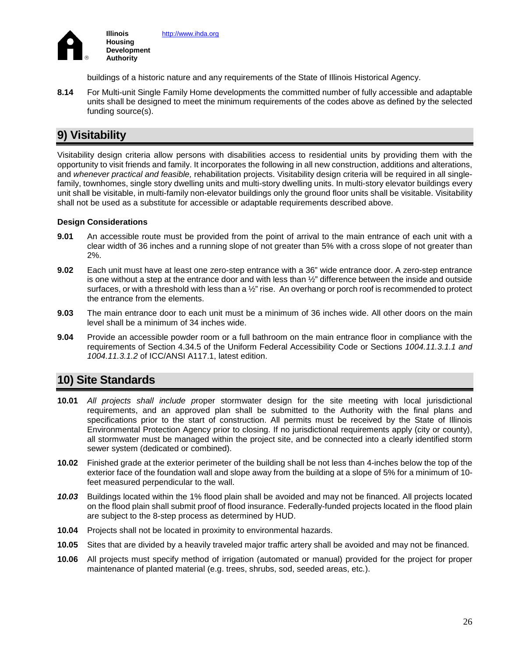

buildings of a historic nature and any requirements of the State of Illinois Historical Agency.

**8.14** For Multi-unit Single Family Home developments the committed number of fully accessible and adaptable units shall be designed to meet the minimum requirements of the codes above as defined by the selected funding source(s).

# **9) Visitability**

Visitability design criteria allow persons with disabilities access to residential units by providing them with the opportunity to visit friends and family. It incorporates the following in all new construction, additions and alterations, and *whenever practical and feasible,* rehabilitation projects. Visitability design criteria will be required in all singlefamily, townhomes, single story dwelling units and multi-story dwelling units. In multi-story elevator buildings every unit shall be visitable, in multi-family non-elevator buildings only the ground floor units shall be visitable. Visitability shall not be used as a substitute for accessible or adaptable requirements described above.

### **Design Considerations**

- **9.01** An accessible route must be provided from the point of arrival to the main entrance of each unit with a clear width of 36 inches and a running slope of not greater than 5% with a cross slope of not greater than 2%.
- **9.02** Each unit must have at least one zero-step entrance with a 36" wide entrance door. A zero-step entrance is one without a step at the entrance door and with less than ½" difference between the inside and outside surfaces, or with a threshold with less than a ½" rise. An overhang or porch roof is recommended to protect the entrance from the elements.
- **9.03** The main entrance door to each unit must be a minimum of 36 inches wide. All other doors on the main level shall be a minimum of 34 inches wide.
- **9.04** Provide an accessible powder room or a full bathroom on the main entrance floor in compliance with the requirements of Section 4.34.5 of the Uniform Federal Accessibility Code or Sections *1004.11.3.1.1 and 1004.11.3.1.2* of ICC/ANSI A117.1, latest edition.

# **10) Site Standards**

- **10.01** *All projects shall include p*roper stormwater design for the site meeting with local jurisdictional requirements, and an approved plan shall be submitted to the Authority with the final plans and specifications prior to the start of construction. All permits must be received by the State of Illinois Environmental Protection Agency prior to closing. If no jurisdictional requirements apply (city or county), all stormwater must be managed within the project site, and be connected into a clearly identified storm sewer system (dedicated or combined).
- **10.02** Finished grade at the exterior perimeter of the building shall be not less than 4-inches below the top of the exterior face of the foundation wall and slope away from the building at a slope of 5% for a minimum of 10 feet measured perpendicular to the wall.
- *10.03* Buildings located within the 1% flood plain shall be avoided and may not be financed. All projects located on the flood plain shall submit proof of flood insurance. Federally-funded projects located in the flood plain are subject to the 8-step process as determined by HUD.
- **10.04** Projects shall not be located in proximity to environmental hazards.
- **10.05** Sites that are divided by a heavily traveled major traffic artery shall be avoided and may not be financed.
- **10.06** All projects must specify method of irrigation (automated or manual) provided for the project for proper maintenance of planted material (e.g. trees, shrubs, sod, seeded areas, etc*.*).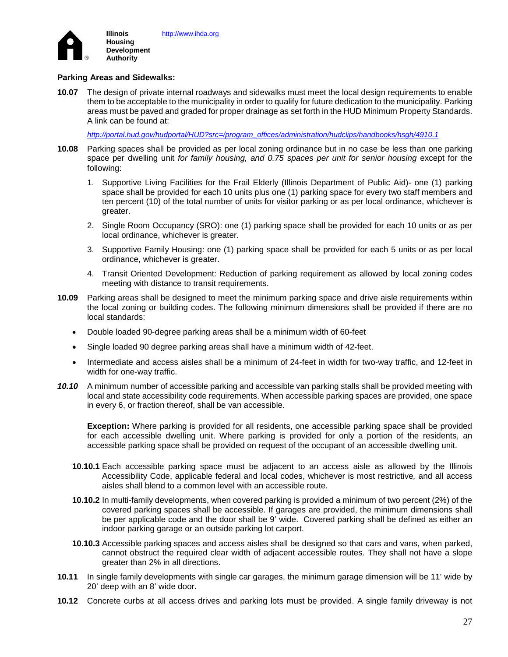

### **Parking Areas and Sidewalks:**

**10.07** The design of private internal roadways and sidewalks must meet the local design requirements to enable them to be acceptable to the municipality in order to qualify for future dedication to the municipality. Parking areas must be paved and graded for proper drainage as set forth in the HUD Minimum Property Standards. A link can be found at:

*[http://portal.hud.gov/hudportal/HUD?src=/program\\_offices/administration/hudclips/handbooks/hsgh/4910.1](http://portal.hud.gov/hudportal/HUD?src=/program_offices/administration/hudclips/handbooks/hsgh/4910.1)*

- **10.08** Parking spaces shall be provided as per local zoning ordinance but in no case be less than one parking space per dwelling unit *for family housing, and 0.75 spaces per unit for senior housing* except for the following:
	- 1. Supportive Living Facilities for the Frail Elderly (Illinois Department of Public Aid)- one (1) parking space shall be provided for each 10 units plus one (1) parking space for every two staff members and ten percent (10) of the total number of units for visitor parking or as per local ordinance, whichever is greater.
	- 2. Single Room Occupancy (SRO): one (1) parking space shall be provided for each 10 units or as per local ordinance, whichever is greater.
	- 3. Supportive Family Housing: one (1) parking space shall be provided for each 5 units or as per local ordinance, whichever is greater.
	- 4. Transit Oriented Development: Reduction of parking requirement as allowed by local zoning codes meeting with distance to transit requirements.
- **10.09** Parking areas shall be designed to meet the minimum parking space and drive aisle requirements within the local zoning or building codes. The following minimum dimensions shall be provided if there are no local standards:
	- Double loaded 90-degree parking areas shall be a minimum width of 60-feet
	- Single loaded 90 degree parking areas shall have a minimum width of 42-feet.
	- Intermediate and access aisle*s* shall be a minimum of 24-feet in width for two-way traffic, and 12-feet in width for one-way traffic.
- *10.10* A minimum number of accessible parking and accessible van parking stalls shall be provided meeting with local and state accessibility code requirements. When accessible parking spaces are provided, one space in every 6, or fraction thereof, shall be van accessible.

**Exception:** Where parking is provided for all residents, one accessible parking space shall be provided for each accessible dwelling unit. Where parking is provided for only a portion of the residents, an accessible parking space shall be provided on request of the occupant of an accessible dwelling unit.

- **10.10.1** Each accessible parking space must be adjacent to an access aisle as allowed by the Illinois Accessibility Code, applicable federal and local codes, whichever is most restrictive*,* and all access aisles shall blend to a common level with an accessible route.
- **10.10.2** In multi-family developments, when covered parking is provided a minimum of two percent (2%) of the covered parking spaces shall be accessible. If garages are provided, the minimum dimensions shall be per applicable code and the door shall be 9' wide. Covered parking shall be defined as either an indoor parking garage or an outside parking lot carport.
- **10.10.3** Accessible parking spaces and access aisles shall be designed so that cars and vans, when parked, cannot obstruct the required clear width of adjacent accessible routes. They shall not have a slope greater than 2% in all directions.
- **10.11** In single family developments with single car garages, the minimum garage dimension will be 11' wide by 20' deep with an 8' wide door.
- **10.12** Concrete curbs at all access drives and parking lots must be provided. A single family driveway is not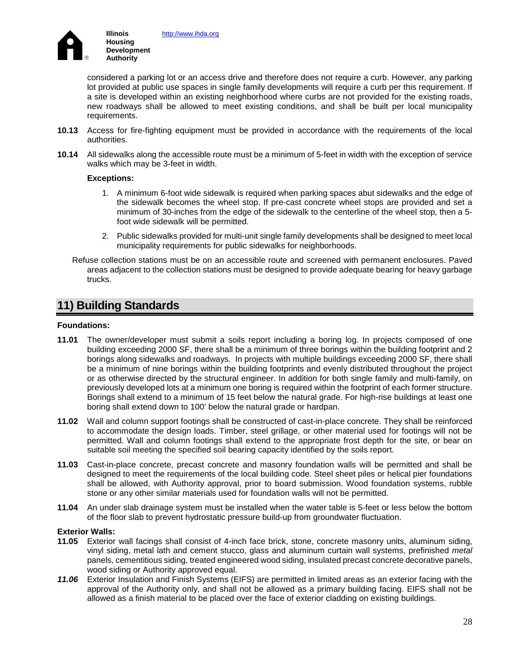

[http://www.ihda.org](http://www.ihda.org/)

considered a parking lot or an access drive and therefore does not require a curb. However, any parking lot provided at public use spaces in single family developments will require a curb per this requirement. If a site is developed within an existing neighborhood where curbs are not provided for the existing roads, new roadways shall be allowed to meet existing conditions, and shall be built per local municipality requirements.

- **10.13** Access for fire-fighting equipment must be provided in accordance with the requirements of the local authorities.
- **10.14** All sidewalks along the accessible route must be a minimum of 5-feet in width with the exception of service walks which may be 3-feet in width.

### **Exceptions:**

- 1. A minimum 6-foot wide sidewalk is required when parking spaces abut sidewalks and the edge of the sidewalk becomes the wheel stop. If pre-cast concrete wheel stops are provided and set a minimum of 30-inches from the edge of the sidewalk to the centerline of the wheel stop, then a 5 foot wide sidewalk will be permitted.
- 2. Public sidewalks provided for multi-unit single family developments shall be designed to meet local municipality requirements for public sidewalks for neighborhoods.
- Refuse collection stations must be on an accessible route and screened with permanent enclosures. Paved areas adjacent to the collection stations must be designed to provide adequate bearing for heavy garbage trucks.

## **11) Building Standards**

### **Foundations:**

- **11.01** The owner/developer must submit a soils report including a boring log. In projects composed of one building exceeding 2000 SF, there shall be a minimum of three borings within the building footprint and 2 borings along sidewalks and roadways. In projects with multiple buildings exceeding 2000 SF, there shall be a minimum of nine borings within the building footprints and evenly distributed throughout the project or as otherwise directed by the structural engineer. In addition for both single family and multi-family, on previously developed lots at a minimum one boring is required within the footprint of each former structure. Borings shall extend to a minimum of 15 feet below the natural grade. For high-rise buildings at least one boring shall extend down to 100' below the natural grade or hardpan.
- **11.02** Wall and column support footings shall be constructed of cast-in-place concrete. They shall be reinforced to accommodate the design loads. Timber, steel grillage, or other material used for footings will not be permitted. Wall and column footings shall extend to the appropriate frost depth for the site, or bear on suitable soil meeting the specified soil bearing capacity identified by the soils report.
- **11.03** Cast-in-place concrete, precast concrete and masonry foundation walls will be permitted and shall be designed to meet the requirements of the local building code. Steel sheet piles or helical pier foundations shall be allowed, with Authority approval, prior to board submission. Wood foundation systems, rubble stone or any other similar materials used for foundation walls will not be permitted.
- **11.04** An under slab drainage system must be installed when the water table is 5-feet or less below the bottom of the floor slab to prevent hydrostatic pressure build-up from groundwater fluctuation.

### **Exterior Walls:**

- **11.05** Exterior wall facings shall consist of 4-inch face brick, stone, concrete masonry units, aluminum siding, vinyl siding, metal lath and cement stucco, glass and aluminum curtain wall systems, prefinished *metal*  panels, cementitious siding, treated engineered wood siding, insulated precast concrete decorative panels, wood siding or Authority approved equal.
- *11.06* Exterior Insulation and Finish Systems (EIFS) are permitted in limited areas as an exterior facing with the approval of the Authority only, and shall not be allowed as a primary building facing. EIFS shall not be allowed as a finish material to be placed over the face of exterior cladding on existing buildings.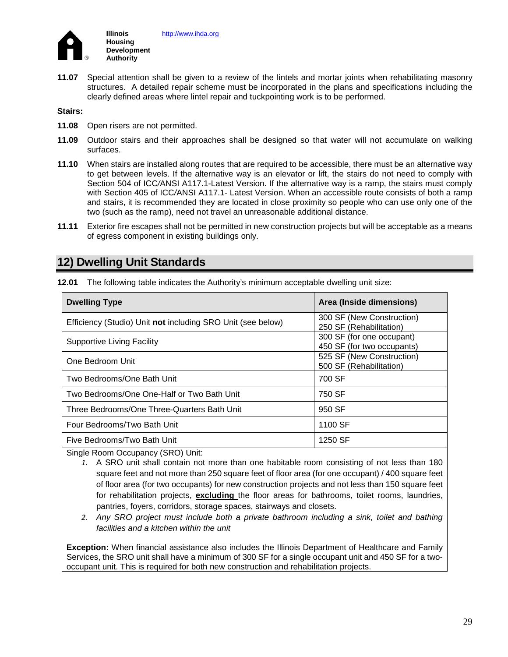

**11.07** Special attention shall be given to a review of the lintels and mortar joints when rehabilitating masonry structures. A detailed repair scheme must be incorporated in the plans and specifications including the clearly defined areas where lintel repair and tuckpointing work is to be performed.

**Stairs:** 

- **11.08** Open risers are not permitted.
- **11.09** Outdoor stairs and their approaches shall be designed so that water will not accumulate on walking surfaces.
- **11.10** When stairs are installed along routes that are required to be accessible, there must be an alternative way to get between levels. If the alternative way is an elevator or lift, the stairs do not need to comply with Section 504 of ICC*/*ANSI A117.1-Latest Version. If the alternative way is a ramp, the stairs must comply with Section 405 of ICC*/*ANSI A117.1- Latest Version. When an accessible route consists of both a ramp and stairs, it is recommended they are located in close proximity so people who can use only one of the two (such as the ramp), need not travel an unreasonable additional distance.
- **11.11** Exterior fire escapes shall not be permitted in new construction projects but will be acceptable as a means of egress component in existing buildings only.

## **12) Dwelling Unit Standards**

**12.01** The following table indicates the Authority's minimum acceptable dwelling unit size:

| <b>Dwelling Type</b>                                        | Area (Inside dimensions)                                |
|-------------------------------------------------------------|---------------------------------------------------------|
| Efficiency (Studio) Unit not including SRO Unit (see below) | 300 SF (New Construction)<br>250 SF (Rehabilitation)    |
| Supportive Living Facility                                  | 300 SF (for one occupant)<br>450 SF (for two occupants) |
| One Bedroom Unit                                            | 525 SF (New Construction)<br>500 SF (Rehabilitation)    |
| Two Bedrooms/One Bath Unit                                  | 700 SF                                                  |
| Two Bedrooms/One One-Half or Two Bath Unit                  | 750 SF                                                  |
| Three Bedrooms/One Three-Quarters Bath Unit                 | 950 SF                                                  |
| Four Bedrooms/Two Bath Unit                                 | 1100 SF                                                 |
| Five Bedrooms/Two Bath Unit                                 | 1250 SF                                                 |

Single Room Occupancy (SRO) Unit:

- *1.* A SRO unit shall contain not more than one habitable room consisting of not less than 180 square feet and not more than 250 square feet of floor area (for one occupant) / 400 square feet of floor area (for two occupants) for new construction projects and not less than 150 square feet for rehabilitation projects, **excluding** the floor areas for bathrooms, toilet rooms, laundries, pantries, foyers, corridors, storage spaces, stairways and closets.
- *2. Any SRO project must include both a private bathroom including a sink, toilet and bathing facilities and a kitchen within the unit*

**Exception:** When financial assistance also includes the Illinois Department of Healthcare and Family Services, the SRO unit shall have a minimum of 300 SF for a single occupant unit and 450 SF for a twooccupant unit. This is required for both new construction and rehabilitation projects.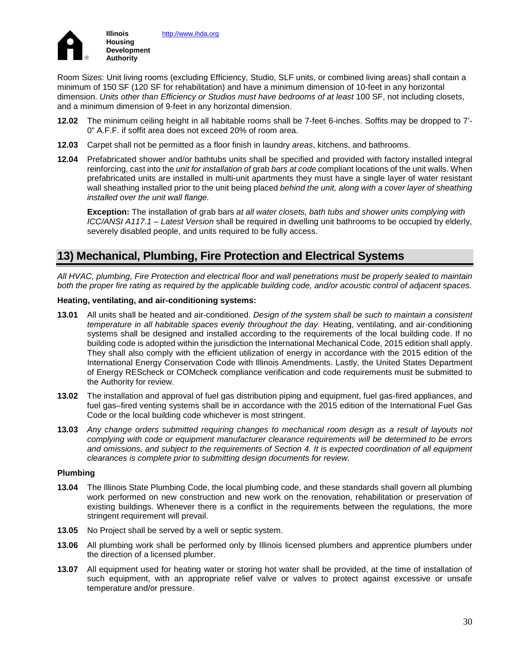

Room Sizes: Unit living rooms (excluding Efficiency, Studio, SLF units, or combined living areas) shall contain a minimum of 150 SF (120 SF for rehabilitation) and have a minimum dimension of 10-feet in any horizontal dimension. *Units other than Efficiency or Studios must have bedrooms of at least* 100 SF, not including closets, and a minimum dimension of 9-feet in any horizontal dimension.

- **12.02** The minimum ceiling height in all habitable rooms shall be 7-feet 6-inches. Soffits may be dropped to 7'- 0" A.F.F. if soffit area does not exceed 20% of room area.
- **12.03** Carpet shall not be permitted as a floor finish in laundry *areas*, kitchens, and bathrooms.
- **12.04** Prefabricated shower and/or bathtubs units shall be specified and provided with factory installed integral reinforcing, cast into the *unit for installation of* grab *bars at code* compliant locations of the unit walls. When prefabricated units are installed in multi-unit apartments they must have a single layer of water resistant wall sheathing installed prior to the unit being placed *behind the unit, along with a cover layer of sheathing installed over the unit wall flange.*

**Exception:** The installation of grab bars *at all water closets, bath tubs and shower units complying with ICC/ANSI A117.1 – Latest Version* shall be required in dwelling unit bathrooms to be occupied by elderly, severely disabled people, and units required to be fully access.

# **13) Mechanical, Plumbing, Fire Protection and Electrical Systems**

*All HVAC, plumbing, Fire Protection and electrical floor and wall penetrations must be properly sealed to maintain both the proper fire rating as required by the applicable building code, and/or acoustic control of adjacent spaces.*

### **Heating, ventilating, and air-conditioning systems:**

- **13.01** All units shall be heated and air-conditioned. *Design of the system shall be such to maintain a consistent temperature in all habitable spaces evenly throughout the day.* Heating, ventilating, and air-conditioning systems shall be designed and installed according to the requirements of the local building code. If no building code is adopted within the jurisdiction the International Mechanical Code, 2015 edition shall apply. They shall also comply with the efficient utilization of energy in accordance with the 2015 edition of the International Energy Conservation Code with Illinois Amendments. Lastly, the United States Department of Energy REScheck or COMcheck compliance verification and code requirements must be submitted to the Authority for review.
- **13.02** The installation and approval of fuel gas distribution piping and equipment, fuel gas-fired appliances, and fuel gas–fired venting systems shall be in accordance with the 2015 edition of the International Fuel Gas Code or the local building code whichever is most stringent.
- **13.03** *Any change orders submitted requiring changes to mechanical room design as a result of layouts not complying with code or equipment manufacturer clearance requirements will be determined to be errors and omissions, and subject to the requirements of Section 4. It is expected coordination of all equipment clearances is complete prior to submitting design documents for review.*

### **Plumbing**

- **13.04** The Illinois State Plumbing Code, the local plumbing code, and these standards shall govern all plumbing work performed on new construction and new work on the renovation, rehabilitation or preservation of existing buildings. Whenever there is a conflict in the requirements between the regulations, the more stringent requirement will prevail.
- **13.05** No Project shall be served by a well or septic system.
- **13.06** All plumbing work shall be performed only by Illinois licensed plumbers and apprentice plumbers under the direction of a licensed plumber.
- **13.07** All equipment used for heating water or storing hot water shall be provided, at the time of installation of such equipment, with an appropriate relief valve or valves to protect against excessive or unsafe temperature and/or pressure.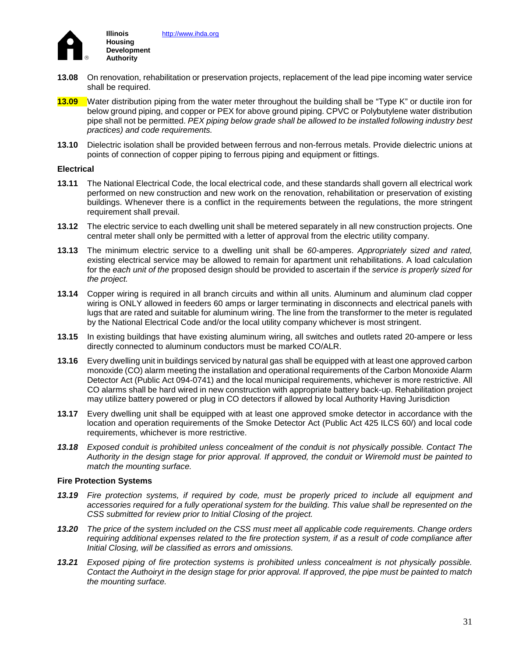

- **13.08** On renovation, rehabilitation or preservation projects, replacement of the lead pipe incoming water service shall be required.
- **13.09** Water distribution piping from the water meter throughout the building shall be "Type K" or ductile iron for below ground piping, and copper or PEX for above ground piping. CPVC or Polybutylene water distribution pipe shall not be permitted. *PEX piping below grade shall be allowed to be installed following industry best practices) and code requirements.*
- **13.10** Dielectric isolation shall be provided between ferrous and non-ferrous metals. Provide dielectric unions at points of connection of copper piping to ferrous piping and equipment or fittings.

#### **Electrical**

- **13.11** The National Electrical Code, the local electrical code, and these standards shall govern all electrical work performed on new construction and new work on the renovation, rehabilitation or preservation of existing buildings. Whenever there is a conflict in the requirements between the regulations, the more stringent requirement shall prevail.
- **13.12** The electric service to each dwelling unit shall be metered separately in all new construction projects. One central meter shall only be permitted with a letter of approval from the electric utility company.
- **13.13** The minimum electric service to a dwelling unit shall be *60-*amperes. *Appropriately sized and rated, e*xisting electrical service may be allowed to remain for apartment unit rehabilitations. A load calculation for the *each unit of the* proposed design should be provided to ascertain if the *service is properly sized for the project.*
- **13.14** Copper wiring is required in all branch circuits and within all units. Aluminum and aluminum clad copper wiring is ONLY allowed in feeders 60 amps or larger terminating in disconnects and electrical panels with lugs that are rated and suitable for aluminum wiring. The line from the transformer to the meter is regulated by the National Electrical Code and/or the local utility company whichever is most stringent.
- **13.15** In existing buildings that have existing aluminum wiring, all switches and outlets rated 20-ampere or less directly connected to aluminum conductors must be marked CO/ALR.
- **13.16** Every dwelling unit in buildings serviced by natural gas shall be equipped with at least one approved carbon monoxide (CO) alarm meeting the installation and operational requirements of the Carbon Monoxide Alarm Detector Act (Public Act 094-0741) and the local municipal requirements, whichever is more restrictive. All CO alarms shall be hard wired in new construction with appropriate battery back-up. Rehabilitation project may utilize battery powered or plug in CO detectors if allowed by local Authority Having Jurisdiction
- **13.17** Every dwelling unit shall be equipped with at least one approved smoke detector in accordance with the location and operation requirements of the Smoke Detector Act (Public Act 425 ILCS 60/) and local code requirements, whichever is more restrictive.
- *13.18 Exposed conduit is prohibited unless concealment of the conduit is not physically possible. Contact The Authority in the design stage for prior approval. If approved, the conduit or Wiremold must be painted to match the mounting surface.*

#### **Fire Protection Systems**

- *13.19 Fire protection systems, if required by code, must be properly priced to include all equipment and accessories required for a fully operational system for the building. This value shall be represented on the CSS submitted for review prior to Initial Closing of the project.*
- *13.20 The price of the system included on the CSS must meet all applicable code requirements. Change orders requiring additional expenses related to the fire protection system, if as a result of code compliance after Initial Closing, will be classified as errors and omissions.*
- *13.21 Exposed piping of fire protection systems is prohibited unless concealment is not physically possible. Contact the Authoiryt in the design stage for prior approval. If approved, the pipe must be painted to match the mounting surface.*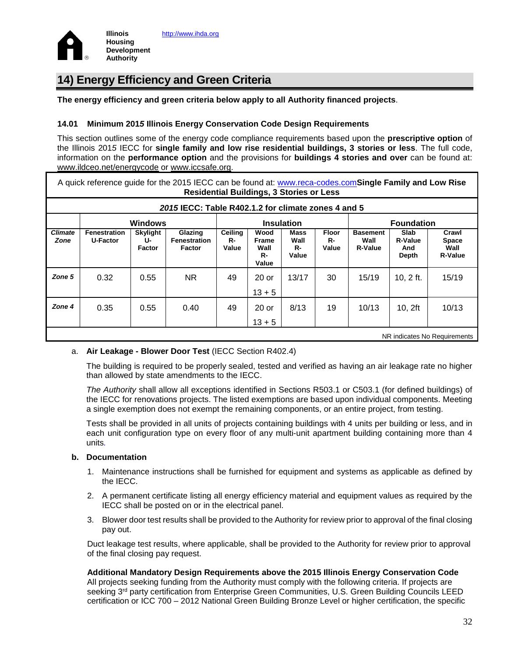

# **14) Energy Efficiency and Green Criteria**

**The energy efficiency and green criteria below apply to all Authority financed projects**.

### **14.01 Minimum 201***5* **Illinois Energy Conservation Code Design Requirements**

This section outlines some of the energy code compliance requirements based upon the **prescriptive option** of the Illinois 201*5* IECC for **single family and low rise residential buildings, 3 stories or less**. The full code, information on the **performance option** and the provisions for **buildings 4 stories and over** can be found at: [www.ildceo.net/energycode](http://www.ildceo.net/energycode) or [www.iccsafe.org.](http://www.iccsafe.org/)

|                                                     | A quick reference guide for the 2015 IECC can be found at: www.reca-codes.comSingle Family and Low Rise<br><b>Residential Buildings, 3 Stories or Less</b> |                                 |                                                 |                        |                                      |                                    |                             |                                           |                                        |                                                 |
|-----------------------------------------------------|------------------------------------------------------------------------------------------------------------------------------------------------------------|---------------------------------|-------------------------------------------------|------------------------|--------------------------------------|------------------------------------|-----------------------------|-------------------------------------------|----------------------------------------|-------------------------------------------------|
| 2015 IECC: Table R402.1.2 for climate zones 4 and 5 |                                                                                                                                                            |                                 |                                                 |                        |                                      |                                    |                             |                                           |                                        |                                                 |
| <b>Windows</b>                                      |                                                                                                                                                            |                                 |                                                 | <b>Insulation</b>      |                                      |                                    | <b>Foundation</b>           |                                           |                                        |                                                 |
| <b>Climate</b><br>Zone                              | Fenestration<br><b>U-Factor</b>                                                                                                                            | <b>Skylight</b><br>U-<br>Factor | Glazing<br><b>Fenestration</b><br><b>Factor</b> | Ceiling<br>R-<br>Value | Wood<br>Frame<br>Wall<br>R-<br>Value | <b>Mass</b><br>Wall<br>R-<br>Value | <b>Floor</b><br>R-<br>Value | <b>Basement</b><br>Wall<br><b>R-Value</b> | Slab<br><b>R-Value</b><br>And<br>Depth | Crawl<br><b>Space</b><br>Wall<br><b>R-Value</b> |
| Zone 5                                              | 0.32                                                                                                                                                       | 0.55                            | NR.                                             | 49                     | $20$ or<br>$13 + 5$                  | 13/17                              | 30                          | 15/19                                     | 10, 2 ft.                              | 15/19                                           |
| Zone 4                                              | 0.35                                                                                                                                                       | 0.55                            | 0.40                                            | 49                     | $20$ or<br>$13 + 5$                  | 8/13                               | 19                          | 10/13                                     | 10, 2ft                                | 10/13                                           |
| NR indicates No Requirements                        |                                                                                                                                                            |                                 |                                                 |                        |                                      |                                    |                             |                                           |                                        |                                                 |

### a. **Air Leakage - Blower Door Test** (IECC Section R402.4)

The building is required to be properly sealed, tested and verified as having an air leakage rate no higher than allowed by state amendments to the IECC.

*The Authority* shall allow all exceptions identified in Sections R503.1 or C503.1 (for defined buildings) of the IECC for renovations projects. The listed exemptions are based upon individual components. Meeting a single exemption does not exempt the remaining components, or an entire project, from testing.

Tests shall be provided in all units of projects containing buildings with 4 units per building or less, and in each unit configuration type on every floor of any multi-unit apartment building containing more than 4 units*.* 

### **b. Documentation**

- 1. Maintenance instructions shall be furnished for equipment and systems as applicable as defined by the IECC.
- 2. A permanent certificate listing all energy efficiency material and equipment values as required by the IECC shall be posted on or in the electrical panel.
- 3. Blower door test results shall be provided to the Authority for review prior to approval of the final closing pay out.

Duct leakage test results, where applicable, shall be provided to the Authority for review prior to approval of the final closing pay request.

### **Additional Mandatory Design Requirements above the 2015 Illinois Energy Conservation Code**

All projects seeking funding from the Authority must comply with the following criteria. If projects are seeking 3<sup>rd</sup> party certification from Enterprise Green Communities, U.S. Green Building Councils LEED certification or ICC 700 – 2012 National Green Building Bronze Level or higher certification, the specific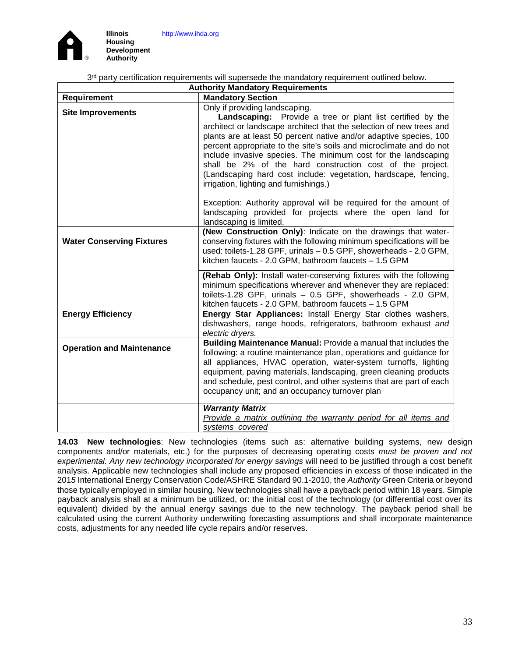



**Development Authority**

3<sup>rd</sup> party certification requirements will supersede the mandatory requirement outlined below.

| <b>Authority Mandatory Requirements</b> |                                                                                                                                                                                                                                                                                                                                                                                                                                                                                                                                                               |  |  |
|-----------------------------------------|---------------------------------------------------------------------------------------------------------------------------------------------------------------------------------------------------------------------------------------------------------------------------------------------------------------------------------------------------------------------------------------------------------------------------------------------------------------------------------------------------------------------------------------------------------------|--|--|
| Requirement                             | <b>Mandatory Section</b>                                                                                                                                                                                                                                                                                                                                                                                                                                                                                                                                      |  |  |
| <b>Site Improvements</b>                | Only if providing landscaping.<br>Landscaping: Provide a tree or plant list certified by the<br>architect or landscape architect that the selection of new trees and<br>plants are at least 50 percent native and/or adaptive species, 100<br>percent appropriate to the site's soils and microclimate and do not<br>include invasive species. The minimum cost for the landscaping<br>shall be 2% of the hard construction cost of the project.<br>(Landscaping hard cost include: vegetation, hardscape, fencing,<br>irrigation, lighting and furnishings.) |  |  |
|                                         | Exception: Authority approval will be required for the amount of<br>landscaping provided for projects where the open land for<br>landscaping is limited.                                                                                                                                                                                                                                                                                                                                                                                                      |  |  |
| <b>Water Conserving Fixtures</b>        | (New Construction Only): Indicate on the drawings that water-<br>conserving fixtures with the following minimum specifications will be<br>used: toilets-1.28 GPF, urinals - 0.5 GPF, showerheads - 2.0 GPM,<br>kitchen faucets - 2.0 GPM, bathroom faucets - 1.5 GPM                                                                                                                                                                                                                                                                                          |  |  |
|                                         | (Rehab Only): Install water-conserving fixtures with the following<br>minimum specifications wherever and whenever they are replaced:<br>toilets-1.28 GPF, urinals - 0.5 GPF, showerheads - 2.0 GPM,<br>kitchen faucets - 2.0 GPM, bathroom faucets - 1.5 GPM                                                                                                                                                                                                                                                                                                 |  |  |
| <b>Energy Efficiency</b>                | Energy Star Appliances: Install Energy Star clothes washers,<br>dishwashers, range hoods, refrigerators, bathroom exhaust and<br>electric dryers.                                                                                                                                                                                                                                                                                                                                                                                                             |  |  |
| <b>Operation and Maintenance</b>        | Building Maintenance Manual: Provide a manual that includes the<br>following: a routine maintenance plan, operations and guidance for<br>all appliances, HVAC operation, water-system turnoffs, lighting<br>equipment, paving materials, landscaping, green cleaning products<br>and schedule, pest control, and other systems that are part of each<br>occupancy unit; and an occupancy turnover plan                                                                                                                                                        |  |  |
|                                         | <b>Warranty Matrix</b><br>Provide a matrix outlining the warranty period for all items and<br>systems covered                                                                                                                                                                                                                                                                                                                                                                                                                                                 |  |  |

**14.03 New technologies**: New technologies (items such as: alternative building systems, new design components and/or materials, etc.) for the purposes of decreasing operating costs *must be proven and not experimental. Any new technology incorporated for energy savings* will need to be justified through a cost benefit analysis. Applicable new technologies shall include any proposed efficiencies in excess of those indicated in the 201*5* International Energy Conservation Code/ASHRE Standard 90.1-2010, the *Authority* Green Criteria or beyond those typically employed in similar housing. New technologies shall have a payback period within 18 years. Simple payback analysis shall at a minimum be utilized, or: the initial cost of the technology (or differential cost over its equivalent) divided by the annual energy savings due to the new technology. The payback period shall be calculated using the current Authority underwriting forecasting assumptions and shall incorporate maintenance costs, adjustments for any needed life cycle repairs and/or reserves.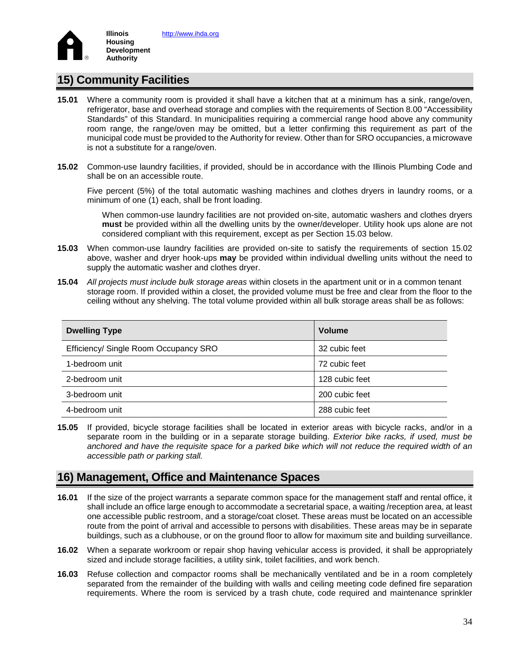

## **15) Community Facilities**

- **15.01** Where a community room is provided it shall have a kitchen that at a minimum has a sink, range/oven, refrigerator, base and overhead storage and complies with the requirements of Section 8.00 "Accessibility Standards" of this Standard. In municipalities requiring a commercial range hood above any community room range, the range/oven may be omitted, but a letter confirming this requirement as part of the municipal code must be provided to the Authority for review. Other than for SRO occupancies, a microwave is not a substitute for a range/oven.
- **15.02** Common-use laundry facilities, if provided, should be in accordance with the Illinois Plumbing Code and shall be on an accessible route.

Five percent (5%) of the total automatic washing machines and clothes dryers in laundry rooms, or a minimum of one (1) each, shall be front loading.

When common-use laundry facilities are not provided on-site, automatic washers and clothes dryers **must** be provided within all the dwelling units by the owner/developer. Utility hook ups alone are not considered compliant with this requirement, except as per Section 15.03 below.

- **15.03** When common-use laundry facilities are provided on-site to satisfy the requirements of section 15.02 above, washer and dryer hook-ups **may** be provided within individual dwelling units without the need to supply the automatic washer and clothes dryer.
- **15.04** *All projects must include bulk storage areas* within closets in the apartment unit or in a common tenant storage room. If provided within a closet, the provided volume must be free and clear from the floor to the ceiling without any shelving. The total volume provided within all bulk storage areas shall be as follows:

| <b>Dwelling Type</b>                  | <b>Volume</b>  |
|---------------------------------------|----------------|
| Efficiency/ Single Room Occupancy SRO | 32 cubic feet  |
| 1-bedroom unit                        | 72 cubic feet  |
| 2-bedroom unit                        | 128 cubic feet |
| 3-bedroom unit                        | 200 cubic feet |
| 4-bedroom unit                        | 288 cubic feet |

**15.05** If provided, bicycle storage facilities shall be located in exterior areas with bicycle racks, and/or in a separate room in the building or in a separate storage building. *Exterior bike racks, if used, must be anchored and have the requisite space for a parked bike which will not reduce the required width of an accessible path or parking stall.*

### **16) Management, Office and Maintenance Spaces**

- **16.01** If the size of the project warrants a separate common space for the management staff and rental office, it shall include an office large enough to accommodate a secretarial space, a waiting /reception area, at least one accessible public restroom, and a storage/coat closet. These areas must be located on an accessible route from the point of arrival and accessible to persons with disabilities. These areas may be in separate buildings, such as a clubhouse, or on the ground floor to allow for maximum site and building surveillance.
- **16.02** When a separate workroom or repair shop having vehicular access is provided, it shall be appropriately sized and include storage facilities, a utility sink, toilet facilities, and work bench.
- **16.03** Refuse collection and compactor rooms shall be mechanically ventilated and be in a room completely separated from the remainder of the building with walls and ceiling meeting code defined fire separation requirements. Where the room is serviced by a trash chute, code required and maintenance sprinkler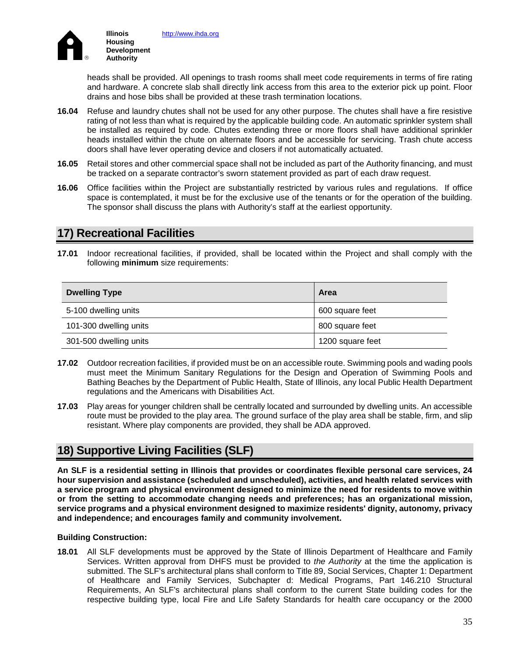

heads shall be provided. All openings to trash rooms shall meet code requirements in terms of fire rating and hardware. A concrete slab shall directly link access from this area to the exterior pick up point. Floor drains and hose bibs shall be provided at these trash termination locations.

- **16.04** Refuse and laundry chutes shall not be used for any other purpose. The chutes shall have a fire resistive rating of not less than what is required by the applicable building code. An automatic sprinkler system shall be installed as required by code*.* Chutes extending three or more floors shall have additional sprinkler heads installed within the chute on alternate floors and be accessible for servicing. Trash chute access doors shall have lever operating device and closers if not automatically actuated.
- **16.05** Retail stores and other commercial space shall not be included as part of the Authority financing, and must be tracked on a separate contractor's sworn statement provided as part of each draw request.
- **16.06** Office facilities within the Project are substantially restricted by various rules and regulations. If office space is contemplated, it must be for the exclusive use of the tenants or for the operation of the building. The sponsor shall discuss the plans with Authority's staff at the earliest opportunity.

## **17) Recreational Facilities**

**17.01** Indoor recreational facilities, if provided, shall be located within the Project and shall comply with the following **minimum** size requirements:

| <b>Dwelling Type</b>   | <b>Area</b>      |
|------------------------|------------------|
| 5-100 dwelling units   | 600 square feet  |
| 101-300 dwelling units | 800 square feet  |
| 301-500 dwelling units | 1200 square feet |

- **17.02** Outdoor recreation facilities, if provided must be on an accessible route. Swimming pools and wading pools must meet the Minimum Sanitary Regulations for the Design and Operation of Swimming Pools and Bathing Beaches by the Department of Public Health, State of Illinois, any local Public Health Department regulations and the Americans with Disabilities Act.
- **17.03** Play areas for younger children shall be centrally located and surrounded by dwelling units. An accessible route must be provided to the play area. The ground surface of the play area shall be stable, firm, and slip resistant. Where play components are provided, they shall be ADA approved.

# **18) Supportive Living Facilities (SLF)**

**An SLF is a residential setting in Illinois that provides or coordinates flexible personal care services, 24 hour supervision and assistance (scheduled and unscheduled), activities, and health related services with a service program and physical environment designed to minimize the need for residents to move within or from the setting to accommodate changing needs and preferences; has an organizational mission, service programs and a physical environment designed to maximize residents' dignity, autonomy, privacy and independence; and encourages family and community involvement.**

### **Building Construction:**

**18.01** All SLF developments must be approved by the State of Illinois Department of Healthcare and Family Services. Written approval from DHFS must be provided to *the Authority* at the time the application is submitted. The SLF's architectural plans shall conform to Title 89, Social Services, Chapter 1: Department of Healthcare and Family Services, Subchapter d: Medical Programs, Part 146.210 Structural Requirements, An SLF's architectural plans shall conform to the current State building codes for the respective building type, local Fire and Life Safety Standards for health care occupancy or the 2000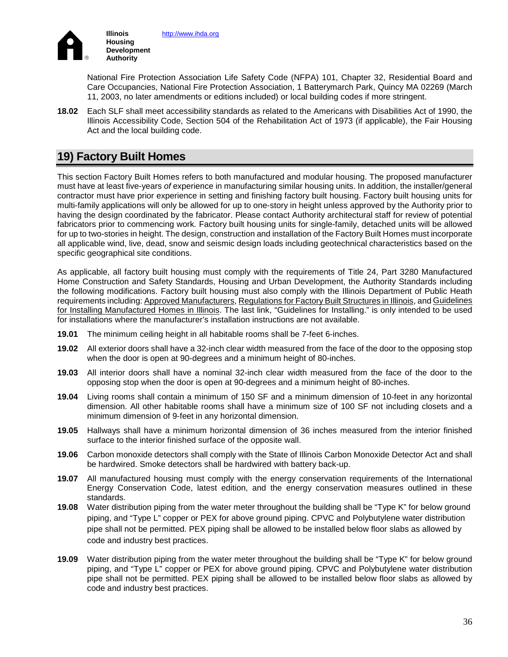

National Fire Protection Association Life Safety Code (NFPA) 101, Chapter 32, Residential Board and Care Occupancies, National Fire Protection Association, 1 Batterymarch Park, Quincy MA 02269 (March 11, 2003, no later amendments or editions included) or local building codes if more stringent.

**18.02** Each SLF shall meet accessibility standards as related to the Americans with Disabilities Act of 1990, the Illinois Accessibility Code, Section 504 of the Rehabilitation Act of 1973 (if applicable), the Fair Housing Act and the local building code.

# **19) Factory Built Homes**

This section Factory Built Homes refers to both manufactured and modular housing. The proposed manufacturer must have at least five-years *of* experience in manufacturing similar housing units. In addition, the installer/general contractor must have prior experience in setting and finishing factory built housing. Factory built housing units for multi-family applications will only be allowed for up to one-story in height unless approved by the Authority prior to having the design coordinated by the fabricator. Please contact Authority architectural staff for review of potential fabricators prior to commencing work*.* Factory built housing units for single-family, detached units will be allowed for up to two-stories in height. The design, construction and installation of the Factory Built Homes must incorporate all applicable wind, live, dead, snow and seismic design loads including geotechnical characteristics based on the specific geographical site conditions.

As applicable, all factory built housing must comply with the requirements of Title 24, Part 3280 Manufactured Home Construction and Safety Standards, Housing and Urban Development, the Authority Standards including the following modifications. Factory built housing must also comply with the Illinois Department of Public Heath requirements including: [Approved Manufacturers,](http://www.idph.state.il.us/envhealth/pdf/MH_approvedlist.pdf) [Regulations for Factory Built Structures in Illinois,](http://www.idph.state.il.us/envhealth/pdf/MH_RegOfFacBuilt.pdf) and Guidelines [for Installing Manufactured Homes in Illinois.](http://www.idph.state.il.us/envhealth/pdf/MH_guideinstallhomes.pdf) The last link, "Guidelines for Installing." is only intended to be used for installations where the manufacturer's installation instructions are not available.

- **19.01** The minimum ceiling height in all habitable rooms shall be 7-feet 6-inches.
- **19.02** All exterior doors shall have a 32-inch clear width measured from the face of the door to the opposing stop when the door is open at 90-degrees and a minimum height of 80-inches.
- **19.03** All interior doors shall have a nominal 32-inch clear width measured from the face of the door to the opposing stop when the door is open at 90-degrees and a minimum height of 80-inches.
- **19.04** Living rooms shall contain a minimum of 150 SF and a minimum dimension of 10-feet in any horizontal dimension. All other habitable rooms shall have a minimum size of 100 SF not including closets and a minimum dimension of 9-feet in any horizontal dimension.
- **19.05** Hallways shall have a minimum horizontal dimension of 36 inches measured from the interior finished surface to the interior finished surface of the opposite wall.
- **19.06** Carbon monoxide detectors shall comply with the State of Illinois Carbon Monoxide Detector Act and shall be hardwired. Smoke detectors shall be hardwired with battery back-up.
- **19.07** All manufactured housing must comply with the energy conservation requirements of the International Energy Conservation Code, latest edition, and the energy conservation measures outlined in these standards.
- **19.08** Water distribution piping from the water meter throughout the building shall be "Type K" for below ground piping, and "Type L" copper or PEX for above ground piping. CPVC and Polybutylene water distribution pipe shall not be permitted. PEX piping shall be allowed to be installed below floor slabs as allowed by code and industry best practices.
- **19.09** Water distribution piping from the water meter throughout the building shall be "Type K" for below ground piping, and "Type L" copper or PEX for above ground piping. CPVC and Polybutylene water distribution pipe shall not be permitted. PEX piping shall be allowed to be installed below floor slabs as allowed by code and industry best practices.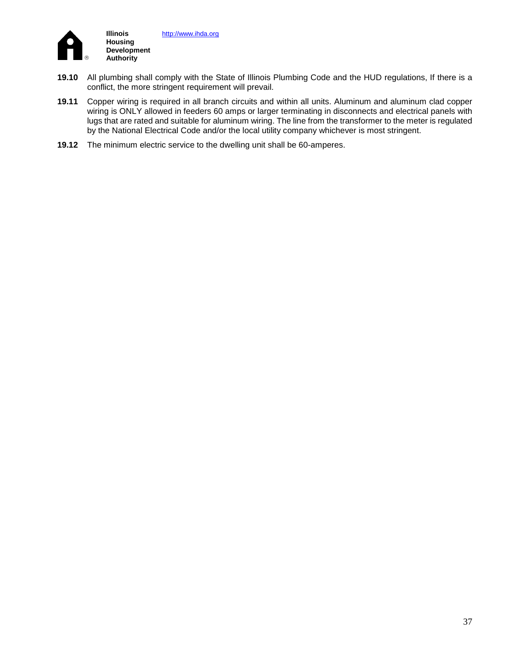

- **19.10** All plumbing shall comply with the State of Illinois Plumbing Code and the HUD regulations, If there is a conflict, the more stringent requirement will prevail.
- **19.11** Copper wiring is required in all branch circuits and within all units. Aluminum and aluminum clad copper wiring is ONLY allowed in feeders 60 amps or larger terminating in disconnects and electrical panels with lugs that are rated and suitable for aluminum wiring. The line from the transformer to the meter is regulated by the National Electrical Code and/or the local utility company whichever is most stringent.
- **19.12** The minimum electric service to the dwelling unit shall be 60-amperes.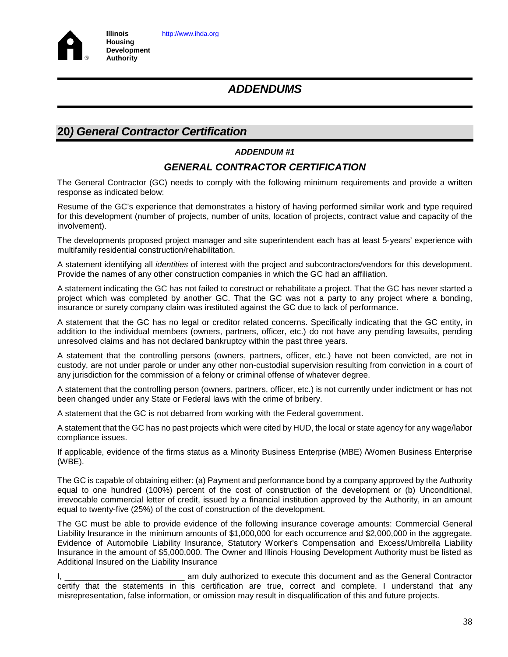

# **20***) General Contractor Certification*

### *ADDENDUM #1*

### *GENERAL CONTRACTOR CERTIFICATION*

The General Contractor (GC) needs to comply with the following minimum requirements and provide a written response as indicated below:

Resume of the GC's experience that demonstrates a history of having performed similar work and type required for this development (number of projects, number of units, location of projects, contract value and capacity of the involvement).

The developments proposed project manager and site superintendent each has at least 5-years' experience with multifamily residential construction/rehabilitation.

A statement identifying all *identities* of interest with the project and subcontractors/vendors for this development. Provide the names of any other construction companies in which the GC had an affiliation.

A statement indicating the GC has not failed to construct or rehabilitate a project. That the GC has never started a project which was completed by another GC. That the GC was not a party to any project where a bonding, insurance or surety company claim was instituted against the GC due to lack of performance.

A statement that the GC has no legal or creditor related concerns. Specifically indicating that the GC entity, in addition to the individual members (owners, partners, officer, etc.) do not have any pending lawsuits, pending unresolved claims and has not declared bankruptcy within the past three years.

A statement that the controlling persons (owners, partners, officer, etc.) have not been convicted, are not in custody, are not under parole or under any other non-custodial supervision resulting from conviction in a court of any jurisdiction for the commission of a felony or criminal offense of whatever degree.

A statement that the controlling person (owners, partners, officer, etc.) is not currently under indictment or has not been changed under any State or Federal laws with the crime of bribery.

A statement that the GC is not debarred from working with the Federal government.

A statement that the GC has no past projects which were cited by HUD, the local or state agency for any wage/labor compliance issues.

If applicable, evidence of the firms status as a Minority Business Enterprise (MBE) /Women Business Enterprise (WBE).

The GC is capable of obtaining either: (a) Payment and performance bond by a company approved by the Authority equal to one hundred (100%) percent of the cost of construction of the development or (b) Unconditional, irrevocable commercial letter of credit, issued by a financial institution approved by the Authority, in an amount equal to twenty-five (25%) of the cost of construction of the development.

The GC must be able to provide evidence of the following insurance coverage amounts: Commercial General Liability Insurance in the minimum amounts of \$1,000,000 for each occurrence and \$2,000,000 in the aggregate. Evidence of Automobile Liability Insurance, Statutory Worker's Compensation and Excess/Umbrella Liability Insurance in the amount of \$5,000,000. The Owner and Illinois Housing Development Authority must be listed as Additional Insured on the Liability Insurance

I, **I, consider the Contractor** am duly authorized to execute this document and as the General Contractor certify that the statements in this certification are true, correct and complete. I understand that any misrepresentation, false information, or omission may result in disqualification of this and future projects.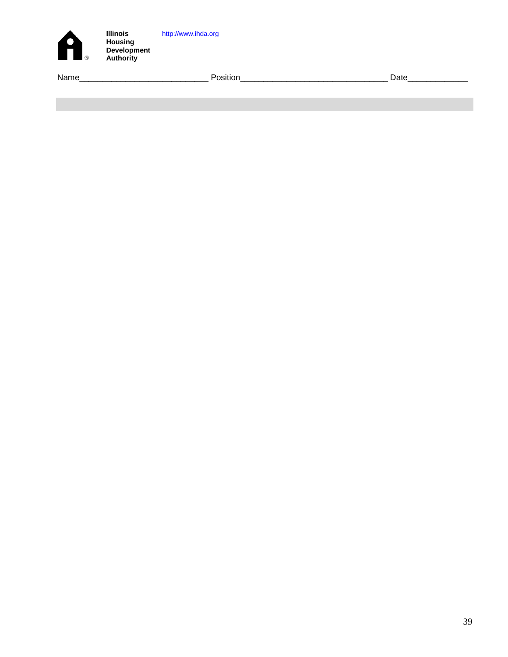| A<br>$\circledR$ | <b>Illinois</b><br><b>Housing</b><br><b>Development</b><br><b>Authority</b> | http://www.ihda.org |      |
|------------------|-----------------------------------------------------------------------------|---------------------|------|
| Name             |                                                                             | Position            | Date |
|                  |                                                                             |                     |      |
|                  |                                                                             |                     |      |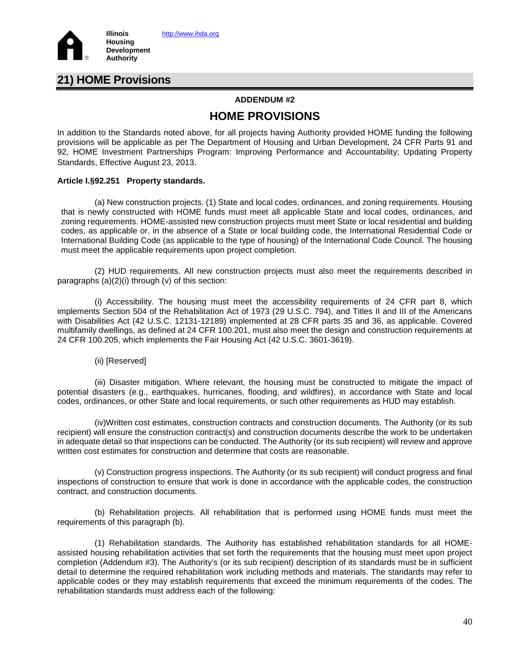

# **21) HOME Provisions**

### **ADDENDUM #2**

## **HOME PROVISIONS**

In addition to the Standards noted above, for all projects having Authority provided HOME funding the following provisions will be applicable as per The Department of Housing and Urban Development, 24 CFR Parts 91 and 92, HOME Investment Partnerships Program: Improving Performance and Accountability; Updating Property Standards, Effective August 23, 2013.

### **Article I.§92.251 Property standards.**

(a) New construction projects. (1) State and local codes, ordinances, and zoning requirements. Housing that is newly constructed with HOME funds must meet all applicable State and local codes, ordinances, and zoning requirements. HOME-assisted new construction projects must meet State or local residential and building codes, as applicable or, in the absence of a State or local building code, the International Residential Code or International Building Code (as applicable to the type of housing) of the International Code Council. The housing must meet the applicable requirements upon project completion.

(2) HUD requirements. All new construction projects must also meet the requirements described in paragraphs (a)(2)(i) through (v) of this section:

(i) Accessibility. The housing must meet the accessibility requirements of 24 CFR part 8, which implements Section 504 of the Rehabilitation Act of 1973 (29 U.S.C. 794), and Titles II and III of the Americans with Disabilities Act (42 U.S.C. 12131-12189) implemented at 28 CFR parts 35 and 36, as applicable. Covered multifamily dwellings, as defined at 24 CFR 100.201, must also meet the design and construction requirements at 24 CFR 100.205, which implements the Fair Housing Act (42 U.S.C. 3601-3619).

(ii) [Reserved]

(iii) Disaster mitigation. Where relevant, the housing must be constructed to mitigate the impact of potential disasters (e.g., earthquakes, hurricanes, flooding, and wildfires), in accordance with State and local codes, ordinances, or other State and local requirements, or such other requirements as HUD may establish.

(iv)Written cost estimates, construction contracts and construction documents. The Authority (or its sub recipient) will ensure the construction contract(s) and construction documents describe the work to be undertaken in adequate detail so that inspections can be conducted. The Authority (or its sub recipient) will review and approve written cost estimates for construction and determine that costs are reasonable.

(v) Construction progress inspections. The Authority (or its sub recipient) will conduct progress and final inspections of construction to ensure that work is done in accordance with the applicable codes, the construction contract, and construction documents.

(b) Rehabilitation projects. All rehabilitation that is performed using HOME funds must meet the requirements of this paragraph (b).

(1) Rehabilitation standards. The Authority has established rehabilitation standards for all HOMEassisted housing rehabilitation activities that set forth the requirements that the housing must meet upon project completion (Addendum #3). The Authority's (or its sub recipient) description of its standards must be in sufficient detail to determine the required rehabilitation work including methods and materials. The standards may refer to applicable codes or they may establish requirements that exceed the minimum requirements of the codes. The rehabilitation standards must address each of the following: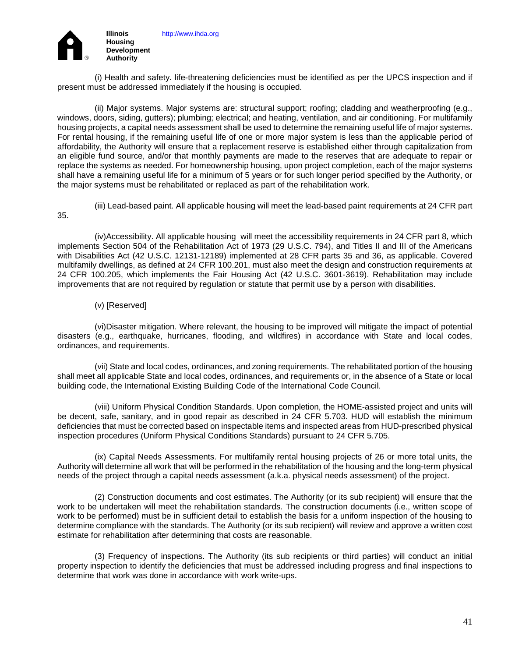

(i) Health and safety. life-threatening deficiencies must be identified as per the UPCS inspection and if present must be addressed immediately if the housing is occupied.

(ii) Major systems. Major systems are: structural support; roofing; cladding and weatherproofing (e.g., windows, doors, siding, gutters); plumbing; electrical; and heating, ventilation, and air conditioning. For multifamily housing projects, a capital needs assessment shall be used to determine the remaining useful life of major systems. For rental housing, if the remaining useful life of one or more major system is less than the applicable period of affordability, the Authority will ensure that a replacement reserve is established either through capitalization from an eligible fund source, and/or that monthly payments are made to the reserves that are adequate to repair or replace the systems as needed. For homeownership housing, upon project completion, each of the major systems shall have a remaining useful life for a minimum of 5 years or for such longer period specified by the Authority, or the major systems must be rehabilitated or replaced as part of the rehabilitation work.

(iii) Lead-based paint. All applicable housing will meet the lead-based paint requirements at 24 CFR part 35.

(iv)Accessibility. All applicable housing will meet the accessibility requirements in 24 CFR part 8, which implements Section 504 of the Rehabilitation Act of 1973 (29 U.S.C. 794), and Titles II and III of the Americans with Disabilities Act (42 U.S.C. 12131-12189) implemented at 28 CFR parts 35 and 36, as applicable. Covered multifamily dwellings, as defined at 24 CFR 100.201, must also meet the design and construction requirements at 24 CFR 100.205, which implements the Fair Housing Act (42 U.S.C. 3601-3619). Rehabilitation may include improvements that are not required by regulation or statute that permit use by a person with disabilities.

### (v) [Reserved]

(vi)Disaster mitigation. Where relevant, the housing to be improved will mitigate the impact of potential disasters (e.g., earthquake, hurricanes, flooding, and wildfires) in accordance with State and local codes, ordinances, and requirements.

(vii) State and local codes, ordinances, and zoning requirements. The rehabilitated portion of the housing shall meet all applicable State and local codes, ordinances, and requirements or, in the absence of a State or local building code, the International Existing Building Code of the International Code Council.

(viii) Uniform Physical Condition Standards. Upon completion, the HOME-assisted project and units will be decent, safe, sanitary, and in good repair as described in 24 CFR 5.703. HUD will establish the minimum deficiencies that must be corrected based on inspectable items and inspected areas from HUD-prescribed physical inspection procedures (Uniform Physical Conditions Standards) pursuant to 24 CFR 5.705.

(ix) Capital Needs Assessments. For multifamily rental housing projects of 26 or more total units, the Authority will determine all work that will be performed in the rehabilitation of the housing and the long-term physical needs of the project through a capital needs assessment (a.k.a. physical needs assessment) of the project.

(2) Construction documents and cost estimates. The Authority (or its sub recipient) will ensure that the work to be undertaken will meet the rehabilitation standards. The construction documents (i.e., written scope of work to be performed) must be in sufficient detail to establish the basis for a uniform inspection of the housing to determine compliance with the standards. The Authority (or its sub recipient) will review and approve a written cost estimate for rehabilitation after determining that costs are reasonable.

(3) Frequency of inspections. The Authority (its sub recipients or third parties) will conduct an initial property inspection to identify the deficiencies that must be addressed including progress and final inspections to determine that work was done in accordance with work write-ups.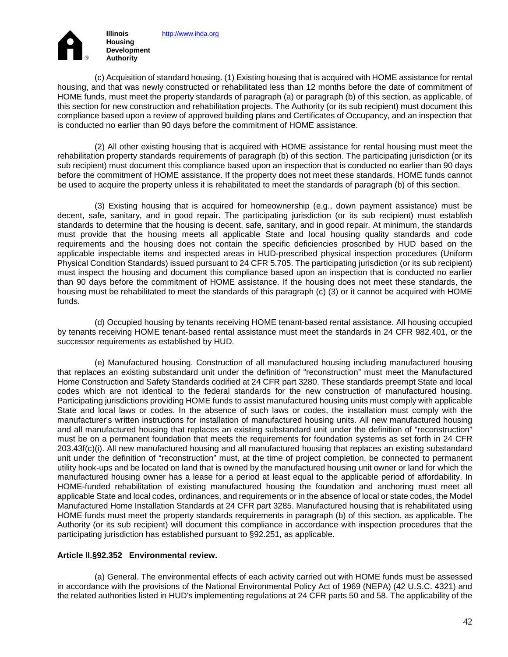

(c) Acquisition of standard housing. (1) Existing housing that is acquired with HOME assistance for rental housing, and that was newly constructed or rehabilitated less than 12 months before the date of commitment of HOME funds, must meet the property standards of paragraph (a) or paragraph (b) of this section, as applicable, of this section for new construction and rehabilitation projects. The Authority (or its sub recipient) must document this compliance based upon a review of approved building plans and Certificates of Occupancy, and an inspection that is conducted no earlier than 90 days before the commitment of HOME assistance.

(2) All other existing housing that is acquired with HOME assistance for rental housing must meet the rehabilitation property standards requirements of paragraph (b) of this section. The participating jurisdiction (or its sub recipient) must document this compliance based upon an inspection that is conducted no earlier than 90 days before the commitment of HOME assistance. If the property does not meet these standards, HOME funds cannot be used to acquire the property unless it is rehabilitated to meet the standards of paragraph (b) of this section.

(3) Existing housing that is acquired for homeownership (e.g., down payment assistance) must be decent, safe, sanitary, and in good repair. The participating jurisdiction (or its sub recipient) must establish standards to determine that the housing is decent, safe, sanitary, and in good repair. At minimum, the standards must provide that the housing meets all applicable State and local housing quality standards and code requirements and the housing does not contain the specific deficiencies proscribed by HUD based on the applicable inspectable items and inspected areas in HUD-prescribed physical inspection procedures (Uniform Physical Condition Standards) issued pursuant to 24 CFR 5.705. The participating jurisdiction (or its sub recipient) must inspect the housing and document this compliance based upon an inspection that is conducted no earlier than 90 days before the commitment of HOME assistance. If the housing does not meet these standards, the housing must be rehabilitated to meet the standards of this paragraph (c) (3) or it cannot be acquired with HOME funds.

(d) Occupied housing by tenants receiving HOME tenant-based rental assistance. All housing occupied by tenants receiving HOME tenant-based rental assistance must meet the standards in 24 CFR 982.401, or the successor requirements as established by HUD.

(e) Manufactured housing. Construction of all manufactured housing including manufactured housing that replaces an existing substandard unit under the definition of "reconstruction" must meet the Manufactured Home Construction and Safety Standards codified at 24 CFR part 3280. These standards preempt State and local codes which are not identical to the federal standards for the new construction of manufactured housing. Participating jurisdictions providing HOME funds to assist manufactured housing units must comply with applicable State and local laws or codes. In the absence of such laws or codes, the installation must comply with the manufacturer's written instructions for installation of manufactured housing units. All new manufactured housing and all manufactured housing that replaces an existing substandard unit under the definition of "reconstruction" must be on a permanent foundation that meets the requirements for foundation systems as set forth in 24 CFR 203.43f(c)(i). All new manufactured housing and all manufactured housing that replaces an existing substandard unit under the definition of "reconstruction" must, at the time of project completion, be connected to permanent utility hook-ups and be located on land that is owned by the manufactured housing unit owner or land for which the manufactured housing owner has a lease for a period at least equal to the applicable period of affordability. In HOME-funded rehabilitation of existing manufactured housing the foundation and anchoring must meet all applicable State and local codes, ordinances, and requirements or in the absence of local or state codes, the Model Manufactured Home Installation Standards at 24 CFR part 3285. Manufactured housing that is rehabilitated using HOME funds must meet the property standards requirements in paragraph (b) of this section, as applicable. The Authority (or its sub recipient) will document this compliance in accordance with inspection procedures that the participating jurisdiction has established pursuant to §92.251, as applicable.

### **Article II.§92.352 Environmental review.**

(a) General. The environmental effects of each activity carried out with HOME funds must be assessed in accordance with the provisions of the National Environmental Policy Act of 1969 (NEPA) (42 U.S.C. 4321) and the related authorities listed in HUD's implementing regulations at 24 CFR parts 50 and 58. The applicability of the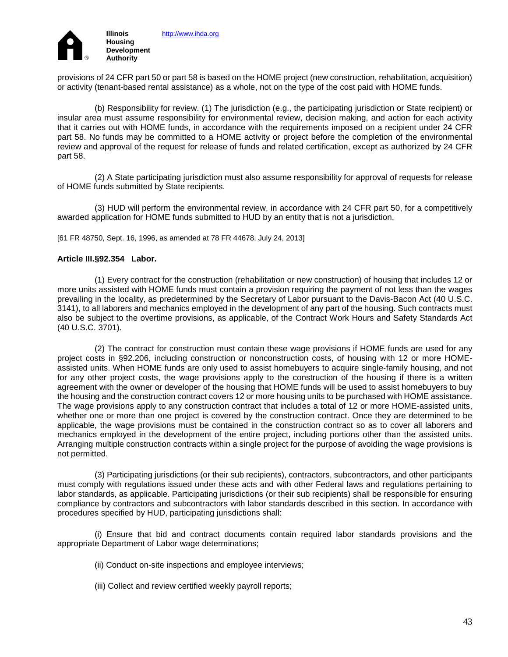

provisions of 24 CFR part 50 or part 58 is based on the HOME project (new construction, rehabilitation, acquisition) or activity (tenant-based rental assistance) as a whole, not on the type of the cost paid with HOME funds.

(b) Responsibility for review. (1) The jurisdiction (e.g., the participating jurisdiction or State recipient) or insular area must assume responsibility for environmental review, decision making, and action for each activity that it carries out with HOME funds, in accordance with the requirements imposed on a recipient under 24 CFR part 58. No funds may be committed to a HOME activity or project before the completion of the environmental review and approval of the request for release of funds and related certification, except as authorized by 24 CFR part 58.

(2) A State participating jurisdiction must also assume responsibility for approval of requests for release of HOME funds submitted by State recipients.

(3) HUD will perform the environmental review, in accordance with 24 CFR part 50, for a competitively awarded application for HOME funds submitted to HUD by an entity that is not a jurisdiction.

[61 FR 48750, Sept. 16, 1996, as amended at 78 FR 44678, July 24, 2013]

### **Article III.§92.354 Labor.**

(1) Every contract for the construction (rehabilitation or new construction) of housing that includes 12 or more units assisted with HOME funds must contain a provision requiring the payment of not less than the wages prevailing in the locality, as predetermined by the Secretary of Labor pursuant to the Davis-Bacon Act (40 U.S.C. 3141), to all laborers and mechanics employed in the development of any part of the housing. Such contracts must also be subject to the overtime provisions, as applicable, of the Contract Work Hours and Safety Standards Act (40 U.S.C. 3701).

(2) The contract for construction must contain these wage provisions if HOME funds are used for any project costs in §92.206, including construction or nonconstruction costs, of housing with 12 or more HOMEassisted units. When HOME funds are only used to assist homebuyers to acquire single-family housing, and not for any other project costs, the wage provisions apply to the construction of the housing if there is a written agreement with the owner or developer of the housing that HOME funds will be used to assist homebuyers to buy the housing and the construction contract covers 12 or more housing units to be purchased with HOME assistance. The wage provisions apply to any construction contract that includes a total of 12 or more HOME-assisted units, whether one or more than one project is covered by the construction contract. Once they are determined to be applicable, the wage provisions must be contained in the construction contract so as to cover all laborers and mechanics employed in the development of the entire project, including portions other than the assisted units. Arranging multiple construction contracts within a single project for the purpose of avoiding the wage provisions is not permitted.

(3) Participating jurisdictions (or their sub recipients), contractors, subcontractors, and other participants must comply with regulations issued under these acts and with other Federal laws and regulations pertaining to labor standards, as applicable. Participating jurisdictions (or their sub recipients) shall be responsible for ensuring compliance by contractors and subcontractors with labor standards described in this section. In accordance with procedures specified by HUD, participating jurisdictions shall:

(i) Ensure that bid and contract documents contain required labor standards provisions and the appropriate Department of Labor wage determinations;

- (ii) Conduct on-site inspections and employee interviews;
- (iii) Collect and review certified weekly payroll reports;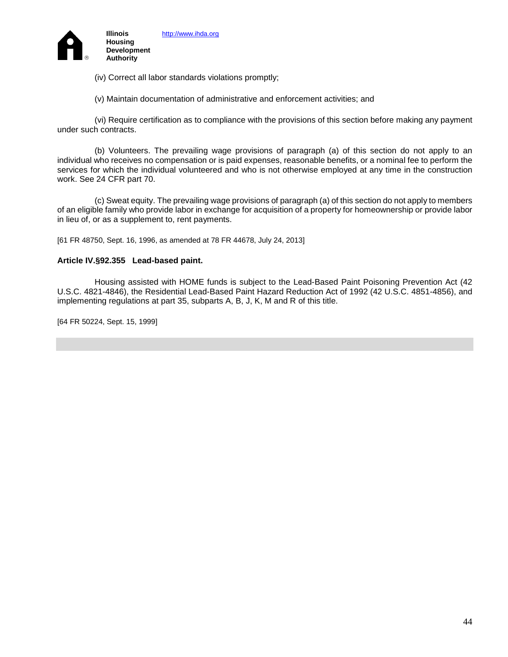

(iv) Correct all labor standards violations promptly;

(v) Maintain documentation of administrative and enforcement activities; and

(vi) Require certification as to compliance with the provisions of this section before making any payment under such contracts.

(b) Volunteers. The prevailing wage provisions of paragraph (a) of this section do not apply to an individual who receives no compensation or is paid expenses, reasonable benefits, or a nominal fee to perform the services for which the individual volunteered and who is not otherwise employed at any time in the construction work. See 24 CFR part 70.

(c) Sweat equity. The prevailing wage provisions of paragraph (a) of this section do not apply to members of an eligible family who provide labor in exchange for acquisition of a property for homeownership or provide labor in lieu of, or as a supplement to, rent payments.

[61 FR 48750, Sept. 16, 1996, as amended at 78 FR 44678, July 24, 2013]

### **Article IV.§92.355 Lead-based paint.**

Housing assisted with HOME funds is subject to the Lead-Based Paint Poisoning Prevention Act (42 U.S.C. 4821-4846), the Residential Lead-Based Paint Hazard Reduction Act of 1992 (42 U.S.C. 4851-4856), and implementing regulations at part 35, subparts A, B, J, K, M and R of this title.

[64 FR 50224, Sept. 15, 1999]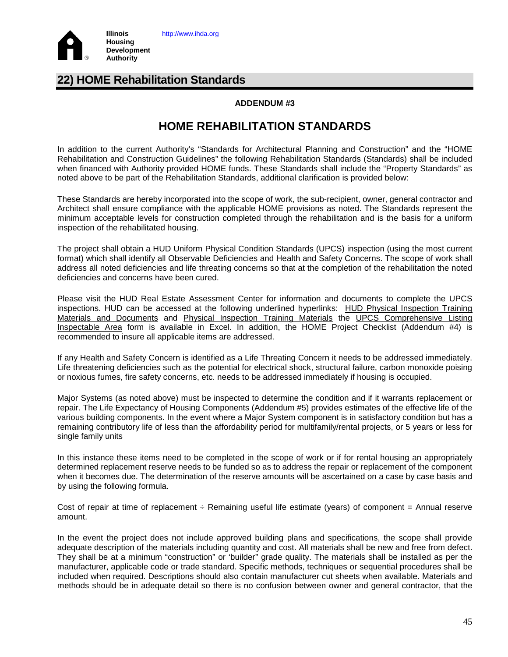

# **22) HOME Rehabilitation Standards**

### **ADDENDUM #3**

# **HOME REHABILITATION STANDARDS**

In addition to the current Authority's "Standards for Architectural Planning and Construction" and the "HOME Rehabilitation and Construction Guidelines" the following Rehabilitation Standards (Standards) shall be included when financed with Authority provided HOME funds. These Standards shall include the "Property Standards" as noted above to be part of the Rehabilitation Standards, additional clarification is provided below:

These Standards are hereby incorporated into the scope of work, the sub-recipient, owner, general contractor and Architect shall ensure compliance with the applicable HOME provisions as noted. The Standards represent the minimum acceptable levels for construction completed through the rehabilitation and is the basis for a uniform inspection of the rehabilitated housing.

The project shall obtain a HUD Uniform Physical Condition Standards (UPCS) inspection (using the most current format) which shall identify all Observable Deficiencies and Health and Safety Concerns. The scope of work shall address all noted deficiencies and life threating concerns so that at the completion of the rehabilitation the noted deficiencies and concerns have been cured.

Please visit the HUD Real Estate Assessment Center for information and documents to complete the UPCS inspections. HUD can be accessed at the following underlined hyperlinks: [HUD Physical Inspection Training](http://www.hud.gov/offices/reac/training/pass_tm.cfm)  [Materials and Documents](http://www.hud.gov/offices/reac/training/pass_tm.cfm) and [Physical Inspection Training Materials](http://portal.hud.gov/hudportal/HUD?src=/program_offices/public_indian_housing/reac/products/pass/materials) the [UPCS Comprehensive Listing](http://portal.hud.gov/hudportal/documents/huddoc?id=DOC_26482.xls)  [Inspectable Area](http://portal.hud.gov/hudportal/documents/huddoc?id=DOC_26482.xls) form is available in Excel. In addition, the HOME Project Checklist (Addendum #4) is recommended to insure all applicable items are addressed.

If any Health and Safety Concern is identified as a Life Threating Concern it needs to be addressed immediately. Life threatening deficiencies such as the potential for electrical shock, structural failure, carbon monoxide poising or noxious fumes, fire safety concerns, etc. needs to be addressed immediately if housing is occupied.

Major Systems (as noted above) must be inspected to determine the condition and if it warrants replacement or repair. The Life Expectancy of Housing Components (Addendum #5) provides estimates of the effective life of the various building components. In the event where a Major System component is in satisfactory condition but has a remaining contributory life of less than the affordability period for multifamily/rental projects, or 5 years or less for single family units

In this instance these items need to be completed in the scope of work or if for rental housing an appropriately determined replacement reserve needs to be funded so as to address the repair or replacement of the component when it becomes due. The determination of the reserve amounts will be ascertained on a case by case basis and by using the following formula.

Cost of repair at time of replacement  $\div$  Remaining useful life estimate (years) of component = Annual reserve amount.

In the event the project does not include approved building plans and specifications, the scope shall provide adequate description of the materials including quantity and cost. All materials shall be new and free from defect. They shall be at a minimum "construction" or 'builder" grade quality. The materials shall be installed as per the manufacturer, applicable code or trade standard. Specific methods, techniques or sequential procedures shall be included when required. Descriptions should also contain manufacturer cut sheets when available. Materials and methods should be in adequate detail so there is no confusion between owner and general contractor, that the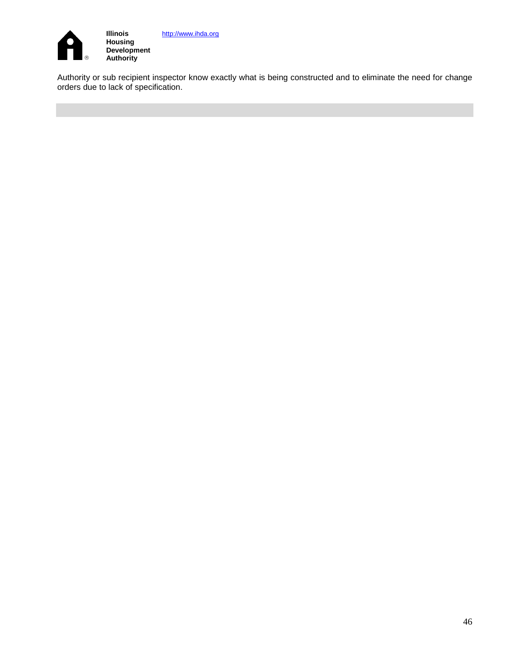

[http://www.ihda.org](http://www.ihda.org/)

Authority or sub recipient inspector know exactly what is being constructed and to eliminate the need for change orders due to lack of specification.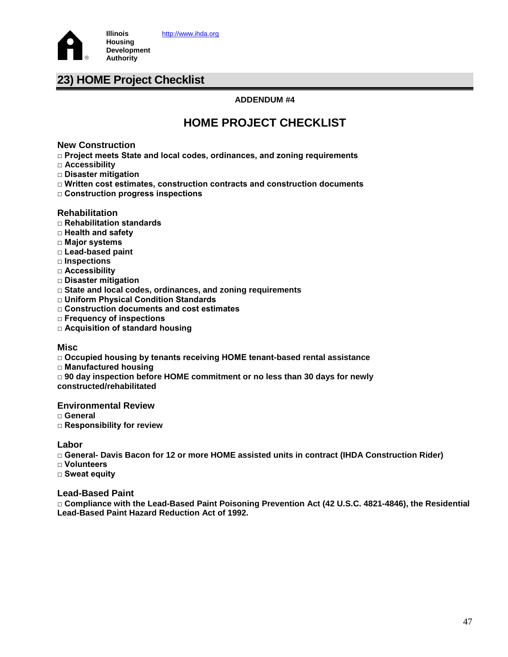

# **23) HOME Project Checklist**

### **ADDENDUM #4**

# **HOME PROJECT CHECKLIST**

### **New Construction**

- **□ Project meets State and local codes, ordinances, and zoning requirements**
- **□ Accessibility**
- **□ Disaster mitigation**
- **□ Written cost estimates, construction contracts and construction documents**
- **□ Construction progress inspections**

### **Rehabilitation**

- **□ Rehabilitation standards**
- **□ Health and safety**
- **□ Major systems**
- **□ Lead-based paint**
- **□ Inspections**
- **□ Accessibility**
- **□ Disaster mitigation**
- **□ State and local codes, ordinances, and zoning requirements**
- **□ Uniform Physical Condition Standards**
- **□ Construction documents and cost estimates**
- **□ Frequency of inspections**
- **□ Acquisition of standard housing**

### **Misc**

- **□ Occupied housing by tenants receiving HOME tenant-based rental assistance**
- **□ Manufactured housing**
- **□ 90 day inspection before HOME commitment or no less than 30 days for newly**
- **constructed/rehabilitated**

### **Environmental Review**

- **□ General**
- **□ Responsibility for review**

### **Labor**

**□ General- Davis Bacon for 12 or more HOME assisted units in contract (IHDA Construction Rider)**

- **□ Volunteers**
- **□ Sweat equity**

### **Lead-Based Paint**

**□ Compliance with the Lead-Based Paint Poisoning Prevention Act (42 U.S.C. 4821-4846), the Residential Lead-Based Paint Hazard Reduction Act of 1992.**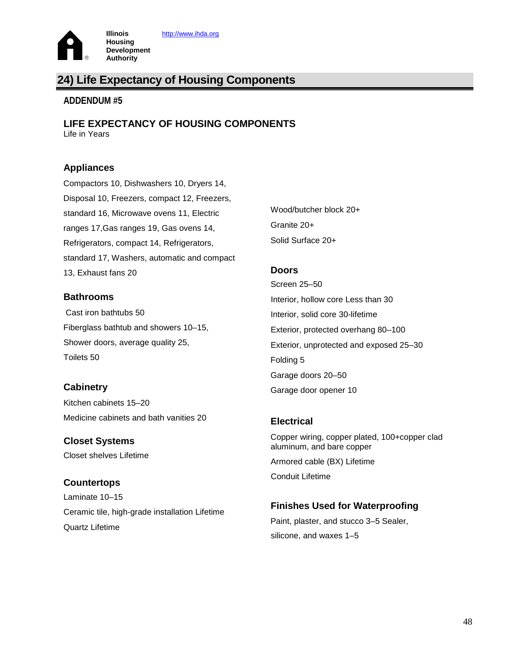

# **24) Life Expectancy of Housing Components**

### **ADDENDUM #5**

**LIFE EXPECTANCY OF HOUSING COMPONENTS** Life in Years

### **Appliances**

Compactors 10, Dishwashers 10, Dryers 14, Disposal 10, Freezers, compact 12, Freezers, standard 16, Microwave ovens 11, Electric ranges 17,Gas ranges 19, Gas ovens 14, Refrigerators, compact 14, Refrigerators, standard 17, Washers, automatic and compact 13, Exhaust fans 20

### **Bathrooms**

Cast iron bathtubs 50 Fiberglass bathtub and showers 10–15, Shower doors, average quality 25, Toilets 50

### **Cabinetry**

Kitchen cabinets 15–20 Medicine cabinets and bath vanities 20

**Closet Systems**  Closet shelves Lifetime

### **Countertops**  Laminate 10–15

Ceramic tile, high-grade installation Lifetime Quartz Lifetime

Wood/butcher block 20+ Granite 20+ Solid Surface 20+

### **Doors**

Screen 25–50 Interior, hollow core Less than 30 Interior, solid core 30-lifetime Exterior, protected overhang 80–100 Exterior, unprotected and exposed 25–30 Folding 5 Garage doors 20–50 Garage door opener 10

### **Electrical**

Copper wiring, copper plated, 100+copper clad aluminum, and bare copper Armored cable (BX) Lifetime Conduit Lifetime

### **Finishes Used for Waterproofing**

Paint, plaster, and stucco 3–5 Sealer, silicone, and waxes 1–5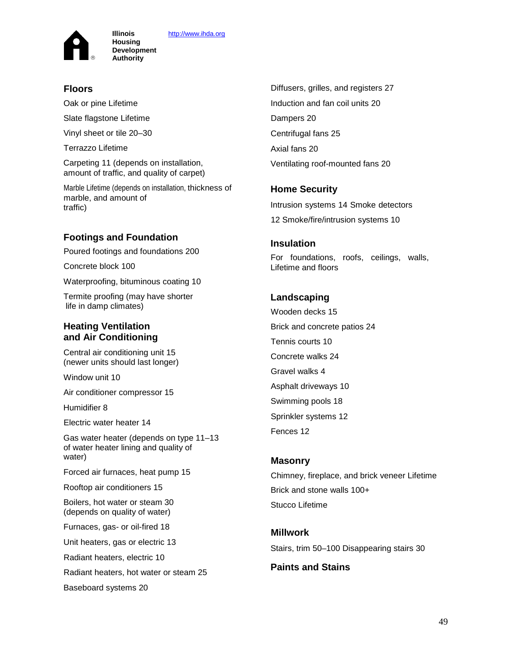[http://www.ihda.org](http://www.ihda.org/)



**Illinois Housing Development Authority**

### **Floors**

Oak or pine Lifetime

Slate flagstone Lifetime

Vinyl sheet or tile 20–30

Terrazzo Lifetime

Carpeting 11 (depends on installation, amount of traffic, and quality of carpet)

Marble Lifetime (depends on installation, thickness of marble, and amount of traffic)

### **Footings and Foundation**

Poured footings and foundations 200

Concrete block 100

Waterproofing, bituminous coating 10

Termite proofing (may have shorter life in damp climates)

### **Heating Ventilation and Air Conditioning**

Central air conditioning unit 15 (newer units should last longer)

Window unit 10

Air conditioner compressor 15

Humidifier 8

Electric water heater 14

Gas water heater (depends on type 11–13 of water heater lining and quality of water)

Forced air furnaces, heat pump 15

Rooftop air conditioners 15

Boilers, hot water or steam 30 (depends on quality of water)

Furnaces, gas- or oil-fired 18

Unit heaters, gas or electric 13

Radiant heaters, electric 10

Radiant heaters, hot water or steam 25

Baseboard systems 20

Diffusers, grilles, and registers 27 Induction and fan coil units 20 Dampers 20 Centrifugal fans 25 Axial fans 20 Ventilating roof-mounted fans 20

### **Home Security**

Intrusion systems 14 Smoke detectors 12 Smoke/fire/intrusion systems 10

### **Insulation**

For foundations, roofs, ceilings, walls, Lifetime and floors

### **Landscaping**

Wooden decks 15 Brick and concrete patios 24 Tennis courts 10 Concrete walks 24 Gravel walks 4 Asphalt driveways 10 Swimming pools 18 Sprinkler systems 12 Fences 12

### **Masonry**

Chimney, fireplace, and brick veneer Lifetime Brick and stone walls 100+ Stucco Lifetime

### **Millwork**

Stairs, trim 50–100 Disappearing stairs 30

### **Paints and Stains**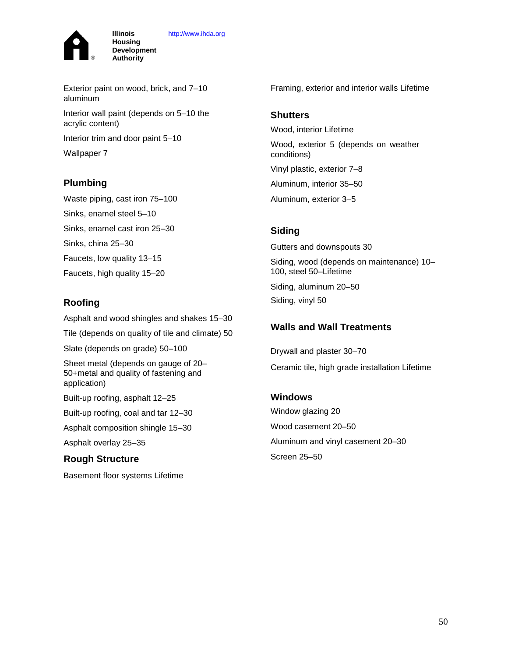[http://www.ihda.org](http://www.ihda.org/)



Exterior paint on wood, brick, and 7–10 aluminum

Interior wall paint (depends on 5–10 the acrylic content)

Interior trim and door paint 5–10

**Illinois Housing Development Authority**

Wallpaper 7

### **Plumbing**

Waste piping, cast iron 75–100 Sinks, enamel steel 5–10 Sinks, enamel cast iron 25–30 Sinks, china 25–30 Faucets, low quality 13–15 Faucets, high quality 15–20

### **Roofing**

Asphalt and wood shingles and shakes 15–30

Tile (depends on quality of tile and climate) 50

Slate (depends on grade) 50–100

Sheet metal (depends on gauge of 20– 50+metal and quality of fastening and application)

Built-up roofing, asphalt 12–25

Built-up roofing, coal and tar 12–30

Asphalt composition shingle 15–30

Asphalt overlay 25–35

### **Rough Structure**

Basement floor systems Lifetime

Framing, exterior and interior walls Lifetime

### **Shutters**

Wood, interior Lifetime Wood, exterior 5 (depends on weather conditions) Vinyl plastic, exterior 7–8 Aluminum, interior 35–50 Aluminum, exterior 3–5

### **Siding**

Gutters and downspouts 30 Siding, wood (depends on maintenance) 10– 100, steel 50–Lifetime Siding, aluminum 20–50 Siding, vinyl 50

### **Walls and Wall Treatments**

Drywall and plaster 30–70 Ceramic tile, high grade installation Lifetime

### **Windows**

Window glazing 20 Wood casement 20–50 Aluminum and vinyl casement 20–30 Screen 25–50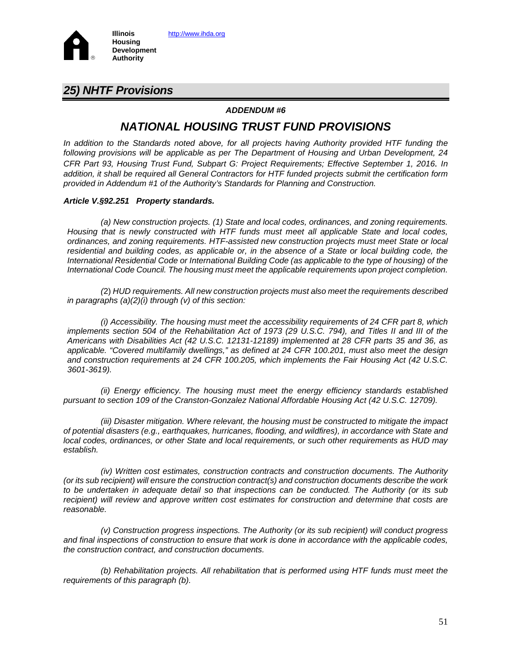

### *25) NHTF Provisions*

### *ADDENDUM #6*

## *NATIONAL HOUSING TRUST FUND PROVISIONS*

*In addition to the Standards noted above, for all projects having Authority provided HTF funding the following provisions will be applicable as per The Department of Housing and Urban Development, 24 CFR Part 93, Housing Trust Fund, Subpart G: Project Requirements; Effective September 1, 2016. In addition, it shall be required all General Contractors for HTF funded projects submit the certification form provided in Addendum #1 of the Authority's Standards for Planning and Construction.*

### *Article V.§92.251 Property standards.*

*(a) New construction projects. (1) State and local codes, ordinances, and zoning requirements. Housing that is newly constructed with HTF funds must meet all applicable State and local codes, ordinances, and zoning requirements. HTF-assisted new construction projects must meet State or local*  residential and building codes, as applicable or, in the absence of a State or local building code, the *International Residential Code or International Building Code (as applicable to the type of housing) of the International Code Council. The housing must meet the applicable requirements upon project completion.* 

*(*2) *HUD requirements. All new construction projects must also meet the requirements described in paragraphs (a)(2)(i) through (v) of this section:* 

*(i) Accessibility. The housing must meet the accessibility requirements of 24 CFR part 8, which implements section 504 of the Rehabilitation Act of 1973 (29 U.S.C. 794), and Titles II and III of the Americans with Disabilities Act (42 U.S.C. 12131-12189) implemented at 28 CFR parts 35 and 36, as applicable. "Covered multifamily dwellings," as defined at 24 CFR 100.201, must also meet the design and construction requirements at 24 CFR 100.205, which implements the Fair Housing Act (42 U.S.C. 3601-3619).*

*(ii) Energy efficiency. The housing must meet the energy efficiency standards established pursuant to section 109 of the Cranston-Gonzalez National Affordable Housing Act (42 U.S.C. 12709).*

*(iii) Disaster mitigation. Where relevant, the housing must be constructed to mitigate the impact of potential disasters (e.g., earthquakes, hurricanes, flooding, and wildfires), in accordance with State and local codes, ordinances, or other State and local requirements, or such other requirements as HUD may establish.* 

*(iv) Written cost estimates, construction contracts and construction documents. The Authority (or its sub recipient) will ensure the construction contract(s) and construction documents describe the work to be undertaken in adequate detail so that inspections can be conducted. The Authority (or its sub*  recipient) will review and approve written cost estimates for construction and determine that costs are *reasonable.*

*(v) Construction progress inspections. The Authority (or its sub recipient) will conduct progress and final inspections of construction to ensure that work is done in accordance with the applicable codes, the construction contract, and construction documents.*

*(b) Rehabilitation projects. All rehabilitation that is performed using HTF funds must meet the requirements of this paragraph (b).*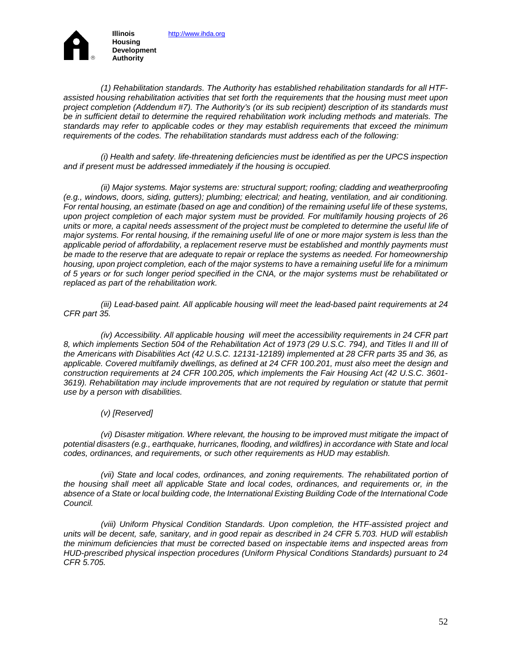

*(1) Rehabilitation standards. The Authority has established rehabilitation standards for all HTFassisted housing rehabilitation activities that set forth the requirements that the housing must meet upon project completion (Addendum #7). The Authority's (or its sub recipient) description of its standards must be in sufficient detail to determine the required rehabilitation work including methods and materials. The standards may refer to applicable codes or they may establish requirements that exceed the minimum requirements of the codes. The rehabilitation standards must address each of the following:*

*(i) Health and safety. life-threatening deficiencies must be identified as per the UPCS inspection and if present must be addressed immediately if the housing is occupied.*

*(ii) Major systems. Major systems are: structural support; roofing; cladding and weatherproofing (e.g., windows, doors, siding, gutters); plumbing; electrical; and heating, ventilation, and air conditioning. For rental housing, an estimate (based on age and condition) of the remaining useful life of these systems, upon project completion of each major system must be provided. For multifamily housing projects of 26 units or more, a capital needs assessment of the project must be completed to determine the useful life of major systems. For rental housing, if the remaining useful life of one or more major system is less than the applicable period of affordability, a replacement reserve must be established and monthly payments must be made to the reserve that are adequate to repair or replace the systems as needed. For homeownership housing, upon project completion, each of the major systems to have a remaining useful life for a minimum of 5 years or for such longer period specified in the CNA, or the major systems must be rehabilitated or replaced as part of the rehabilitation work.* 

*(iii) Lead-based paint. All applicable housing will meet the lead-based paint requirements at 24 CFR part 35.*

*(iv) Accessibility. All applicable housing will meet the accessibility requirements in 24 CFR part 8, which implements Section 504 of the Rehabilitation Act of 1973 (29 U.S.C. 794), and Titles II and III of the Americans with Disabilities Act (42 U.S.C. 12131-12189) implemented at 28 CFR parts 35 and 36, as applicable. Covered multifamily dwellings, as defined at 24 CFR 100.201, must also meet the design and construction requirements at 24 CFR 100.205, which implements the Fair Housing Act (42 U.S.C. 3601- 3619). Rehabilitation may include improvements that are not required by regulation or statute that permit use by a person with disabilities.*

### *(v) [Reserved]*

*(vi) Disaster mitigation. Where relevant, the housing to be improved must mitigate the impact of potential disasters (e.g., earthquake, hurricanes, flooding, and wildfires) in accordance with State and local codes, ordinances, and requirements, or such other requirements as HUD may establish.* 

*(vii) State and local codes, ordinances, and zoning requirements. The rehabilitated portion of the housing shall meet all applicable State and local codes, ordinances, and requirements or, in the absence of a State or local building code, the International Existing Building Code of the International Code Council.*

*(viii) Uniform Physical Condition Standards. Upon completion, the HTF-assisted project and units will be decent, safe, sanitary, and in good repair as described in 24 CFR 5.703. HUD will establish the minimum deficiencies that must be corrected based on inspectable items and inspected areas from HUD-prescribed physical inspection procedures (Uniform Physical Conditions Standards) pursuant to 24 CFR 5.705.*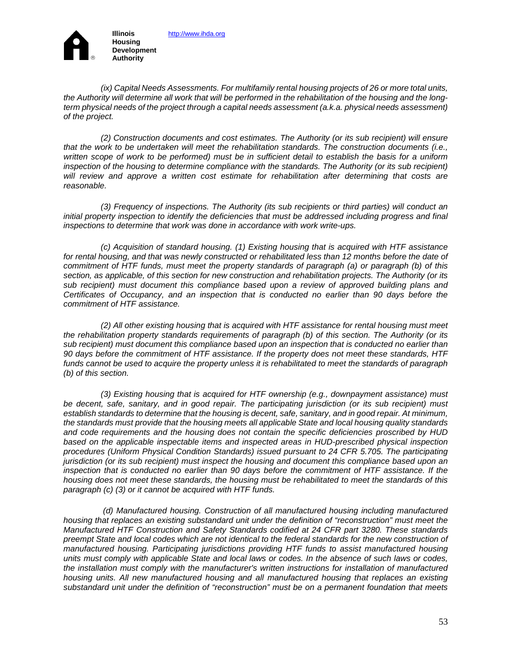**Development Authority**

 $^{\circledR}$ 

*(ix) Capital Needs Assessments. For multifamily rental housing projects of 26 or more total units, the Authority will determine all work that will be performed in the rehabilitation of the housing and the longterm physical needs of the project through a capital needs assessment (a.k.a. physical needs assessment) of the project.*

*(2) Construction documents and cost estimates. The Authority (or its sub recipient) will ensure that the work to be undertaken will meet the rehabilitation standards. The construction documents (i.e., written scope of work to be performed) must be in sufficient detail to establish the basis for a uniform inspection of the housing to determine compliance with the standards. The Authority (or its sub recipient) will review and approve a written cost estimate for rehabilitation after determining that costs are reasonable.*

*(3) Frequency of inspections. The Authority (its sub recipients or third parties) will conduct an initial property inspection to identify the deficiencies that must be addressed including progress and final inspections to determine that work was done in accordance with work write-ups.*

*(c) Acquisition of standard housing. (1) Existing housing that is acquired with HTF assistance*  for rental housing, and that was newly constructed or rehabilitated less than 12 months before the date of *commitment of HTF funds, must meet the property standards of paragraph (a) or paragraph (b) of this section, as applicable, of this section for new construction and rehabilitation projects. The Authority (or its sub recipient) must document this compliance based upon a review of approved building plans and Certificates of Occupancy, and an inspection that is conducted no earlier than 90 days before the commitment of HTF assistance.*

*(2) All other existing housing that is acquired with HTF assistance for rental housing must meet the rehabilitation property standards requirements of paragraph (b) of this section. The Authority (or its sub recipient) must document this compliance based upon an inspection that is conducted no earlier than 90 days before the commitment of HTF assistance. If the property does not meet these standards, HTF funds cannot be used to acquire the property unless it is rehabilitated to meet the standards of paragraph (b) of this section.*

*(3) Existing housing that is acquired for HTF ownership (e.g., downpayment assistance) must be decent, safe, sanitary, and in good repair. The participating jurisdiction (or its sub recipient) must establish standards to determine that the housing is decent, safe, sanitary, and in good repair. At minimum, the standards must provide that the housing meets all applicable State and local housing quality standards and code requirements and the housing does not contain the specific deficiencies proscribed by HUD based on the applicable inspectable items and inspected areas in HUD-prescribed physical inspection procedures (Uniform Physical Condition Standards) issued pursuant to 24 CFR 5.705. The participating jurisdiction (or its sub recipient) must inspect the housing and document this compliance based upon an inspection that is conducted no earlier than 90 days before the commitment of HTF assistance. If the housing does not meet these standards, the housing must be rehabilitated to meet the standards of this paragraph (c) (3) or it cannot be acquired with HTF funds.*

 *(d) Manufactured housing. Construction of all manufactured housing including manufactured housing that replaces an existing substandard unit under the definition of "reconstruction" must meet the Manufactured HTF Construction and Safety Standards codified at 24 CFR part 3280. These standards preempt State and local codes which are not identical to the federal standards for the new construction of manufactured housing. Participating jurisdictions providing HTF funds to assist manufactured housing units must comply with applicable State and local laws or codes. In the absence of such laws or codes, the installation must comply with the manufacturer's written instructions for installation of manufactured housing units. All new manufactured housing and all manufactured housing that replaces an existing substandard unit under the definition of "reconstruction" must be on a permanent foundation that meets*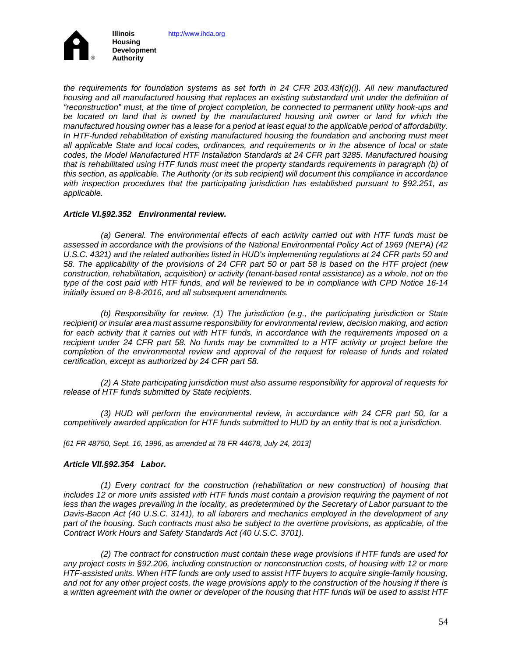

*the requirements for foundation systems as set forth in 24 CFR 203.43f(c)(i). All new manufactured housing and all manufactured housing that replaces an existing substandard unit under the definition of "reconstruction" must, at the time of project completion, be connected to permanent utility hook-ups and be located on land that is owned by the manufactured housing unit owner or land for which the manufactured housing owner has a lease for a period at least equal to the applicable period of affordability.*  In HTF-funded rehabilitation of existing manufactured housing the foundation and anchoring must meet *all applicable State and local codes, ordinances, and requirements or in the absence of local or state codes, the Model Manufactured HTF Installation Standards at 24 CFR part 3285. Manufactured housing that is rehabilitated using HTF funds must meet the property standards requirements in paragraph (b) of this section, as applicable. The Authority (or its sub recipient) will document this compliance in accordance with inspection procedures that the participating jurisdiction has established pursuant to §92.251, as applicable.*

### *Article VI.§92.352 Environmental review.*

*(a) General. The environmental effects of each activity carried out with HTF funds must be assessed in accordance with the provisions of the National Environmental Policy Act of 1969 (NEPA) (42 U.S.C. 4321) and the related authorities listed in HUD's implementing regulations at 24 CFR parts 50 and 58. The applicability of the provisions of 24 CFR part 50 or part 58 is based on the HTF project (new construction, rehabilitation, acquisition) or activity (tenant-based rental assistance) as a whole, not on the type of the cost paid with HTF funds, and will be reviewed to be in compliance with CPD Notice 16-14 initially issued on 8-8-2016, and all subsequent amendments.* 

*(b) Responsibility for review. (1) The jurisdiction (e.g., the participating jurisdiction or State recipient) or insular area must assume responsibility for environmental review, decision making, and action for each activity that it carries out with HTF funds, in accordance with the requirements imposed on a recipient under 24 CFR part 58. No funds may be committed to a HTF activity or project before the completion of the environmental review and approval of the request for release of funds and related certification, except as authorized by 24 CFR part 58.* 

*(2) A State participating jurisdiction must also assume responsibility for approval of requests for release of HTF funds submitted by State recipients.* 

*(3) HUD will perform the environmental review, in accordance with 24 CFR part 50, for a competitively awarded application for HTF funds submitted to HUD by an entity that is not a jurisdiction.* 

*[61 FR 48750, Sept. 16, 1996, as amended at 78 FR 44678, July 24, 2013]*

### *Article VII.§92.354 Labor.*

*(1) Every contract for the construction (rehabilitation or new construction) of housing that includes 12 or more units assisted with HTF funds must contain a provision requiring the payment of not*  less than the wages prevailing in the locality, as predetermined by the Secretary of Labor pursuant to the *Davis-Bacon Act (40 U.S.C. 3141), to all laborers and mechanics employed in the development of any part of the housing. Such contracts must also be subject to the overtime provisions, as applicable, of the Contract Work Hours and Safety Standards Act (40 U.S.C. 3701).*

*(2) The contract for construction must contain these wage provisions if HTF funds are used for any project costs in §92.206, including construction or nonconstruction costs, of housing with 12 or more HTF-assisted units. When HTF funds are only used to assist HTF buyers to acquire single-family housing, and not for any other project costs, the wage provisions apply to the construction of the housing if there is a written agreement with the owner or developer of the housing that HTF funds will be used to assist HTF*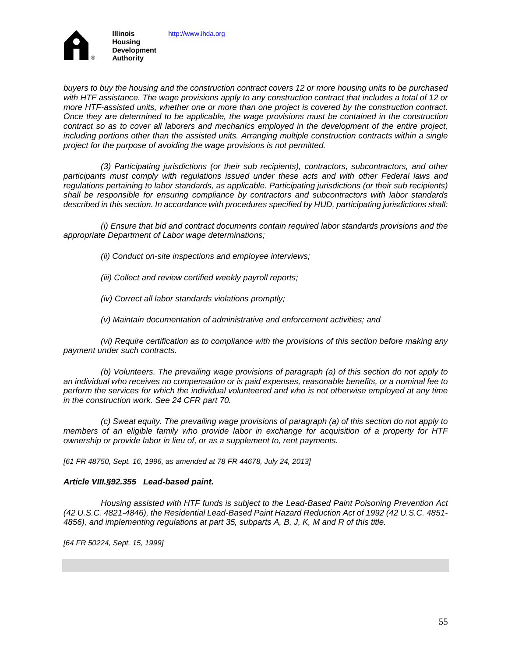

*buyers to buy the housing and the construction contract covers 12 or more housing units to be purchased with HTF assistance. The wage provisions apply to any construction contract that includes a total of 12 or more HTF-assisted units, whether one or more than one project is covered by the construction contract. Once they are determined to be applicable, the wage provisions must be contained in the construction contract so as to cover all laborers and mechanics employed in the development of the entire project, including portions other than the assisted units. Arranging multiple construction contracts within a single project for the purpose of avoiding the wage provisions is not permitted.* 

*(3) Participating jurisdictions (or their sub recipients), contractors, subcontractors, and other participants must comply with regulations issued under these acts and with other Federal laws and regulations pertaining to labor standards, as applicable. Participating jurisdictions (or their sub recipients) shall be responsible for ensuring compliance by contractors and subcontractors with labor standards described in this section. In accordance with procedures specified by HUD, participating jurisdictions shall:*

*(i) Ensure that bid and contract documents contain required labor standards provisions and the appropriate Department of Labor wage determinations;*

- *(ii) Conduct on-site inspections and employee interviews;*
- *(iii) Collect and review certified weekly payroll reports;*
- *(iv) Correct all labor standards violations promptly;*
- *(v) Maintain documentation of administrative and enforcement activities; and*

*(vi) Require certification as to compliance with the provisions of this section before making any payment under such contracts.*

*(b) Volunteers. The prevailing wage provisions of paragraph (a) of this section do not apply to an individual who receives no compensation or is paid expenses, reasonable benefits, or a nominal fee to perform the services for which the individual volunteered and who is not otherwise employed at any time in the construction work. See 24 CFR part 70.* 

*(c) Sweat equity. The prevailing wage provisions of paragraph (a) of this section do not apply to members of an eligible family who provide labor in exchange for acquisition of a property for HTF ownership or provide labor in lieu of, or as a supplement to, rent payments.* 

*[61 FR 48750, Sept. 16, 1996, as amended at 78 FR 44678, July 24, 2013]*

#### *Article VIII.§92.355 Lead-based paint.*

*Housing assisted with HTF funds is subject to the Lead-Based Paint Poisoning Prevention Act (42 U.S.C. 4821-4846), the Residential Lead-Based Paint Hazard Reduction Act of 1992 (42 U.S.C. 4851- 4856), and implementing regulations at part 35, subparts A, B, J, K, M and R of this title.*

*[64 FR 50224, Sept. 15, 1999]*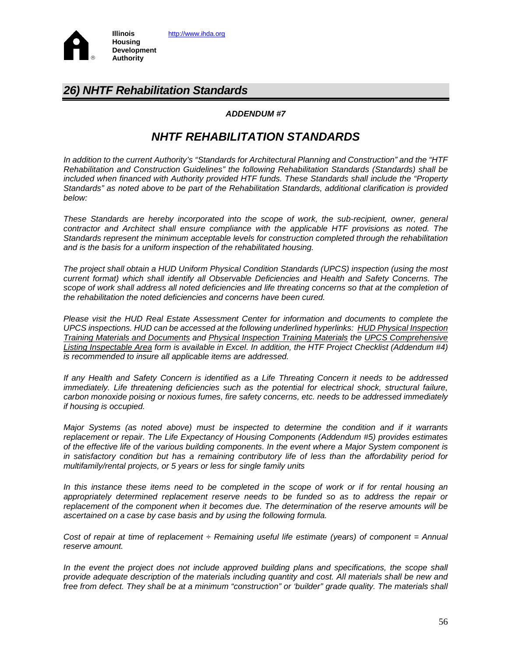

# *26) NHTF Rehabilitation Standards*

### *ADDENDUM #7*

# *NHTF REHABILITATION STANDARDS*

*In addition to the current Authority's "Standards for Architectural Planning and Construction" and the "HTF Rehabilitation and Construction Guidelines" the following Rehabilitation Standards (Standards) shall be included when financed with Authority provided HTF funds. These Standards shall include the "Property Standards" as noted above to be part of the Rehabilitation Standards, additional clarification is provided below:* 

*These Standards are hereby incorporated into the scope of work, the sub-recipient, owner, general contractor and Architect shall ensure compliance with the applicable HTF provisions as noted. The Standards represent the minimum acceptable levels for construction completed through the rehabilitation and is the basis for a uniform inspection of the rehabilitated housing.* 

*The project shall obtain a HUD Uniform Physical Condition Standards (UPCS) inspection (using the most current format) which shall identify all Observable Deficiencies and Health and Safety Concerns. The*  scope of work shall address all noted deficiencies and life threating concerns so that at the completion of *the rehabilitation the noted deficiencies and concerns have been cured.*

*Please visit the HUD Real Estate Assessment Center for information and documents to complete the UPCS inspections. HUD can be accessed at the following underlined hyperlinks: [HUD Physical Inspection](http://www.hud.gov/offices/reac/training/pass_tm.cfm)  [Training Materials and Documents](http://www.hud.gov/offices/reac/training/pass_tm.cfm) and [Physical Inspection Training Materials](http://portal.hud.gov/hudportal/HUD?src=/program_offices/public_indian_housing/reac/products/pass/materials) the [UPCS Comprehensive](http://portal.hud.gov/hudportal/documents/huddoc?id=DOC_26482.xls)  [Listing Inspectable Area](http://portal.hud.gov/hudportal/documents/huddoc?id=DOC_26482.xls) form is available in Excel. In addition, the HTF Project Checklist (Addendum #4) is recommended to insure all applicable items are addressed.*

*If any Health and Safety Concern is identified as a Life Threating Concern it needs to be addressed immediately. Life threatening deficiencies such as the potential for electrical shock, structural failure, carbon monoxide poising or noxious fumes, fire safety concerns, etc. needs to be addressed immediately if housing is occupied.* 

*Major Systems (as noted above) must be inspected to determine the condition and if it warrants replacement or repair. The Life Expectancy of Housing Components (Addendum #5) provides estimates of the effective life of the various building components. In the event where a Major System component is in satisfactory condition but has a remaining contributory life of less than the affordability period for multifamily/rental projects, or 5 years or less for single family units* 

*In this instance these items need to be completed in the scope of work or if for rental housing an appropriately determined replacement reserve needs to be funded so as to address the repair or replacement of the component when it becomes due. The determination of the reserve amounts will be ascertained on a case by case basis and by using the following formula.*

*Cost of repair at time of replacement ÷ Remaining useful life estimate (years) of component = Annual reserve amount.*

*In the event the project does not include approved building plans and specifications, the scope shall provide adequate description of the materials including quantity and cost. All materials shall be new and free from defect. They shall be at a minimum "construction" or 'builder" grade quality. The materials shall*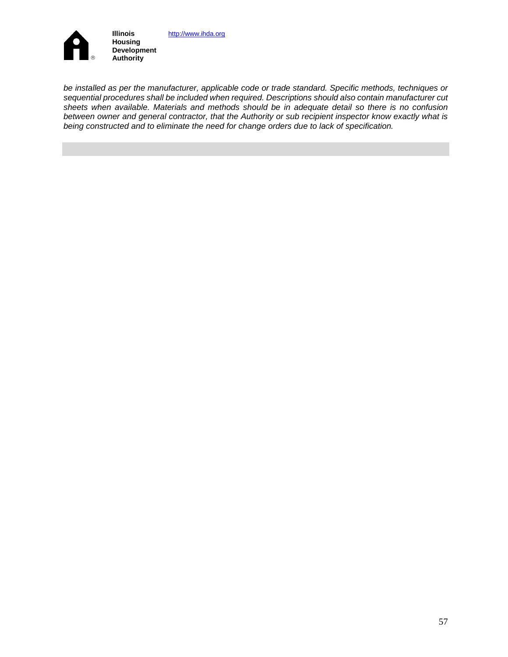

*be installed as per the manufacturer, applicable code or trade standard. Specific methods, techniques or sequential procedures shall be included when required. Descriptions should also contain manufacturer cut sheets when available. Materials and methods should be in adequate detail so there is no confusion between owner and general contractor, that the Authority or sub recipient inspector know exactly what is being constructed and to eliminate the need for change orders due to lack of specification.*